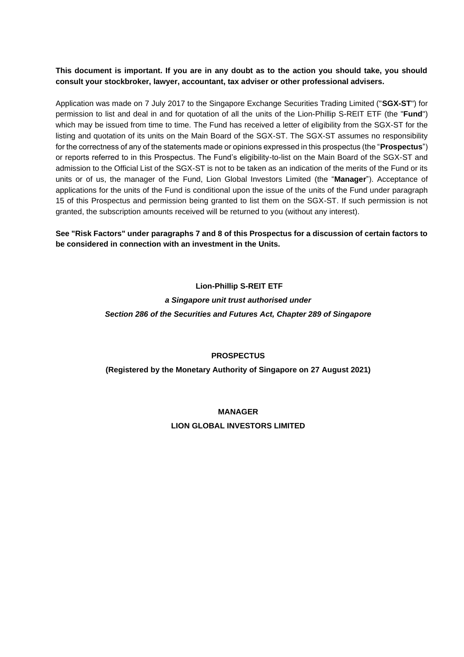# **This document is important. If you are in any doubt as to the action you should take, you should consult your stockbroker, lawyer, accountant, tax adviser or other professional advisers.**

Application was made on 7 July 2017 to the Singapore Exchange Securities Trading Limited ("**SGX-ST**") for permission to list and deal in and for quotation of all the units of the Lion-Phillip S-REIT ETF (the "**Fund**") which may be issued from time to time. The Fund has received a letter of eligibility from the SGX-ST for the listing and quotation of its units on the Main Board of the SGX-ST. The SGX-ST assumes no responsibility for the correctness of any of the statements made or opinions expressed in this prospectus (the "**Prospectus**") or reports referred to in this Prospectus. The Fund's eligibility-to-list on the Main Board of the SGX-ST and admission to the Official List of the SGX-ST is not to be taken as an indication of the merits of the Fund or its units or of us, the manager of the Fund, Lion Global Investors Limited (the "**Manager**"). Acceptance of applications for the units of the Fund is conditional upon the issue of the units of the Fund under paragraph 15 of this Prospectus and permission being granted to list them on the SGX-ST. If such permission is not granted, the subscription amounts received will be returned to you (without any interest).

**See "Risk Factors" under paragraphs 7 and 8 of this Prospectus for a discussion of certain factors to be considered in connection with an investment in the Units.** 

# **Lion-Phillip S-REIT ETF** *a Singapore unit trust authorised under Section 286 of the Securities and Futures Act, Chapter 289 of Singapore*

## **PROSPECTUS**

# **(Registered by the Monetary Authority of Singapore on 27 August 2021)**

# **MANAGER LION GLOBAL INVESTORS LIMITED**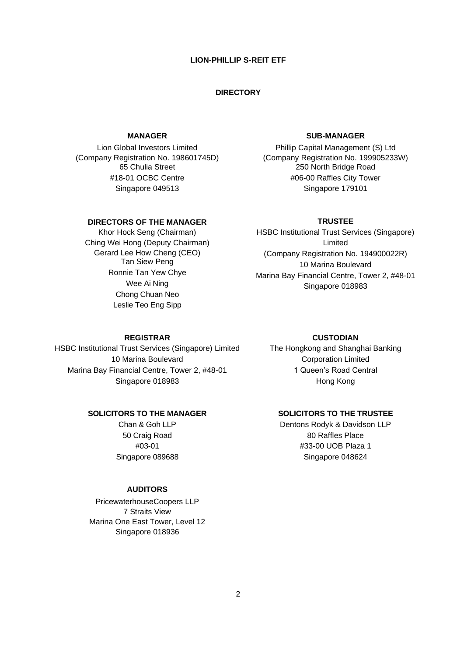#### **LION-PHILLIP S-REIT ETF**

#### **DIRECTORY**

#### **MANAGER**

Lion Global Investors Limited (Company Registration No. 198601745D) 65 Chulia Street #18-01 OCBC Centre Singapore 049513

#### **DIRECTORS OF THE MANAGER**

Khor Hock Seng (Chairman) Ching Wei Hong (Deputy Chairman) Gerard Lee How Cheng (CEO) Tan Siew Peng Ronnie Tan Yew Chye Wee Ai Ning Chong Chuan Neo Leslie Teo Eng Sipp

#### **SUB-MANAGER**

Phillip Capital Management (S) Ltd (Company Registration No. 199905233W) 250 North Bridge Road #06-00 Raffles City Tower Singapore 179101

#### **TRUSTEE**

HSBC Institutional Trust Services (Singapore) Limited (Company Registration No. 194900022R) 10 Marina Boulevard Marina Bay Financial Centre, Tower 2, #48-01 Singapore 018983

#### **REGISTRAR**

HSBC Institutional Trust Services (Singapore) Limited 10 Marina Boulevard Marina Bay Financial Centre, Tower 2, #48-01 Singapore 018983

# The Hongkong and Shanghai Banking

Corporation Limited 1 Queen's Road Central Hong Kong

**CUSTODIAN**

## **SOLICITORS TO THE MANAGER**

Chan & Goh LLP 50 Craig Road #03-01 Singapore 089688

# **SOLICITORS TO THE TRUSTEE**

Dentons Rodyk & Davidson LLP 80 Raffles Place #33-00 UOB Plaza 1 Singapore 048624

#### **AUDITORS**

PricewaterhouseCoopers LLP 7 Straits View Marina One East Tower, Level 12 Singapore 018936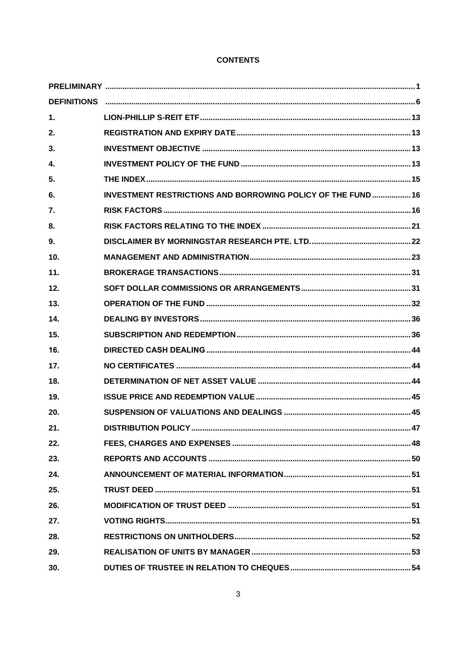# **CONTENTS**

| 1.  |                                                                     |  |
|-----|---------------------------------------------------------------------|--|
| 2.  |                                                                     |  |
| 3.  |                                                                     |  |
| 4.  |                                                                     |  |
| 5.  |                                                                     |  |
| 6.  | <b>INVESTMENT RESTRICTIONS AND BORROWING POLICY OF THE FUND  16</b> |  |
| 7.  |                                                                     |  |
| 8.  |                                                                     |  |
| 9.  |                                                                     |  |
| 10. |                                                                     |  |
| 11. |                                                                     |  |
| 12. |                                                                     |  |
| 13. |                                                                     |  |
| 14. |                                                                     |  |
| 15. |                                                                     |  |
| 16. |                                                                     |  |
| 17. |                                                                     |  |
| 18. |                                                                     |  |
| 19. |                                                                     |  |
| 20. |                                                                     |  |
| 21. |                                                                     |  |
| 22. |                                                                     |  |
| 23. |                                                                     |  |
| 24. |                                                                     |  |
| 25. |                                                                     |  |
| 26. |                                                                     |  |
| 27. |                                                                     |  |
| 28. |                                                                     |  |
| 29. |                                                                     |  |
| 30. |                                                                     |  |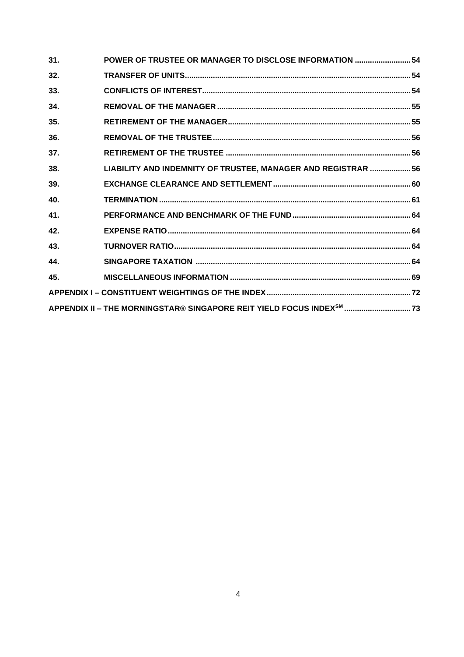| 31. | POWER OF TRUSTEE OR MANAGER TO DISCLOSE INFORMATION  54      |  |  |
|-----|--------------------------------------------------------------|--|--|
| 32. |                                                              |  |  |
| 33. |                                                              |  |  |
| 34. |                                                              |  |  |
| 35. |                                                              |  |  |
| 36. |                                                              |  |  |
| 37. |                                                              |  |  |
| 38. | LIABILITY AND INDEMNITY OF TRUSTEE, MANAGER AND REGISTRAR 56 |  |  |
| 39. |                                                              |  |  |
| 40. |                                                              |  |  |
| 41. |                                                              |  |  |
| 42. |                                                              |  |  |
| 43. |                                                              |  |  |
| 44. |                                                              |  |  |
| 45. |                                                              |  |  |
|     |                                                              |  |  |
|     |                                                              |  |  |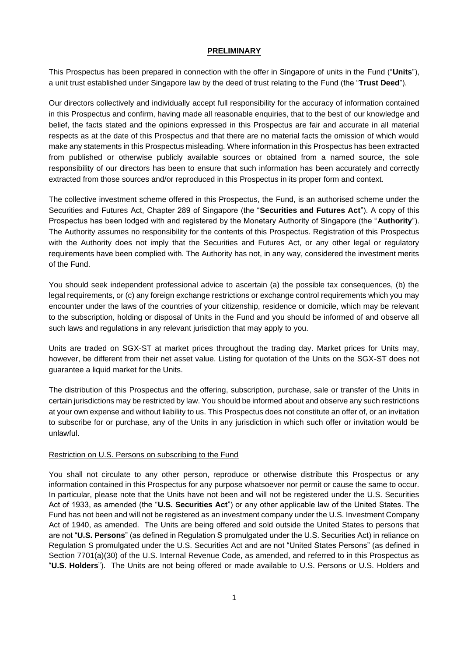#### **PRELIMINARY**

<span id="page-4-0"></span>This Prospectus has been prepared in connection with the offer in Singapore of units in the Fund ("**Units**"), a unit trust established under Singapore law by the deed of trust relating to the Fund (the "**Trust Deed**").

Our directors collectively and individually accept full responsibility for the accuracy of information contained in this Prospectus and confirm, having made all reasonable enquiries, that to the best of our knowledge and belief, the facts stated and the opinions expressed in this Prospectus are fair and accurate in all material respects as at the date of this Prospectus and that there are no material facts the omission of which would make any statements in this Prospectus misleading. Where information in this Prospectus has been extracted from published or otherwise publicly available sources or obtained from a named source, the sole responsibility of our directors has been to ensure that such information has been accurately and correctly extracted from those sources and/or reproduced in this Prospectus in its proper form and context.

The collective investment scheme offered in this Prospectus, the Fund, is an authorised scheme under the Securities and Futures Act, Chapter 289 of Singapore (the "**Securities and Futures Act**"). A copy of this Prospectus has been lodged with and registered by the Monetary Authority of Singapore (the "**Authority**"). The Authority assumes no responsibility for the contents of this Prospectus. Registration of this Prospectus with the Authority does not imply that the Securities and Futures Act, or any other legal or regulatory requirements have been complied with. The Authority has not, in any way, considered the investment merits of the Fund.

You should seek independent professional advice to ascertain (a) the possible tax consequences, (b) the legal requirements, or (c) any foreign exchange restrictions or exchange control requirements which you may encounter under the laws of the countries of your citizenship, residence or domicile, which may be relevant to the subscription, holding or disposal of Units in the Fund and you should be informed of and observe all such laws and regulations in any relevant jurisdiction that may apply to you.

Units are traded on SGX-ST at market prices throughout the trading day. Market prices for Units may, however, be different from their net asset value. Listing for quotation of the Units on the SGX-ST does not guarantee a liquid market for the Units.

The distribution of this Prospectus and the offering, subscription, purchase, sale or transfer of the Units in certain jurisdictions may be restricted by law. You should be informed about and observe any such restrictions at your own expense and without liability to us. This Prospectus does not constitute an offer of, or an invitation to subscribe for or purchase, any of the Units in any jurisdiction in which such offer or invitation would be unlawful.

## Restriction on U.S. Persons on subscribing to the Fund

You shall not circulate to any other person, reproduce or otherwise distribute this Prospectus or any information contained in this Prospectus for any purpose whatsoever nor permit or cause the same to occur. In particular, please note that the Units have not been and will not be registered under the U.S. Securities Act of 1933, as amended (the "**U.S. Securities Act**") or any other applicable law of the United States. The Fund has not been and will not be registered as an investment company under the U.S. Investment Company Act of 1940, as amended. The Units are being offered and sold outside the United States to persons that are not "**U.S. Persons**" (as defined in Regulation S promulgated under the U.S. Securities Act) in reliance on Regulation S promulgated under the U.S. Securities Act and are not "United States Persons" (as defined in Section 7701(a)(30) of the U.S. Internal Revenue Code, as amended, and referred to in this Prospectus as "**U.S. Holders**"). The Units are not being offered or made available to U.S. Persons or U.S. Holders and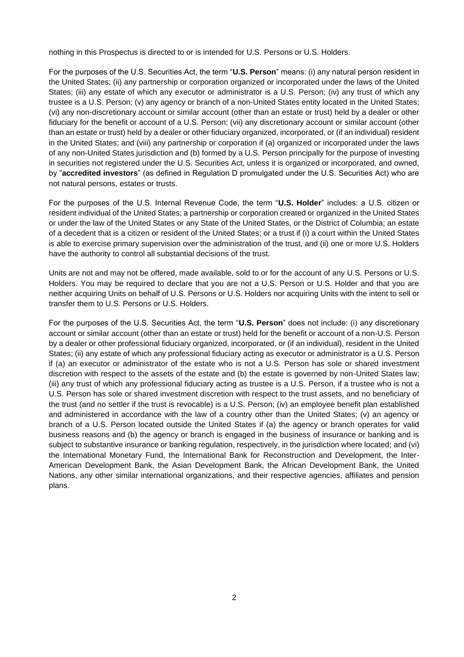nothing in this Prospectus is directed to or is intended for U.S. Persons or U.S. Holders.

For the purposes of the U.S. Securities Act, the term "**U.S. Person**" means: (i) any natural person resident in the United States; (ii) any partnership or corporation organized or incorporated under the laws of the United States; (iii) any estate of which any executor or administrator is a U.S. Person; (iv) any trust of which any trustee is a U.S. Person; (v) any agency or branch of a non-United States entity located in the United States; (vi) any non-discretionary account or similar account (other than an estate or trust) held by a dealer or other fiduciary for the benefit or account of a U.S. Person; (vii) any discretionary account or similar account (other than an estate or trust) held by a dealer or other fiduciary organized, incorporated, or (if an individual) resident in the United States; and (viii) any partnership or corporation if (a) organized or incorporated under the laws of any non-United States jurisdiction and (b) formed by a U.S. Person principally for the purpose of investing in securities not registered under the U.S. Securities Act, unless it is organized or incorporated, and owned, by "**accredited investors**" (as defined in Regulation D promulgated under the U.S. Securities Act) who are not natural persons, estates or trusts.

For the purposes of the U.S. Internal Revenue Code, the term "**U.S. Holder**" includes: a U.S. citizen or resident individual of the United States; a partnership or corporation created or organized in the United States or under the law of the United States or any State of the United States, or the District of Columbia; an estate of a decedent that is a citizen or resident of the United States; or a trust if (i) a court within the United States is able to exercise primary supervision over the administration of the trust, and (ii) one or more U.S. Holders have the authority to control all substantial decisions of the trust.

Units are not and may not be offered, made available, sold to or for the account of any U.S. Persons or U.S. Holders. You may be required to declare that you are not a U.S. Person or U.S. Holder and that you are neither acquiring Units on behalf of U.S. Persons or U.S. Holders nor acquiring Units with the intent to sell or transfer them to U.S. Persons or U.S. Holders.

For the purposes of the U.S. Securities Act, the term "**U.S. Person**" does not include: (i) any discretionary account or similar account (other than an estate or trust) held for the benefit or account of a non-U.S. Person by a dealer or other professional fiduciary organized, incorporated, or (if an individual), resident in the United States; (ii) any estate of which any professional fiduciary acting as executor or administrator is a U.S. Person if (a) an executor or administrator of the estate who is not a U.S. Person has sole or shared investment discretion with respect to the assets of the estate and (b) the estate is governed by non-United States law; (iii) any trust of which any professional fiduciary acting as trustee is a U.S. Person, if a trustee who is not a U.S. Person has sole or shared investment discretion with respect to the trust assets, and no beneficiary of the trust (and no settler if the trust is revocable) is a U.S. Person; (iv) an employee benefit plan established and administered in accordance with the law of a country other than the United States; (v) an agency or branch of a U.S. Person located outside the United States if (a) the agency or branch operates for valid business reasons and (b) the agency or branch is engaged in the business of insurance or banking and is subject to substantive insurance or banking regulation, respectively, in the jurisdiction where located; and (vi) the International Monetary Fund, the International Bank for Reconstruction and Development, the Inter-American Development Bank, the Asian Development Bank, the African Development Bank, the United Nations, any other similar international organizations, and their respective agencies, affiliates and pension plans.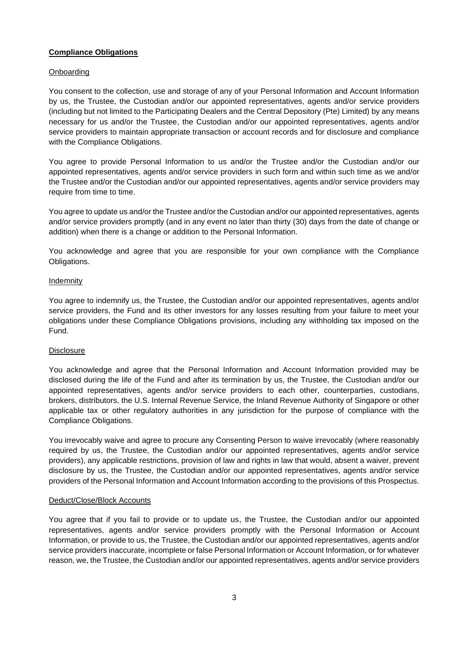#### **Compliance Obligations**

#### **Onboarding**

You consent to the collection, use and storage of any of your Personal Information and Account Information by us, the Trustee, the Custodian and/or our appointed representatives, agents and/or service providers (including but not limited to the Participating Dealers and the Central Depository (Pte) Limited) by any means necessary for us and/or the Trustee, the Custodian and/or our appointed representatives, agents and/or service providers to maintain appropriate transaction or account records and for disclosure and compliance with the Compliance Obligations.

You agree to provide Personal Information to us and/or the Trustee and/or the Custodian and/or our appointed representatives, agents and/or service providers in such form and within such time as we and/or the Trustee and/or the Custodian and/or our appointed representatives, agents and/or service providers may require from time to time.

You agree to update us and/or the Trustee and/or the Custodian and/or our appointed representatives, agents and/or service providers promptly (and in any event no later than thirty (30) days from the date of change or addition) when there is a change or addition to the Personal Information.

You acknowledge and agree that you are responsible for your own compliance with the Compliance Obligations.

#### Indemnity

You agree to indemnify us, the Trustee, the Custodian and/or our appointed representatives, agents and/or service providers, the Fund and its other investors for any losses resulting from your failure to meet your obligations under these Compliance Obligations provisions, including any withholding tax imposed on the Fund.

## **Disclosure**

You acknowledge and agree that the Personal Information and Account Information provided may be disclosed during the life of the Fund and after its termination by us, the Trustee, the Custodian and/or our appointed representatives, agents and/or service providers to each other, counterparties, custodians, brokers, distributors, the U.S. Internal Revenue Service, the Inland Revenue Authority of Singapore or other applicable tax or other regulatory authorities in any jurisdiction for the purpose of compliance with the Compliance Obligations.

You irrevocably waive and agree to procure any Consenting Person to waive irrevocably (where reasonably required by us, the Trustee, the Custodian and/or our appointed representatives, agents and/or service providers), any applicable restrictions, provision of law and rights in law that would, absent a waiver, prevent disclosure by us, the Trustee, the Custodian and/or our appointed representatives, agents and/or service providers of the Personal Information and Account Information according to the provisions of this Prospectus.

#### Deduct/Close/Block Accounts

You agree that if you fail to provide or to update us, the Trustee, the Custodian and/or our appointed representatives, agents and/or service providers promptly with the Personal Information or Account Information, or provide to us, the Trustee, the Custodian and/or our appointed representatives, agents and/or service providers inaccurate, incomplete or false Personal Information or Account Information, or for whatever reason, we, the Trustee, the Custodian and/or our appointed representatives, agents and/or service providers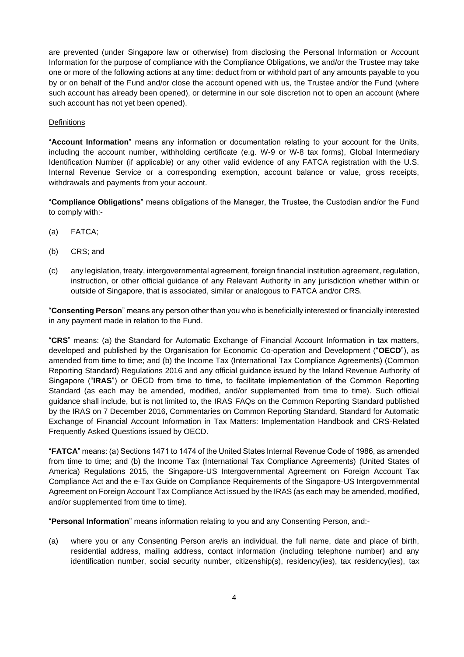are prevented (under Singapore law or otherwise) from disclosing the Personal Information or Account Information for the purpose of compliance with the Compliance Obligations, we and/or the Trustee may take one or more of the following actions at any time: deduct from or withhold part of any amounts payable to you by or on behalf of the Fund and/or close the account opened with us, the Trustee and/or the Fund (where such account has already been opened), or determine in our sole discretion not to open an account (where such account has not yet been opened).

#### **Definitions**

"**Account Information**" means any information or documentation relating to your account for the Units, including the account number, withholding certificate (e.g. W-9 or W-8 tax forms), Global Intermediary Identification Number (if applicable) or any other valid evidence of any FATCA registration with the U.S. Internal Revenue Service or a corresponding exemption, account balance or value, gross receipts, withdrawals and payments from your account.

"**Compliance Obligations**" means obligations of the Manager, the Trustee, the Custodian and/or the Fund to comply with:-

- (a) FATCA;
- (b) CRS; and
- (c) any legislation, treaty, intergovernmental agreement, foreign financial institution agreement, regulation, instruction, or other official guidance of any Relevant Authority in any jurisdiction whether within or outside of Singapore, that is associated, similar or analogous to FATCA and/or CRS.

"**Consenting Person**" means any person other than you who is beneficially interested or financially interested in any payment made in relation to the Fund.

"**CRS**" means: (a) the Standard for Automatic Exchange of Financial Account Information in tax matters, developed and published by the Organisation for Economic Co-operation and Development ("**OECD**"), as amended from time to time; and (b) the Income Tax (International Tax Compliance Agreements) (Common Reporting Standard) Regulations 2016 and any official guidance issued by the Inland Revenue Authority of Singapore ("**IRAS**") or OECD from time to time, to facilitate implementation of the Common Reporting Standard (as each may be amended, modified, and/or supplemented from time to time). Such official guidance shall include, but is not limited to, the IRAS FAQs on the Common Reporting Standard published by the IRAS on 7 December 2016, Commentaries on Common Reporting Standard, Standard for Automatic Exchange of Financial Account Information in Tax Matters: Implementation Handbook and CRS-Related Frequently Asked Questions issued by OECD.

"**FATCA**" means: (a) Sections 1471 to 1474 of the United States Internal Revenue Code of 1986, as amended from time to time; and (b) the Income Tax (International Tax Compliance Agreements) (United States of America) Regulations 2015, the Singapore-US Intergovernmental Agreement on Foreign Account Tax Compliance Act and the e-Tax Guide on Compliance Requirements of the Singapore-US Intergovernmental Agreement on Foreign Account Tax Compliance Act issued by the IRAS (as each may be amended, modified, and/or supplemented from time to time).

"**Personal Information**" means information relating to you and any Consenting Person, and:-

(a) where you or any Consenting Person are/is an individual, the full name, date and place of birth, residential address, mailing address, contact information (including telephone number) and any identification number, social security number, citizenship(s), residency(ies), tax residency(ies), tax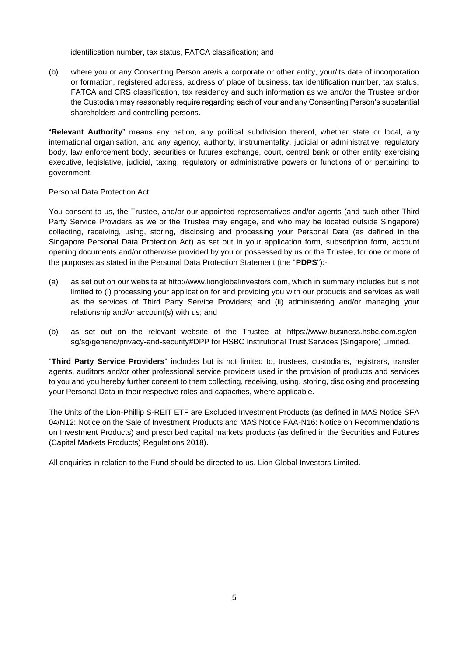identification number, tax status, FATCA classification; and

(b) where you or any Consenting Person are/is a corporate or other entity, your/its date of incorporation or formation, registered address, address of place of business, tax identification number, tax status, FATCA and CRS classification, tax residency and such information as we and/or the Trustee and/or the Custodian may reasonably require regarding each of your and any Consenting Person's substantial shareholders and controlling persons.

"**Relevant Authority**" means any nation, any political subdivision thereof, whether state or local, any international organisation, and any agency, authority, instrumentality, judicial or administrative, regulatory body, law enforcement body, securities or futures exchange, court, central bank or other entity exercising executive, legislative, judicial, taxing, regulatory or administrative powers or functions of or pertaining to government.

#### Personal Data Protection Act

You consent to us, the Trustee, and/or our appointed representatives and/or agents (and such other Third Party Service Providers as we or the Trustee may engage, and who may be located outside Singapore) collecting, receiving, using, storing, disclosing and processing your Personal Data (as defined in the Singapore Personal Data Protection Act) as set out in your application form, subscription form, account opening documents and/or otherwise provided by you or possessed by us or the Trustee, for one or more of the purposes as stated in the Personal Data Protection Statement (the "**PDPS**"):-

- (a) as set out on our website at http://www.lionglobalinvestors.com, which in summary includes but is not limited to (i) processing your application for and providing you with our products and services as well as the services of Third Party Service Providers; and (ii) administering and/or managing your relationship and/or account(s) with us; and
- (b) as set out on the relevant website of the Trustee at https://www.business.hsbc.com.sg/ensg/sg/generic/privacy-and-security#DPP for HSBC Institutional Trust Services (Singapore) Limited.

"**Third Party Service Providers**" includes but is not limited to, trustees, custodians, registrars, transfer agents, auditors and/or other professional service providers used in the provision of products and services to you and you hereby further consent to them collecting, receiving, using, storing, disclosing and processing your Personal Data in their respective roles and capacities, where applicable.

The Units of the Lion-Phillip S-REIT ETF are Excluded Investment Products (as defined in MAS Notice SFA 04/N12: Notice on the Sale of Investment Products and MAS Notice FAA-N16: Notice on Recommendations on Investment Products) and prescribed capital markets products (as defined in the Securities and Futures (Capital Markets Products) Regulations 2018).

All enquiries in relation to the Fund should be directed to us, Lion Global Investors Limited.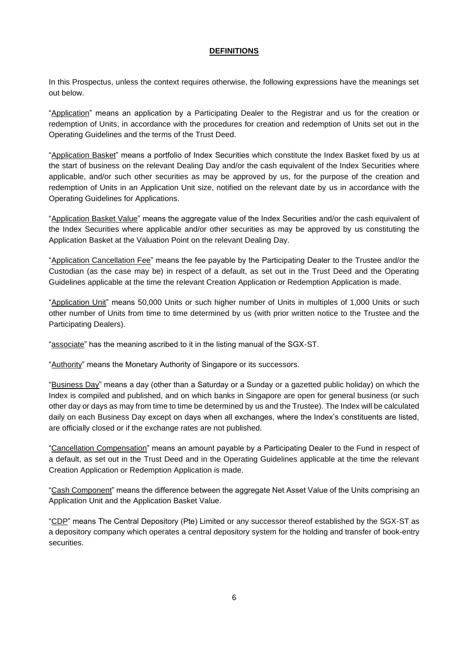## **DEFINITIONS**

<span id="page-9-0"></span>In this Prospectus, unless the context requires otherwise, the following expressions have the meanings set out below.

"Application" means an application by a Participating Dealer to the Registrar and us for the creation or redemption of Units, in accordance with the procedures for creation and redemption of Units set out in the Operating Guidelines and the terms of the Trust Deed.

"Application Basket" means a portfolio of Index Securities which constitute the Index Basket fixed by us at the start of business on the relevant Dealing Day and/or the cash equivalent of the Index Securities where applicable, and/or such other securities as may be approved by us, for the purpose of the creation and redemption of Units in an Application Unit size, notified on the relevant date by us in accordance with the Operating Guidelines for Applications.

"Application Basket Value" means the aggregate value of the Index Securities and/or the cash equivalent of the Index Securities where applicable and/or other securities as may be approved by us constituting the Application Basket at the Valuation Point on the relevant Dealing Day.

"Application Cancellation Fee" means the fee payable by the Participating Dealer to the Trustee and/or the Custodian (as the case may be) in respect of a default, as set out in the Trust Deed and the Operating Guidelines applicable at the time the relevant Creation Application or Redemption Application is made.

"Application Unit" means 50,000 Units or such higher number of Units in multiples of 1,000 Units or such other number of Units from time to time determined by us (with prior written notice to the Trustee and the Participating Dealers).

"associate" has the meaning ascribed to it in the listing manual of the SGX-ST.

"Authority" means the Monetary Authority of Singapore or its successors.

"Business Day" means a day (other than a Saturday or a Sunday or a gazetted public holiday) on which the Index is compiled and published, and on which banks in Singapore are open for general business (or such other day or days as may from time to time be determined by us and the Trustee). The Index will be calculated daily on each Business Day except on days when all exchanges, where the Index's constituents are listed, are officially closed or if the exchange rates are not published.

"Cancellation Compensation" means an amount payable by a Participating Dealer to the Fund in respect of a default, as set out in the Trust Deed and in the Operating Guidelines applicable at the time the relevant Creation Application or Redemption Application is made.

"Cash Component" means the difference between the aggregate Net Asset Value of the Units comprising an Application Unit and the Application Basket Value.

"CDP" means The Central Depository (Pte) Limited or any successor thereof established by the SGX-ST as a depository company which operates a central depository system for the holding and transfer of book-entry securities.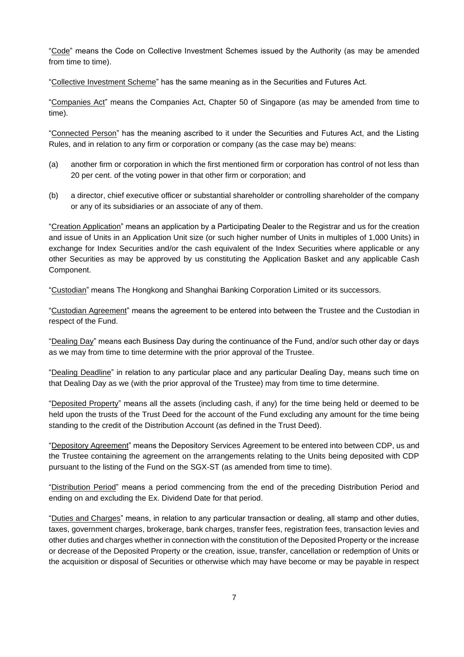"Code" means the Code on Collective Investment Schemes issued by the Authority (as may be amended from time to time).

"Collective Investment Scheme" has the same meaning as in the Securities and Futures Act.

"Companies Act" means the Companies Act, Chapter 50 of Singapore (as may be amended from time to time).

"Connected Person" has the meaning ascribed to it under the Securities and Futures Act, and the Listing Rules, and in relation to any firm or corporation or company (as the case may be) means:

- (a) another firm or corporation in which the first mentioned firm or corporation has control of not less than 20 per cent. of the voting power in that other firm or corporation; and
- (b) a director, chief executive officer or substantial shareholder or controlling shareholder of the company or any of its subsidiaries or an associate of any of them.

"Creation Application" means an application by a Participating Dealer to the Registrar and us for the creation and issue of Units in an Application Unit size (or such higher number of Units in multiples of 1,000 Units) in exchange for Index Securities and/or the cash equivalent of the Index Securities where applicable or any other Securities as may be approved by us constituting the Application Basket and any applicable Cash Component.

"Custodian" means The Hongkong and Shanghai Banking Corporation Limited or its successors.

"Custodian Agreement" means the agreement to be entered into between the Trustee and the Custodian in respect of the Fund.

"Dealing Day" means each Business Day during the continuance of the Fund, and/or such other day or days as we may from time to time determine with the prior approval of the Trustee.

"Dealing Deadline" in relation to any particular place and any particular Dealing Day, means such time on that Dealing Day as we (with the prior approval of the Trustee) may from time to time determine.

"Deposited Property" means all the assets (including cash, if any) for the time being held or deemed to be held upon the trusts of the Trust Deed for the account of the Fund excluding any amount for the time being standing to the credit of the Distribution Account (as defined in the Trust Deed).

"Depository Agreement" means the Depository Services Agreement to be entered into between CDP, us and the Trustee containing the agreement on the arrangements relating to the Units being deposited with CDP pursuant to the listing of the Fund on the SGX-ST (as amended from time to time).

"Distribution Period" means a period commencing from the end of the preceding Distribution Period and ending on and excluding the Ex. Dividend Date for that period.

"Duties and Charges" means, in relation to any particular transaction or dealing, all stamp and other duties, taxes, government charges, brokerage, bank charges, transfer fees, registration fees, transaction levies and other duties and charges whether in connection with the constitution of the Deposited Property or the increase or decrease of the Deposited Property or the creation, issue, transfer, cancellation or redemption of Units or the acquisition or disposal of Securities or otherwise which may have become or may be payable in respect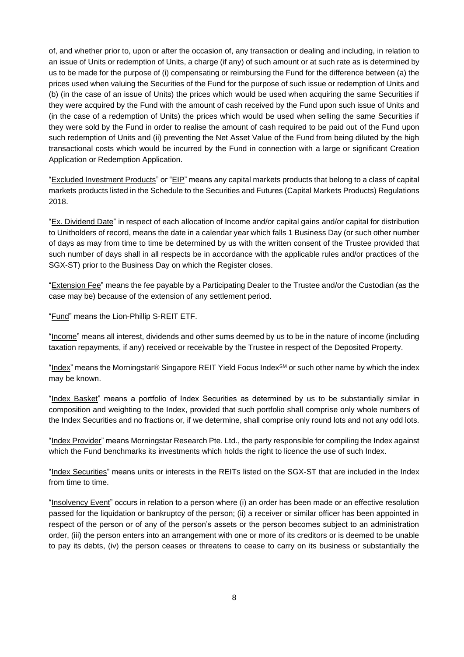of, and whether prior to, upon or after the occasion of, any transaction or dealing and including, in relation to an issue of Units or redemption of Units, a charge (if any) of such amount or at such rate as is determined by us to be made for the purpose of (i) compensating or reimbursing the Fund for the difference between (a) the prices used when valuing the Securities of the Fund for the purpose of such issue or redemption of Units and (b) (in the case of an issue of Units) the prices which would be used when acquiring the same Securities if they were acquired by the Fund with the amount of cash received by the Fund upon such issue of Units and (in the case of a redemption of Units) the prices which would be used when selling the same Securities if they were sold by the Fund in order to realise the amount of cash required to be paid out of the Fund upon such redemption of Units and (ii) preventing the Net Asset Value of the Fund from being diluted by the high transactional costs which would be incurred by the Fund in connection with a large or significant Creation Application or Redemption Application.

"Excluded Investment Products" or "EIP" means any capital markets products that belong to a class of capital markets products listed in the Schedule to the Securities and Futures (Capital Markets Products) Regulations 2018.

"Ex. Dividend Date" in respect of each allocation of Income and/or capital gains and/or capital for distribution to Unitholders of record, means the date in a calendar year which falls 1 Business Day (or such other number of days as may from time to time be determined by us with the written consent of the Trustee provided that such number of days shall in all respects be in accordance with the applicable rules and/or practices of the SGX-ST) prior to the Business Day on which the Register closes.

"Extension Fee" means the fee payable by a Participating Dealer to the Trustee and/or the Custodian (as the case may be) because of the extension of any settlement period.

"Fund" means the Lion-Phillip S-REIT ETF.

"Income" means all interest, dividends and other sums deemed by us to be in the nature of income (including taxation repayments, if any) received or receivable by the Trustee in respect of the Deposited Property.

"Index" means the Morningstar® Singapore REIT Yield Focus Index $^{SM}$  or such other name by which the index may be known.

"Index Basket" means a portfolio of Index Securities as determined by us to be substantially similar in composition and weighting to the Index, provided that such portfolio shall comprise only whole numbers of the Index Securities and no fractions or, if we determine, shall comprise only round lots and not any odd lots.

"Index Provider" means Morningstar Research Pte. Ltd., the party responsible for compiling the Index against which the Fund benchmarks its investments which holds the right to licence the use of such Index.

"Index Securities" means units or interests in the REITs listed on the SGX-ST that are included in the Index from time to time.

"Insolvency Event" occurs in relation to a person where (i) an order has been made or an effective resolution passed for the liquidation or bankruptcy of the person; (ii) a receiver or similar officer has been appointed in respect of the person or of any of the person's assets or the person becomes subject to an administration order, (iii) the person enters into an arrangement with one or more of its creditors or is deemed to be unable to pay its debts, (iv) the person ceases or threatens to cease to carry on its business or substantially the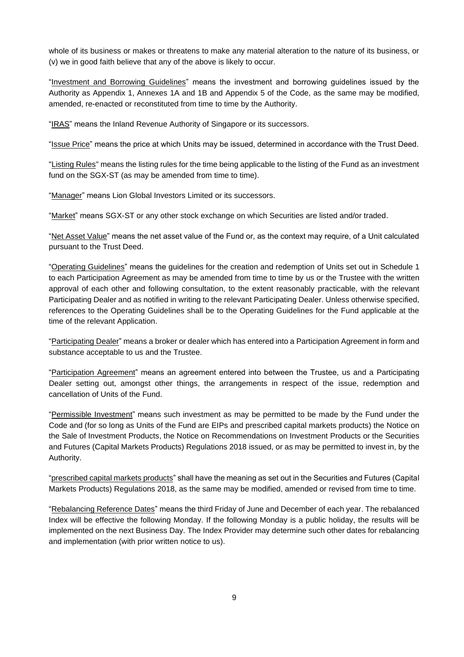whole of its business or makes or threatens to make any material alteration to the nature of its business, or (v) we in good faith believe that any of the above is likely to occur.

"Investment and Borrowing Guidelines" means the investment and borrowing guidelines issued by the Authority as Appendix 1, Annexes 1A and 1B and Appendix 5 of the Code, as the same may be modified, amended, re-enacted or reconstituted from time to time by the Authority.

"IRAS" means the Inland Revenue Authority of Singapore or its successors.

"Issue Price" means the price at which Units may be issued, determined in accordance with the Trust Deed.

"Listing Rules" means the listing rules for the time being applicable to the listing of the Fund as an investment fund on the SGX-ST (as may be amended from time to time).

"Manager" means Lion Global Investors Limited or its successors.

"Market" means SGX-ST or any other stock exchange on which Securities are listed and/or traded.

"Net Asset Value" means the net asset value of the Fund or, as the context may require, of a Unit calculated pursuant to the Trust Deed.

"Operating Guidelines" means the guidelines for the creation and redemption of Units set out in Schedule 1 to each Participation Agreement as may be amended from time to time by us or the Trustee with the written approval of each other and following consultation, to the extent reasonably practicable, with the relevant Participating Dealer and as notified in writing to the relevant Participating Dealer. Unless otherwise specified, references to the Operating Guidelines shall be to the Operating Guidelines for the Fund applicable at the time of the relevant Application.

"Participating Dealer" means a broker or dealer which has entered into a Participation Agreement in form and substance acceptable to us and the Trustee.

"Participation Agreement" means an agreement entered into between the Trustee, us and a Participating Dealer setting out, amongst other things, the arrangements in respect of the issue, redemption and cancellation of Units of the Fund.

"Permissible Investment" means such investment as may be permitted to be made by the Fund under the Code and (for so long as Units of the Fund are EIPs and prescribed capital markets products) the Notice on the Sale of Investment Products, the Notice on Recommendations on Investment Products or the Securities and Futures (Capital Markets Products) Regulations 2018 issued, or as may be permitted to invest in, by the Authority.

"prescribed capital markets products" shall have the meaning as set out in the Securities and Futures (Capital Markets Products) Regulations 2018, as the same may be modified, amended or revised from time to time.

"Rebalancing Reference Dates" means the third Friday of June and December of each year. The rebalanced Index will be effective the following Monday. If the following Monday is a public holiday, the results will be implemented on the next Business Day. The Index Provider may determine such other dates for rebalancing and implementation (with prior written notice to us).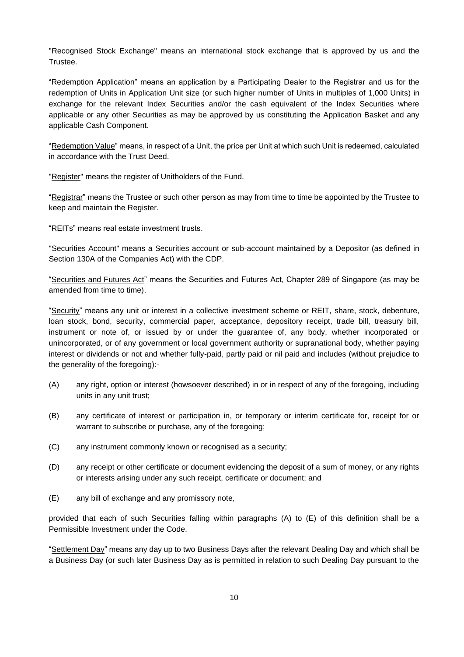"Recognised Stock Exchange" means an international stock exchange that is approved by us and the Trustee.

"Redemption Application" means an application by a Participating Dealer to the Registrar and us for the redemption of Units in Application Unit size (or such higher number of Units in multiples of 1,000 Units) in exchange for the relevant Index Securities and/or the cash equivalent of the Index Securities where applicable or any other Securities as may be approved by us constituting the Application Basket and any applicable Cash Component.

"Redemption Value" means, in respect of a Unit, the price per Unit at which such Unit is redeemed, calculated in accordance with the Trust Deed.

"Register" means the register of Unitholders of the Fund.

"Registrar" means the Trustee or such other person as may from time to time be appointed by the Trustee to keep and maintain the Register.

"REITs" means real estate investment trusts.

"Securities Account" means a Securities account or sub-account maintained by a Depositor (as defined in Section 130A of the Companies Act) with the CDP.

"Securities and Futures Act" means the Securities and Futures Act, Chapter 289 of Singapore (as may be amended from time to time).

"Security" means any unit or interest in a collective investment scheme or REIT, share, stock, debenture, loan stock, bond, security, commercial paper, acceptance, depository receipt, trade bill, treasury bill, instrument or note of, or issued by or under the guarantee of, any body, whether incorporated or unincorporated, or of any government or local government authority or supranational body, whether paying interest or dividends or not and whether fully-paid, partly paid or nil paid and includes (without prejudice to the generality of the foregoing):-

- (A) any right, option or interest (howsoever described) in or in respect of any of the foregoing, including units in any unit trust;
- (B) any certificate of interest or participation in, or temporary or interim certificate for, receipt for or warrant to subscribe or purchase, any of the foregoing;
- (C) any instrument commonly known or recognised as a security;
- (D) any receipt or other certificate or document evidencing the deposit of a sum of money, or any rights or interests arising under any such receipt, certificate or document; and
- (E) any bill of exchange and any promissory note,

provided that each of such Securities falling within paragraphs (A) to (E) of this definition shall be a Permissible Investment under the Code.

"Settlement Day" means any day up to two Business Days after the relevant Dealing Day and which shall be a Business Day (or such later Business Day as is permitted in relation to such Dealing Day pursuant to the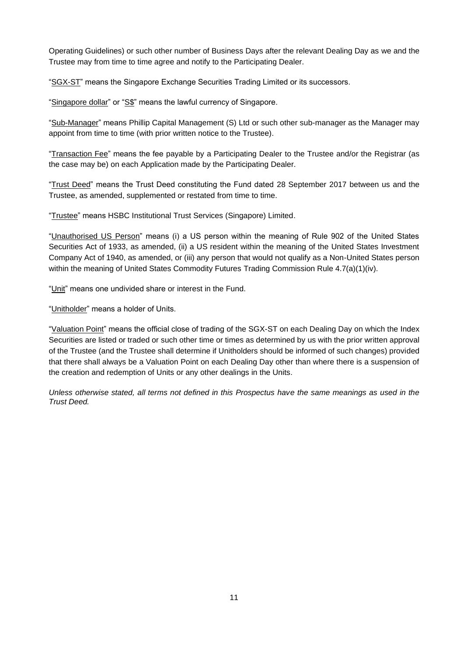Operating Guidelines) or such other number of Business Days after the relevant Dealing Day as we and the Trustee may from time to time agree and notify to the Participating Dealer.

"SGX-ST" means the Singapore Exchange Securities Trading Limited or its successors.

"Singapore dollar" or "S\$" means the lawful currency of Singapore.

"Sub-Manager" means Phillip Capital Management (S) Ltd or such other sub-manager as the Manager may appoint from time to time (with prior written notice to the Trustee).

"Transaction Fee" means the fee payable by a Participating Dealer to the Trustee and/or the Registrar (as the case may be) on each Application made by the Participating Dealer.

"Trust Deed" means the Trust Deed constituting the Fund dated 28 September 2017 between us and the Trustee, as amended, supplemented or restated from time to time.

"Trustee" means HSBC Institutional Trust Services (Singapore) Limited.

"Unauthorised US Person" means (i) a US person within the meaning of Rule 902 of the United States Securities Act of 1933, as amended, (ii) a US resident within the meaning of the United States Investment Company Act of 1940, as amended, or (iii) any person that would not qualify as a Non-United States person within the meaning of United States Commodity Futures Trading Commission Rule 4.7(a)(1)(iv).

"Unit" means one undivided share or interest in the Fund.

"Unitholder" means a holder of Units.

"Valuation Point" means the official close of trading of the SGX-ST on each Dealing Day on which the Index Securities are listed or traded or such other time or times as determined by us with the prior written approval of the Trustee (and the Trustee shall determine if Unitholders should be informed of such changes) provided that there shall always be a Valuation Point on each Dealing Day other than where there is a suspension of the creation and redemption of Units or any other dealings in the Units.

*Unless otherwise stated, all terms not defined in this Prospectus have the same meanings as used in the Trust Deed.*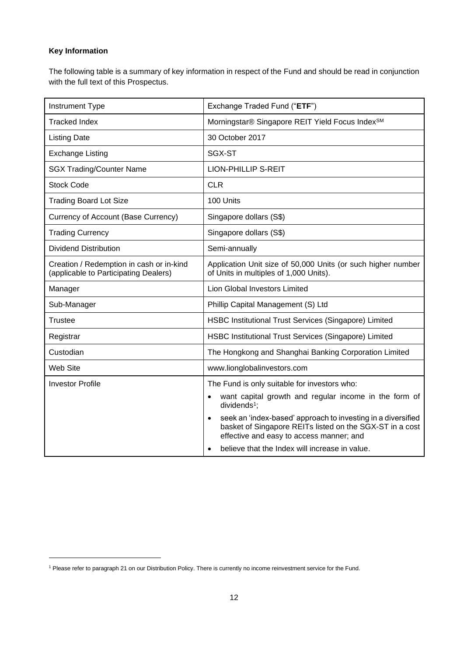# **Key Information**

The following table is a summary of key information in respect of the Fund and should be read in conjunction with the full text of this Prospectus.

| Instrument Type                                                                   | Exchange Traded Fund ("ETF")                                                                                                                                                      |
|-----------------------------------------------------------------------------------|-----------------------------------------------------------------------------------------------------------------------------------------------------------------------------------|
| <b>Tracked Index</b>                                                              | Morningstar® Singapore REIT Yield Focus Index <sup>SM</sup>                                                                                                                       |
| <b>Listing Date</b>                                                               | 30 October 2017                                                                                                                                                                   |
| <b>Exchange Listing</b>                                                           | SGX-ST                                                                                                                                                                            |
| <b>SGX Trading/Counter Name</b>                                                   | <b>LION-PHILLIP S-REIT</b>                                                                                                                                                        |
| <b>Stock Code</b>                                                                 | <b>CLR</b>                                                                                                                                                                        |
| <b>Trading Board Lot Size</b>                                                     | 100 Units                                                                                                                                                                         |
| Currency of Account (Base Currency)                                               | Singapore dollars (S\$)                                                                                                                                                           |
| <b>Trading Currency</b>                                                           | Singapore dollars (S\$)                                                                                                                                                           |
| <b>Dividend Distribution</b>                                                      | Semi-annually                                                                                                                                                                     |
| Creation / Redemption in cash or in-kind<br>(applicable to Participating Dealers) | Application Unit size of 50,000 Units (or such higher number<br>of Units in multiples of 1,000 Units).                                                                            |
| Manager                                                                           | Lion Global Investors Limited                                                                                                                                                     |
| Sub-Manager                                                                       | Phillip Capital Management (S) Ltd                                                                                                                                                |
| <b>Trustee</b>                                                                    | HSBC Institutional Trust Services (Singapore) Limited                                                                                                                             |
| Registrar                                                                         | HSBC Institutional Trust Services (Singapore) Limited                                                                                                                             |
| Custodian                                                                         | The Hongkong and Shanghai Banking Corporation Limited                                                                                                                             |
| Web Site                                                                          | www.lionglobalinvestors.com                                                                                                                                                       |
| <b>Investor Profile</b>                                                           | The Fund is only suitable for investors who:                                                                                                                                      |
|                                                                                   | want capital growth and regular income in the form of<br>$\bullet$<br>dividends <sup>1</sup> :                                                                                    |
|                                                                                   | seek an 'index-based' approach to investing in a diversified<br>$\bullet$<br>basket of Singapore REITs listed on the SGX-ST in a cost<br>effective and easy to access manner; and |
|                                                                                   | believe that the Index will increase in value.                                                                                                                                    |

<sup>1</sup> Please refer to paragraph 21 on our Distribution Policy. There is currently no income reinvestment service for the Fund.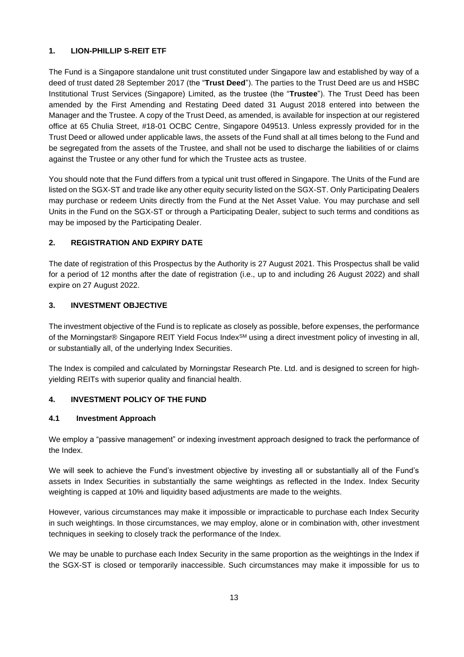## <span id="page-16-0"></span>**1. LION-PHILLIP S-REIT ETF**

The Fund is a Singapore standalone unit trust constituted under Singapore law and established by way of a deed of trust dated 28 September 2017 (the "**Trust Deed**"). The parties to the Trust Deed are us and HSBC Institutional Trust Services (Singapore) Limited, as the trustee (the "**Trustee**"). The Trust Deed has been amended by the First Amending and Restating Deed dated 31 August 2018 entered into between the Manager and the Trustee. A copy of the Trust Deed, as amended, is available for inspection at our registered office at 65 Chulia Street, #18-01 OCBC Centre, Singapore 049513. Unless expressly provided for in the Trust Deed or allowed under applicable laws, the assets of the Fund shall at all times belong to the Fund and be segregated from the assets of the Trustee, and shall not be used to discharge the liabilities of or claims against the Trustee or any other fund for which the Trustee acts as trustee.

You should note that the Fund differs from a typical unit trust offered in Singapore. The Units of the Fund are listed on the SGX-ST and trade like any other equity security listed on the SGX-ST. Only Participating Dealers may purchase or redeem Units directly from the Fund at the Net Asset Value. You may purchase and sell Units in the Fund on the SGX-ST or through a Participating Dealer, subject to such terms and conditions as may be imposed by the Participating Dealer.

# <span id="page-16-1"></span>**2. REGISTRATION AND EXPIRY DATE**

The date of registration of this Prospectus by the Authority is 27 August 2021. This Prospectus shall be valid for a period of 12 months after the date of registration (i.e., up to and including 26 August 2022) and shall expire on 27 August 2022.

# <span id="page-16-2"></span>**3. INVESTMENT OBJECTIVE**

The investment objective of the Fund is to replicate as closely as possible, before expenses, the performance of the Morningstar® Singapore REIT Yield Focus Index<sup>SM</sup> using a direct investment policy of investing in all, or substantially all, of the underlying Index Securities.

The Index is compiled and calculated by Morningstar Research Pte. Ltd. and is designed to screen for highyielding REITs with superior quality and financial health.

# <span id="page-16-3"></span>**4. INVESTMENT POLICY OF THE FUND**

## **4.1 Investment Approach**

We employ a "passive management" or indexing investment approach designed to track the performance of the Index.

We will seek to achieve the Fund's investment objective by investing all or substantially all of the Fund's assets in Index Securities in substantially the same weightings as reflected in the Index. Index Security weighting is capped at 10% and liquidity based adjustments are made to the weights.

However, various circumstances may make it impossible or impracticable to purchase each Index Security in such weightings. In those circumstances, we may employ, alone or in combination with, other investment techniques in seeking to closely track the performance of the Index.

We may be unable to purchase each Index Security in the same proportion as the weightings in the Index if the SGX-ST is closed or temporarily inaccessible. Such circumstances may make it impossible for us to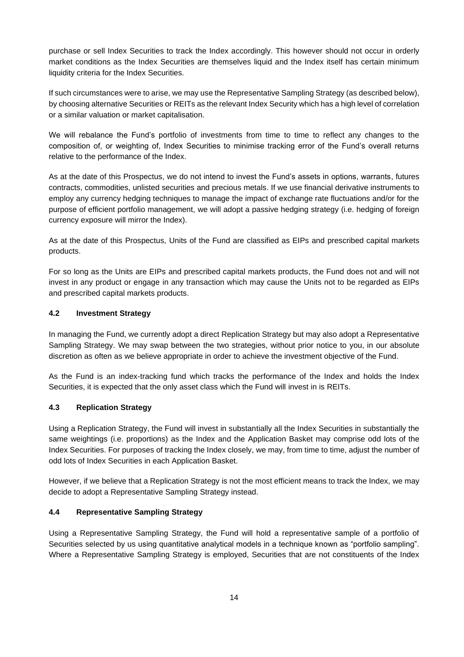purchase or sell Index Securities to track the Index accordingly. This however should not occur in orderly market conditions as the Index Securities are themselves liquid and the Index itself has certain minimum liquidity criteria for the Index Securities.

If such circumstances were to arise, we may use the Representative Sampling Strategy (as described below), by choosing alternative Securities or REITs as the relevant Index Security which has a high level of correlation or a similar valuation or market capitalisation.

We will rebalance the Fund's portfolio of investments from time to time to reflect any changes to the composition of, or weighting of, Index Securities to minimise tracking error of the Fund's overall returns relative to the performance of the Index.

As at the date of this Prospectus, we do not intend to invest the Fund's assets in options, warrants, futures contracts, commodities, unlisted securities and precious metals. If we use financial derivative instruments to employ any currency hedging techniques to manage the impact of exchange rate fluctuations and/or for the purpose of efficient portfolio management, we will adopt a passive hedging strategy (i.e. hedging of foreign currency exposure will mirror the Index).

As at the date of this Prospectus, Units of the Fund are classified as EIPs and prescribed capital markets products.

For so long as the Units are EIPs and prescribed capital markets products, the Fund does not and will not invest in any product or engage in any transaction which may cause the Units not to be regarded as EIPs and prescribed capital markets products.

## **4.2 Investment Strategy**

In managing the Fund, we currently adopt a direct Replication Strategy but may also adopt a Representative Sampling Strategy. We may swap between the two strategies, without prior notice to you, in our absolute discretion as often as we believe appropriate in order to achieve the investment objective of the Fund.

As the Fund is an index-tracking fund which tracks the performance of the Index and holds the Index Securities, it is expected that the only asset class which the Fund will invest in is REITs.

## **4.3 Replication Strategy**

Using a Replication Strategy, the Fund will invest in substantially all the Index Securities in substantially the same weightings (i.e. proportions) as the Index and the Application Basket may comprise odd lots of the Index Securities. For purposes of tracking the Index closely, we may, from time to time, adjust the number of odd lots of Index Securities in each Application Basket.

However, if we believe that a Replication Strategy is not the most efficient means to track the Index, we may decide to adopt a Representative Sampling Strategy instead.

## **4.4 Representative Sampling Strategy**

Using a Representative Sampling Strategy, the Fund will hold a representative sample of a portfolio of Securities selected by us using quantitative analytical models in a technique known as "portfolio sampling". Where a Representative Sampling Strategy is employed, Securities that are not constituents of the Index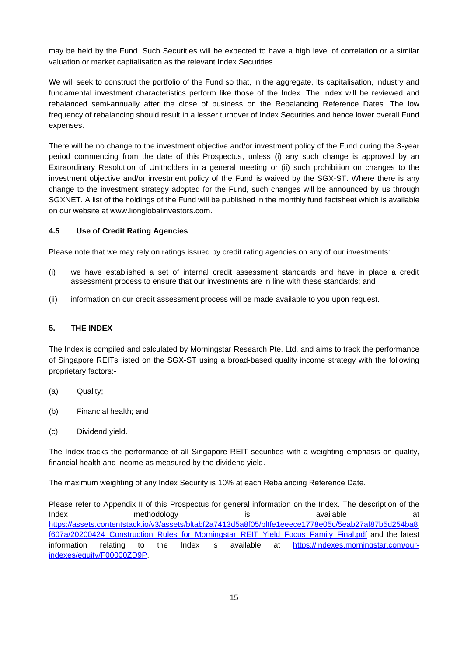may be held by the Fund. Such Securities will be expected to have a high level of correlation or a similar valuation or market capitalisation as the relevant Index Securities.

We will seek to construct the portfolio of the Fund so that, in the aggregate, its capitalisation, industry and fundamental investment characteristics perform like those of the Index. The Index will be reviewed and rebalanced semi-annually after the close of business on the Rebalancing Reference Dates. The low frequency of rebalancing should result in a lesser turnover of Index Securities and hence lower overall Fund expenses.

There will be no change to the investment objective and/or investment policy of the Fund during the 3-year period commencing from the date of this Prospectus, unless (i) any such change is approved by an Extraordinary Resolution of Unitholders in a general meeting or (ii) such prohibition on changes to the investment objective and/or investment policy of the Fund is waived by the SGX-ST. Where there is any change to the investment strategy adopted for the Fund, such changes will be announced by us through SGXNET. A list of the holdings of the Fund will be published in the monthly fund factsheet which is available on our website at www.lionglobalinvestors.com.

#### **4.5 Use of Credit Rating Agencies**

Please note that we may rely on ratings issued by credit rating agencies on any of our investments:

- (i) we have established a set of internal credit assessment standards and have in place a credit assessment process to ensure that our investments are in line with these standards; and
- (ii) information on our credit assessment process will be made available to you upon request.

#### <span id="page-18-0"></span>**5. THE INDEX**

The Index is compiled and calculated by Morningstar Research Pte. Ltd. and aims to track the performance of Singapore REITs listed on the SGX-ST using a broad-based quality income strategy with the following proprietary factors:-

- (a) Quality;
- (b) Financial health; and
- (c) Dividend yield.

The Index tracks the performance of all Singapore REIT securities with a weighting emphasis on quality, financial health and income as measured by the dividend yield.

The maximum weighting of any Index Security is 10% at each Rebalancing Reference Date.

Please refer to Appendix II of this Prospectus for general information on the Index. The description of the Index **methodology** is available at a straight and a methodology is a variable at a contract at a methodology and a variable at a variable at a variable at  $\alpha$ https://assets.contentstack.io/v3/assets/bltabf2a7413d5a8f05/bltfe1eeece1778e05c/5eab27af87b5d254ba8 f607a/20200424\_Construction\_Rules\_for\_Morningstar\_REIT\_Yield\_Focus\_Family\_Final.pdf and the latest information relating to the Index is available at [https://indexes.morningstar.com/our](https://indexes.morningstar.com/our-indexes/equity/F00000ZD9P)[indexes/equity/F00000ZD9P.](https://indexes.morningstar.com/our-indexes/equity/F00000ZD9P)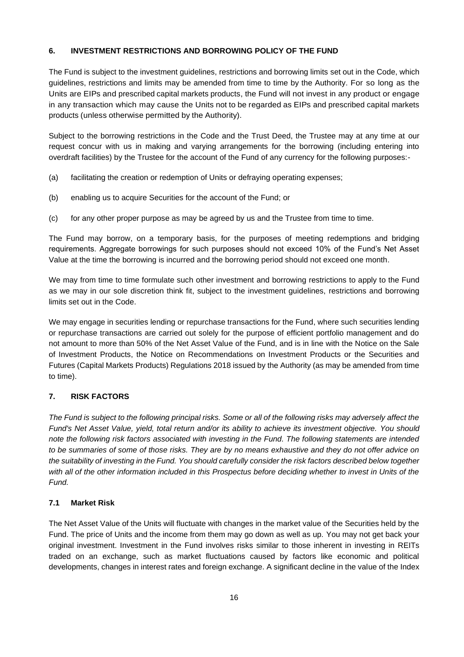# <span id="page-19-0"></span>**6. INVESTMENT RESTRICTIONS AND BORROWING POLICY OF THE FUND**

The Fund is subject to the investment guidelines, restrictions and borrowing limits set out in the Code, which guidelines, restrictions and limits may be amended from time to time by the Authority. For so long as the Units are EIPs and prescribed capital markets products, the Fund will not invest in any product or engage in any transaction which may cause the Units not to be regarded as EIPs and prescribed capital markets products (unless otherwise permitted by the Authority).

Subject to the borrowing restrictions in the Code and the Trust Deed, the Trustee may at any time at our request concur with us in making and varying arrangements for the borrowing (including entering into overdraft facilities) by the Trustee for the account of the Fund of any currency for the following purposes:-

- (a) facilitating the creation or redemption of Units or defraying operating expenses;
- (b) enabling us to acquire Securities for the account of the Fund; or
- (c) for any other proper purpose as may be agreed by us and the Trustee from time to time.

The Fund may borrow, on a temporary basis, for the purposes of meeting redemptions and bridging requirements. Aggregate borrowings for such purposes should not exceed 10% of the Fund's Net Asset Value at the time the borrowing is incurred and the borrowing period should not exceed one month.

We may from time to time formulate such other investment and borrowing restrictions to apply to the Fund as we may in our sole discretion think fit, subject to the investment guidelines, restrictions and borrowing limits set out in the Code.

We may engage in securities lending or repurchase transactions for the Fund, where such securities lending or repurchase transactions are carried out solely for the purpose of efficient portfolio management and do not amount to more than 50% of the Net Asset Value of the Fund, and is in line with the Notice on the Sale of Investment Products, the Notice on Recommendations on Investment Products or the Securities and Futures (Capital Markets Products) Regulations 2018 issued by the Authority (as may be amended from time to time).

# <span id="page-19-1"></span>**7. RISK FACTORS**

*The Fund is subject to the following principal risks. Some or all of the following risks may adversely affect the Fund's Net Asset Value, yield, total return and/or its ability to achieve its investment objective. You should note the following risk factors associated with investing in the Fund. The following statements are intended to be summaries of some of those risks. They are by no means exhaustive and they do not offer advice on the suitability of investing in the Fund. You should carefully consider the risk factors described below together*  with all of the other information included in this Prospectus before deciding whether to invest in Units of the *Fund.* 

## **7.1 Market Risk**

The Net Asset Value of the Units will fluctuate with changes in the market value of the Securities held by the Fund. The price of Units and the income from them may go down as well as up. You may not get back your original investment. Investment in the Fund involves risks similar to those inherent in investing in REITs traded on an exchange, such as market fluctuations caused by factors like economic and political developments, changes in interest rates and foreign exchange. A significant decline in the value of the Index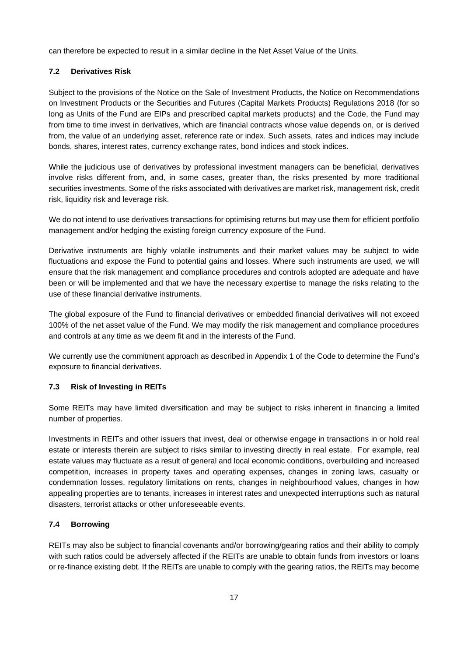can therefore be expected to result in a similar decline in the Net Asset Value of the Units.

## **7.2 Derivatives Risk**

Subject to the provisions of the Notice on the Sale of Investment Products, the Notice on Recommendations on Investment Products or the Securities and Futures (Capital Markets Products) Regulations 2018 (for so long as Units of the Fund are EIPs and prescribed capital markets products) and the Code, the Fund may from time to time invest in derivatives, which are financial contracts whose value depends on, or is derived from, the value of an underlying asset, reference rate or index. Such assets, rates and indices may include bonds, shares, interest rates, currency exchange rates, bond indices and stock indices.

While the judicious use of derivatives by professional investment managers can be beneficial, derivatives involve risks different from, and, in some cases, greater than, the risks presented by more traditional securities investments. Some of the risks associated with derivatives are market risk, management risk, credit risk, liquidity risk and leverage risk.

We do not intend to use derivatives transactions for optimising returns but may use them for efficient portfolio management and/or hedging the existing foreign currency exposure of the Fund.

Derivative instruments are highly volatile instruments and their market values may be subject to wide fluctuations and expose the Fund to potential gains and losses. Where such instruments are used, we will ensure that the risk management and compliance procedures and controls adopted are adequate and have been or will be implemented and that we have the necessary expertise to manage the risks relating to the use of these financial derivative instruments.

The global exposure of the Fund to financial derivatives or embedded financial derivatives will not exceed 100% of the net asset value of the Fund. We may modify the risk management and compliance procedures and controls at any time as we deem fit and in the interests of the Fund.

We currently use the commitment approach as described in Appendix 1 of the Code to determine the Fund's exposure to financial derivatives.

## **7.3 Risk of Investing in REITs**

Some REITs may have limited diversification and may be subject to risks inherent in financing a limited number of properties.

Investments in REITs and other issuers that invest, deal or otherwise engage in transactions in or hold real estate or interests therein are subject to risks similar to investing directly in real estate. For example, real estate values may fluctuate as a result of general and local economic conditions, overbuilding and increased competition, increases in property taxes and operating expenses, changes in zoning laws, casualty or condemnation losses, regulatory limitations on rents, changes in neighbourhood values, changes in how appealing properties are to tenants, increases in interest rates and unexpected interruptions such as natural disasters, terrorist attacks or other unforeseeable events.

## **7.4 Borrowing**

REITs may also be subject to financial covenants and/or borrowing/gearing ratios and their ability to comply with such ratios could be adversely affected if the REITs are unable to obtain funds from investors or loans or re-finance existing debt. If the REITs are unable to comply with the gearing ratios, the REITs may become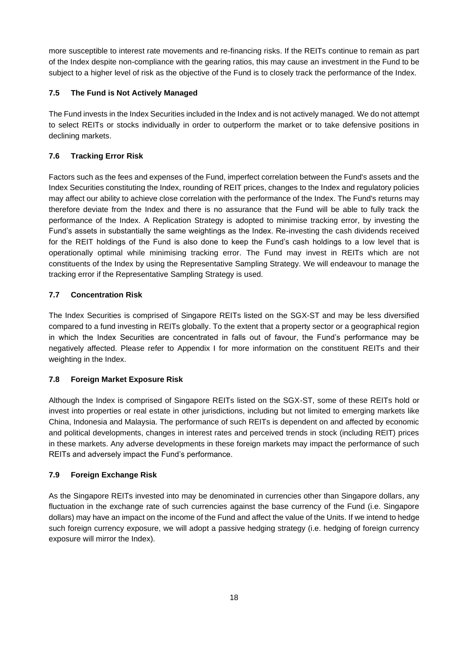more susceptible to interest rate movements and re-financing risks. If the REITs continue to remain as part of the Index despite non-compliance with the gearing ratios, this may cause an investment in the Fund to be subject to a higher level of risk as the objective of the Fund is to closely track the performance of the Index.

# **7.5 The Fund is Not Actively Managed**

The Fund invests in the Index Securities included in the Index and is not actively managed. We do not attempt to select REITs or stocks individually in order to outperform the market or to take defensive positions in declining markets.

# **7.6 Tracking Error Risk**

Factors such as the fees and expenses of the Fund, imperfect correlation between the Fund's assets and the Index Securities constituting the Index, rounding of REIT prices, changes to the Index and regulatory policies may affect our ability to achieve close correlation with the performance of the Index. The Fund's returns may therefore deviate from the Index and there is no assurance that the Fund will be able to fully track the performance of the Index. A Replication Strategy is adopted to minimise tracking error, by investing the Fund's assets in substantially the same weightings as the Index. Re-investing the cash dividends received for the REIT holdings of the Fund is also done to keep the Fund's cash holdings to a low level that is operationally optimal while minimising tracking error. The Fund may invest in REITs which are not constituents of the Index by using the Representative Sampling Strategy. We will endeavour to manage the tracking error if the Representative Sampling Strategy is used.

# **7.7 Concentration Risk**

The Index Securities is comprised of Singapore REITs listed on the SGX-ST and may be less diversified compared to a fund investing in REITs globally. To the extent that a property sector or a geographical region in which the Index Securities are concentrated in falls out of favour, the Fund's performance may be negatively affected. Please refer to Appendix I for more information on the constituent REITs and their weighting in the Index.

## **7.8 Foreign Market Exposure Risk**

Although the Index is comprised of Singapore REITs listed on the SGX-ST, some of these REITs hold or invest into properties or real estate in other jurisdictions, including but not limited to emerging markets like China, Indonesia and Malaysia. The performance of such REITs is dependent on and affected by economic and political developments, changes in interest rates and perceived trends in stock (including REIT) prices in these markets. Any adverse developments in these foreign markets may impact the performance of such REITs and adversely impact the Fund's performance.

## **7.9 Foreign Exchange Risk**

As the Singapore REITs invested into may be denominated in currencies other than Singapore dollars, any fluctuation in the exchange rate of such currencies against the base currency of the Fund (i.e. Singapore dollars) may have an impact on the income of the Fund and affect the value of the Units. If we intend to hedge such foreign currency exposure, we will adopt a passive hedging strategy (i.e. hedging of foreign currency exposure will mirror the Index).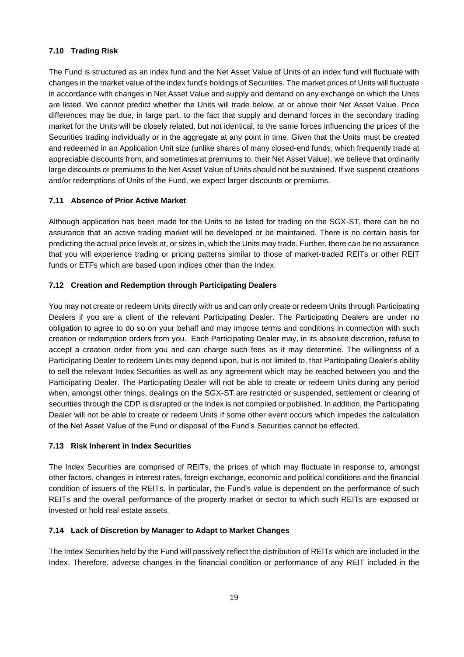# **7.10 Trading Risk**

The Fund is structured as an index fund and the Net Asset Value of Units of an index fund will fluctuate with changes in the market value of the index fund's holdings of Securities. The market prices of Units will fluctuate in accordance with changes in Net Asset Value and supply and demand on any exchange on which the Units are listed. We cannot predict whether the Units will trade below, at or above their Net Asset Value. Price differences may be due, in large part, to the fact that supply and demand forces in the secondary trading market for the Units will be closely related, but not identical, to the same forces influencing the prices of the Securities trading individually or in the aggregate at any point in time. Given that the Units must be created and redeemed in an Application Unit size (unlike shares of many closed-end funds, which frequently trade at appreciable discounts from, and sometimes at premiums to, their Net Asset Value), we believe that ordinarily large discounts or premiums to the Net Asset Value of Units should not be sustained. If we suspend creations and/or redemptions of Units of the Fund, we expect larger discounts or premiums.

# **7.11 Absence of Prior Active Market**

Although application has been made for the Units to be listed for trading on the SGX-ST, there can be no assurance that an active trading market will be developed or be maintained. There is no certain basis for predicting the actual price levels at, or sizes in, which the Units may trade. Further, there can be no assurance that you will experience trading or pricing patterns similar to those of market-traded REITs or other REIT funds or ETFs which are based upon indices other than the Index.

# **7.12 Creation and Redemption through Participating Dealers**

You may not create or redeem Units directly with us and can only create or redeem Units through Participating Dealers if you are a client of the relevant Participating Dealer. The Participating Dealers are under no obligation to agree to do so on your behalf and may impose terms and conditions in connection with such creation or redemption orders from you. Each Participating Dealer may, in its absolute discretion, refuse to accept a creation order from you and can charge such fees as it may determine. The willingness of a Participating Dealer to redeem Units may depend upon, but is not limited to, that Participating Dealer's ability to sell the relevant Index Securities as well as any agreement which may be reached between you and the Participating Dealer. The Participating Dealer will not be able to create or redeem Units during any period when, amongst other things, dealings on the SGX-ST are restricted or suspended, settlement or clearing of securities through the CDP is disrupted or the Index is not compiled or published. In addition, the Participating Dealer will not be able to create or redeem Units if some other event occurs which impedes the calculation of the Net Asset Value of the Fund or disposal of the Fund's Securities cannot be effected.

## **7.13 Risk Inherent in Index Securities**

The Index Securities are comprised of REITs, the prices of which may fluctuate in response to, amongst other factors, changes in interest rates, foreign exchange, economic and political conditions and the financial condition of issuers of the REITs. In particular, the Fund's value is dependent on the performance of such REITs and the overall performance of the property market or sector to which such REITs are exposed or invested or hold real estate assets.

## **7.14 Lack of Discretion by Manager to Adapt to Market Changes**

The Index Securities held by the Fund will passively reflect the distribution of REITs which are included in the Index. Therefore, adverse changes in the financial condition or performance of any REIT included in the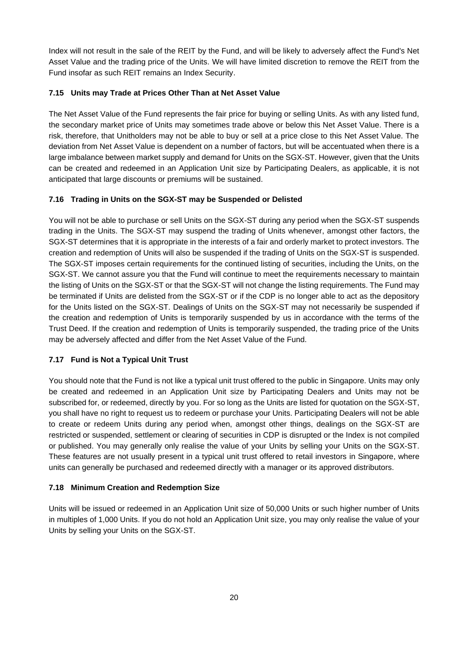Index will not result in the sale of the REIT by the Fund, and will be likely to adversely affect the Fund's Net Asset Value and the trading price of the Units. We will have limited discretion to remove the REIT from the Fund insofar as such REIT remains an Index Security.

## **7.15 Units may Trade at Prices Other Than at Net Asset Value**

The Net Asset Value of the Fund represents the fair price for buying or selling Units. As with any listed fund, the secondary market price of Units may sometimes trade above or below this Net Asset Value. There is a risk, therefore, that Unitholders may not be able to buy or sell at a price close to this Net Asset Value. The deviation from Net Asset Value is dependent on a number of factors, but will be accentuated when there is a large imbalance between market supply and demand for Units on the SGX-ST. However, given that the Units can be created and redeemed in an Application Unit size by Participating Dealers, as applicable, it is not anticipated that large discounts or premiums will be sustained.

# **7.16 Trading in Units on the SGX-ST may be Suspended or Delisted**

You will not be able to purchase or sell Units on the SGX-ST during any period when the SGX-ST suspends trading in the Units. The SGX-ST may suspend the trading of Units whenever, amongst other factors, the SGX-ST determines that it is appropriate in the interests of a fair and orderly market to protect investors. The creation and redemption of Units will also be suspended if the trading of Units on the SGX-ST is suspended. The SGX-ST imposes certain requirements for the continued listing of securities, including the Units, on the SGX-ST. We cannot assure you that the Fund will continue to meet the requirements necessary to maintain the listing of Units on the SGX-ST or that the SGX-ST will not change the listing requirements. The Fund may be terminated if Units are delisted from the SGX-ST or if the CDP is no longer able to act as the depository for the Units listed on the SGX-ST. Dealings of Units on the SGX-ST may not necessarily be suspended if the creation and redemption of Units is temporarily suspended by us in accordance with the terms of the Trust Deed. If the creation and redemption of Units is temporarily suspended, the trading price of the Units may be adversely affected and differ from the Net Asset Value of the Fund.

# **7.17 Fund is Not a Typical Unit Trust**

You should note that the Fund is not like a typical unit trust offered to the public in Singapore. Units may only be created and redeemed in an Application Unit size by Participating Dealers and Units may not be subscribed for, or redeemed, directly by you. For so long as the Units are listed for quotation on the SGX-ST, you shall have no right to request us to redeem or purchase your Units. Participating Dealers will not be able to create or redeem Units during any period when, amongst other things, dealings on the SGX-ST are restricted or suspended, settlement or clearing of securities in CDP is disrupted or the Index is not compiled or published. You may generally only realise the value of your Units by selling your Units on the SGX-ST. These features are not usually present in a typical unit trust offered to retail investors in Singapore, where units can generally be purchased and redeemed directly with a manager or its approved distributors.

# **7.18 Minimum Creation and Redemption Size**

Units will be issued or redeemed in an Application Unit size of 50,000 Units or such higher number of Units in multiples of 1,000 Units. If you do not hold an Application Unit size, you may only realise the value of your Units by selling your Units on the SGX-ST.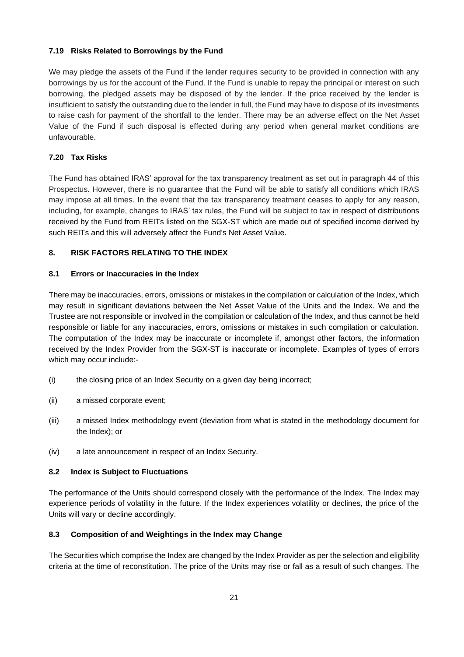## **7.19 Risks Related to Borrowings by the Fund**

We may pledge the assets of the Fund if the lender requires security to be provided in connection with any borrowings by us for the account of the Fund. If the Fund is unable to repay the principal or interest on such borrowing, the pledged assets may be disposed of by the lender. If the price received by the lender is insufficient to satisfy the outstanding due to the lender in full, the Fund may have to dispose of its investments to raise cash for payment of the shortfall to the lender. There may be an adverse effect on the Net Asset Value of the Fund if such disposal is effected during any period when general market conditions are unfavourable.

# **7.20 Tax Risks**

The Fund has obtained IRAS' approval for the tax transparency treatment as set out in paragraph 44 of this Prospectus. However, there is no guarantee that the Fund will be able to satisfy all conditions which IRAS may impose at all times. In the event that the tax transparency treatment ceases to apply for any reason, including, for example, changes to IRAS' tax rules, the Fund will be subject to tax in respect of distributions received by the Fund from REITs listed on the SGX-ST which are made out of specified income derived by such REITs and this will adversely affect the Fund's Net Asset Value.

# <span id="page-24-0"></span>**8. RISK FACTORS RELATING TO THE INDEX**

## **8.1 Errors or Inaccuracies in the Index**

There may be inaccuracies, errors, omissions or mistakes in the compilation or calculation of the Index, which may result in significant deviations between the Net Asset Value of the Units and the Index. We and the Trustee are not responsible or involved in the compilation or calculation of the Index, and thus cannot be held responsible or liable for any inaccuracies, errors, omissions or mistakes in such compilation or calculation. The computation of the Index may be inaccurate or incomplete if, amongst other factors, the information received by the Index Provider from the SGX-ST is inaccurate or incomplete. Examples of types of errors which may occur include:-

- (i) the closing price of an Index Security on a given day being incorrect;
- (ii) a missed corporate event;
- (iii) a missed Index methodology event (deviation from what is stated in the methodology document for the Index); or
- (iv) a late announcement in respect of an Index Security.

## **8.2 Index is Subject to Fluctuations**

The performance of the Units should correspond closely with the performance of the Index. The Index may experience periods of volatility in the future. If the Index experiences volatility or declines, the price of the Units will vary or decline accordingly.

## **8.3 Composition of and Weightings in the Index may Change**

The Securities which comprise the Index are changed by the Index Provider as per the selection and eligibility criteria at the time of reconstitution. The price of the Units may rise or fall as a result of such changes. The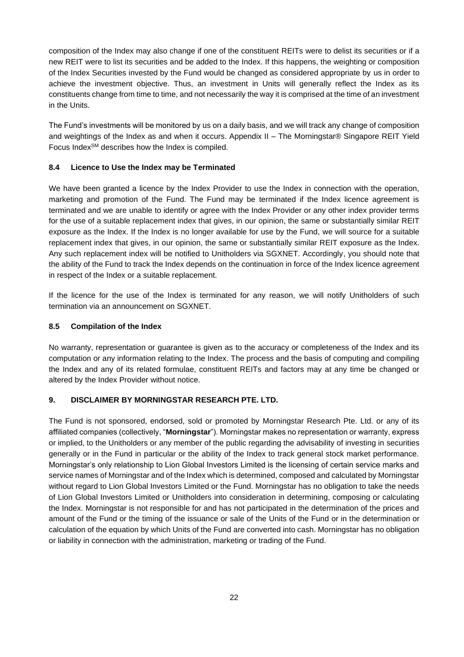composition of the Index may also change if one of the constituent REITs were to delist its securities or if a new REIT were to list its securities and be added to the Index. If this happens, the weighting or composition of the Index Securities invested by the Fund would be changed as considered appropriate by us in order to achieve the investment objective. Thus, an investment in Units will generally reflect the Index as its constituents change from time to time, and not necessarily the way it is comprised at the time of an investment in the Units.

The Fund's investments will be monitored by us on a daily basis, and we will track any change of composition and weightings of the Index as and when it occurs. Appendix II – The Morningstar® Singapore REIT Yield Focus IndexSM describes how the Index is compiled.

# **8.4 Licence to Use the Index may be Terminated**

We have been granted a licence by the Index Provider to use the Index in connection with the operation, marketing and promotion of the Fund. The Fund may be terminated if the Index licence agreement is terminated and we are unable to identify or agree with the Index Provider or any other index provider terms for the use of a suitable replacement index that gives, in our opinion, the same or substantially similar REIT exposure as the Index. If the Index is no longer available for use by the Fund, we will source for a suitable replacement index that gives, in our opinion, the same or substantially similar REIT exposure as the Index. Any such replacement index will be notified to Unitholders via SGXNET. Accordingly, you should note that the ability of the Fund to track the Index depends on the continuation in force of the Index licence agreement in respect of the Index or a suitable replacement.

If the licence for the use of the Index is terminated for any reason, we will notify Unitholders of such termination via an announcement on SGXNET.

#### **8.5 Compilation of the Index**

No warranty, representation or guarantee is given as to the accuracy or completeness of the Index and its computation or any information relating to the Index. The process and the basis of computing and compiling the Index and any of its related formulae, constituent REITs and factors may at any time be changed or altered by the Index Provider without notice.

#### <span id="page-25-0"></span>**9. DISCLAIMER BY MORNINGSTAR RESEARCH PTE. LTD.**

The Fund is not sponsored, endorsed, sold or promoted by Morningstar Research Pte. Ltd. or any of its affiliated companies (collectively, "**Morningstar**"). Morningstar makes no representation or warranty, express or implied, to the Unitholders or any member of the public regarding the advisability of investing in securities generally or in the Fund in particular or the ability of the Index to track general stock market performance. Morningstar's only relationship to Lion Global Investors Limited is the licensing of certain service marks and service names of Morningstar and of the Index which is determined, composed and calculated by Morningstar without regard to Lion Global Investors Limited or the Fund. Morningstar has no obligation to take the needs of Lion Global Investors Limited or Unitholders into consideration in determining, composing or calculating the Index. Morningstar is not responsible for and has not participated in the determination of the prices and amount of the Fund or the timing of the issuance or sale of the Units of the Fund or in the determination or calculation of the equation by which Units of the Fund are converted into cash. Morningstar has no obligation or liability in connection with the administration, marketing or trading of the Fund.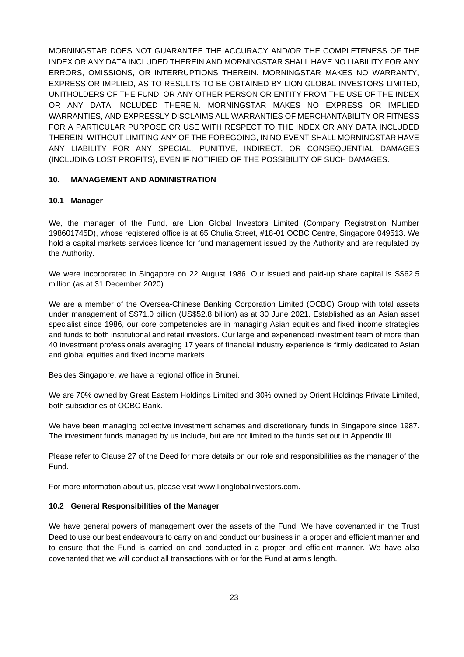MORNINGSTAR DOES NOT GUARANTEE THE ACCURACY AND/OR THE COMPLETENESS OF THE INDEX OR ANY DATA INCLUDED THEREIN AND MORNINGSTAR SHALL HAVE NO LIABILITY FOR ANY ERRORS, OMISSIONS, OR INTERRUPTIONS THEREIN. MORNINGSTAR MAKES NO WARRANTY, EXPRESS OR IMPLIED, AS TO RESULTS TO BE OBTAINED BY LION GLOBAL INVESTORS LIMITED, UNITHOLDERS OF THE FUND, OR ANY OTHER PERSON OR ENTITY FROM THE USE OF THE INDEX OR ANY DATA INCLUDED THEREIN. MORNINGSTAR MAKES NO EXPRESS OR IMPLIED WARRANTIES, AND EXPRESSLY DISCLAIMS ALL WARRANTIES OF MERCHANTABILITY OR FITNESS FOR A PARTICULAR PURPOSE OR USE WITH RESPECT TO THE INDEX OR ANY DATA INCLUDED THEREIN. WITHOUT LIMITING ANY OF THE FOREGOING, IN NO EVENT SHALL MORNINGSTAR HAVE ANY LIABILITY FOR ANY SPECIAL, PUNITIVE, INDIRECT, OR CONSEQUENTIAL DAMAGES (INCLUDING LOST PROFITS), EVEN IF NOTIFIED OF THE POSSIBILITY OF SUCH DAMAGES.

#### <span id="page-26-0"></span>**10. MANAGEMENT AND ADMINISTRATION**

#### **10.1 Manager**

We, the manager of the Fund, are Lion Global Investors Limited (Company Registration Number 198601745D), whose registered office is at 65 Chulia Street, #18-01 OCBC Centre, Singapore 049513. We hold a capital markets services licence for fund management issued by the Authority and are regulated by the Authority.

We were incorporated in Singapore on 22 August 1986. Our issued and paid-up share capital is S\$62.5 million (as at 31 December 2020).

We are a member of the Oversea-Chinese Banking Corporation Limited (OCBC) Group with total assets under management of S\$71.0 billion (US\$52.8 billion) as at 30 June 2021. Established as an Asian asset specialist since 1986, our core competencies are in managing Asian equities and fixed income strategies and funds to both institutional and retail investors. Our large and experienced investment team of more than 40 investment professionals averaging 17 years of financial industry experience is firmly dedicated to Asian and global equities and fixed income markets.

Besides Singapore, we have a regional office in Brunei.

We are 70% owned by Great Eastern Holdings Limited and 30% owned by Orient Holdings Private Limited, both subsidiaries of OCBC Bank.

We have been managing collective investment schemes and discretionary funds in Singapore since 1987. The investment funds managed by us include, but are not limited to the funds set out in Appendix III.

Please refer to Clause 27 of the Deed for more details on our role and responsibilities as the manager of the Fund.

For more information about us, please visit [www.lionglobalinvestors.com.](http://www.lionglobalinvestors.com/)

#### **10.2 General Responsibilities of the Manager**

We have general powers of management over the assets of the Fund. We have covenanted in the Trust Deed to use our best endeavours to carry on and conduct our business in a proper and efficient manner and to ensure that the Fund is carried on and conducted in a proper and efficient manner. We have also covenanted that we will conduct all transactions with or for the Fund at arm's length.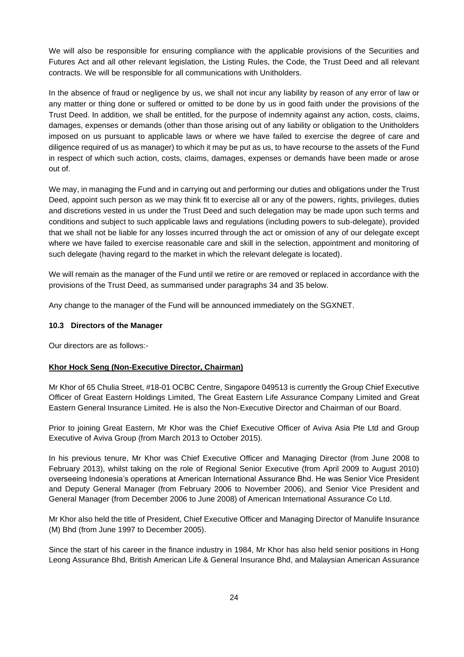We will also be responsible for ensuring compliance with the applicable provisions of the Securities and Futures Act and all other relevant legislation, the Listing Rules, the Code, the Trust Deed and all relevant contracts. We will be responsible for all communications with Unitholders.

In the absence of fraud or negligence by us, we shall not incur any liability by reason of any error of law or any matter or thing done or suffered or omitted to be done by us in good faith under the provisions of the Trust Deed. In addition, we shall be entitled, for the purpose of indemnity against any action, costs, claims, damages, expenses or demands (other than those arising out of any liability or obligation to the Unitholders imposed on us pursuant to applicable laws or where we have failed to exercise the degree of care and diligence required of us as manager) to which it may be put as us, to have recourse to the assets of the Fund in respect of which such action, costs, claims, damages, expenses or demands have been made or arose out of.

We may, in managing the Fund and in carrying out and performing our duties and obligations under the Trust Deed, appoint such person as we may think fit to exercise all or any of the powers, rights, privileges, duties and discretions vested in us under the Trust Deed and such delegation may be made upon such terms and conditions and subject to such applicable laws and regulations (including powers to sub-delegate), provided that we shall not be liable for any losses incurred through the act or omission of any of our delegate except where we have failed to exercise reasonable care and skill in the selection, appointment and monitoring of such delegate (having regard to the market in which the relevant delegate is located).

We will remain as the manager of the Fund until we retire or are removed or replaced in accordance with the provisions of the Trust Deed, as summarised under paragraphs 34 and 35 below.

Any change to the manager of the Fund will be announced immediately on the SGXNET.

#### **10.3 Directors of the Manager**

Our directors are as follows:-

#### **Khor Hock Seng (Non-Executive Director, Chairman)**

Mr Khor of 65 Chulia Street, #18-01 OCBC Centre, Singapore 049513 is currently the Group Chief Executive Officer of Great Eastern Holdings Limited, The Great Eastern Life Assurance Company Limited and Great Eastern General Insurance Limited. He is also the Non-Executive Director and Chairman of our Board.

Prior to joining Great Eastern, Mr Khor was the Chief Executive Officer of Aviva Asia Pte Ltd and Group Executive of Aviva Group (from March 2013 to October 2015).

In his previous tenure, Mr Khor was Chief Executive Officer and Managing Director (from June 2008 to February 2013), whilst taking on the role of Regional Senior Executive (from April 2009 to August 2010) overseeing Indonesia's operations at American International Assurance Bhd. He was Senior Vice President and Deputy General Manager (from February 2006 to November 2006), and Senior Vice President and General Manager (from December 2006 to June 2008) of American International Assurance Co Ltd.

Mr Khor also held the title of President, Chief Executive Officer and Managing Director of Manulife Insurance (M) Bhd (from June 1997 to December 2005).

Since the start of his career in the finance industry in 1984, Mr Khor has also held senior positions in Hong Leong Assurance Bhd, British American Life & General Insurance Bhd, and Malaysian American Assurance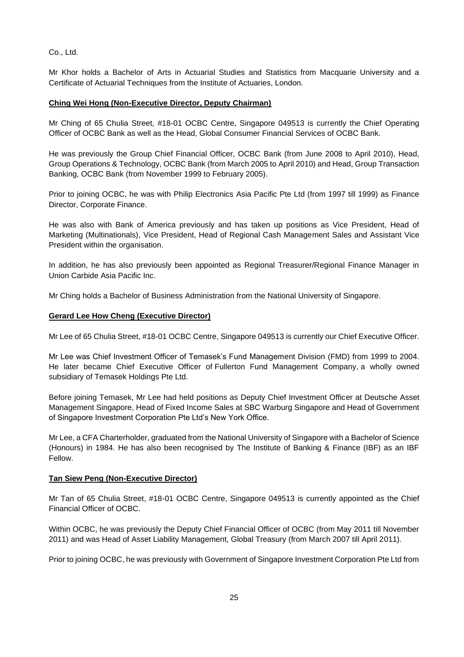Co., Ltd.

Mr Khor holds a Bachelor of Arts in Actuarial Studies and Statistics from Macquarie University and a Certificate of Actuarial Techniques from the Institute of Actuaries, London.

#### **Ching Wei Hong (Non-Executive Director, Deputy Chairman)**

Mr Ching of 65 Chulia Street, #18-01 OCBC Centre, Singapore 049513 is currently the Chief Operating Officer of OCBC Bank as well as the Head, Global Consumer Financial Services of OCBC Bank.

He was previously the Group Chief Financial Officer, OCBC Bank (from June 2008 to April 2010), Head, Group Operations & Technology, OCBC Bank (from March 2005 to April 2010) and Head, Group Transaction Banking, OCBC Bank (from November 1999 to February 2005).

Prior to joining OCBC, he was with Philip Electronics Asia Pacific Pte Ltd (from 1997 till 1999) as Finance Director, Corporate Finance.

He was also with Bank of America previously and has taken up positions as Vice President, Head of Marketing (Multinationals), Vice President, Head of Regional Cash Management Sales and Assistant Vice President within the organisation.

In addition, he has also previously been appointed as Regional Treasurer/Regional Finance Manager in Union Carbide Asia Pacific Inc.

Mr Ching holds a Bachelor of Business Administration from the National University of Singapore.

#### **Gerard Lee How Cheng (Executive Director)**

Mr Lee of 65 Chulia Street, #18-01 OCBC Centre, Singapore 049513 is currently our Chief Executive Officer.

Mr Lee was Chief Investment Officer of Temasek's Fund Management Division (FMD) from 1999 to 2004. He later became Chief Executive Officer of Fullerton Fund Management Company, a wholly owned subsidiary of Temasek Holdings Pte Ltd.

Before joining Temasek, Mr Lee had held positions as Deputy Chief Investment Officer at Deutsche Asset Management Singapore, Head of Fixed Income Sales at SBC Warburg Singapore and Head of Government of Singapore Investment Corporation Pte Ltd's New York Office.

Mr Lee, a CFA Charterholder, graduated from the National University of Singapore with a Bachelor of Science (Honours) in 1984. He has also been recognised by The Institute of Banking & Finance (IBF) as an IBF Fellow.

#### **Tan Siew Peng (Non-Executive Director)**

Mr Tan of 65 Chulia Street, #18-01 OCBC Centre, Singapore 049513 is currently appointed as the Chief Financial Officer of OCBC.

Within OCBC, he was previously the Deputy Chief Financial Officer of OCBC (from May 2011 till November 2011) and was Head of Asset Liability Management, Global Treasury (from March 2007 till April 2011).

Prior to joining OCBC, he was previously with Government of Singapore Investment Corporation Pte Ltd from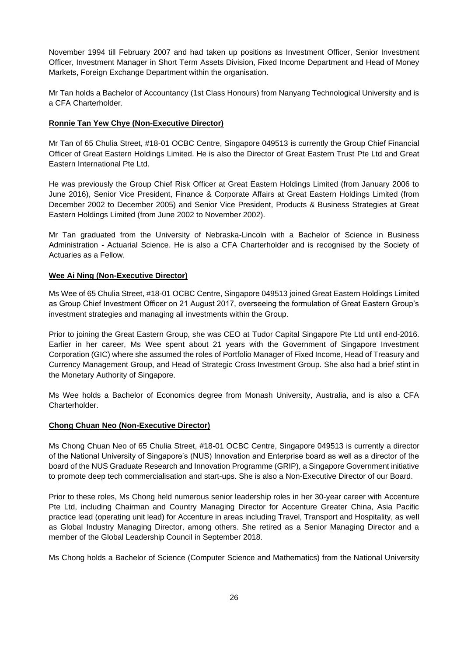November 1994 till February 2007 and had taken up positions as Investment Officer, Senior Investment Officer, Investment Manager in Short Term Assets Division, Fixed Income Department and Head of Money Markets, Foreign Exchange Department within the organisation.

Mr Tan holds a Bachelor of Accountancy (1st Class Honours) from Nanyang Technological University and is a CFA Charterholder.

## **Ronnie Tan Yew Chye (Non-Executive Director)**

Mr Tan of 65 Chulia Street, #18-01 OCBC Centre, Singapore 049513 is currently the Group Chief Financial Officer of Great Eastern Holdings Limited. He is also the Director of Great Eastern Trust Pte Ltd and Great Eastern International Pte Ltd.

He was previously the Group Chief Risk Officer at Great Eastern Holdings Limited (from January 2006 to June 2016), Senior Vice President, Finance & Corporate Affairs at Great Eastern Holdings Limited (from December 2002 to December 2005) and Senior Vice President, Products & Business Strategies at Great Eastern Holdings Limited (from June 2002 to November 2002).

Mr Tan graduated from the University of Nebraska-Lincoln with a Bachelor of Science in Business Administration - Actuarial Science. He is also a CFA Charterholder and is recognised by the Society of Actuaries as a Fellow.

#### **Wee Ai Ning (Non-Executive Director)**

Ms Wee of 65 Chulia Street, #18-01 OCBC Centre, Singapore 049513 joined Great Eastern Holdings Limited as Group Chief Investment Officer on 21 August 2017, overseeing the formulation of Great Eastern Group's investment strategies and managing all investments within the Group.

Prior to joining the Great Eastern Group, she was CEO at Tudor Capital Singapore Pte Ltd until end-2016. Earlier in her career, Ms Wee spent about 21 years with the Government of Singapore Investment Corporation (GIC) where she assumed the roles of Portfolio Manager of Fixed Income, Head of Treasury and Currency Management Group, and Head of Strategic Cross Investment Group. She also had a brief stint in the Monetary Authority of Singapore.

Ms Wee holds a Bachelor of Economics degree from Monash University, Australia, and is also a CFA Charterholder.

#### **Chong Chuan Neo (Non-Executive Director)**

Ms Chong Chuan Neo of 65 Chulia Street, #18-01 OCBC Centre, Singapore 049513 is currently a director of the National University of Singapore's (NUS) Innovation and Enterprise board as well as a director of the board of the NUS Graduate Research and Innovation Programme (GRIP), a Singapore Government initiative to promote deep tech commercialisation and start-ups. She is also a Non-Executive Director of our Board.

Prior to these roles, Ms Chong held numerous senior leadership roles in her 30-year career with Accenture Pte Ltd, including Chairman and Country Managing Director for Accenture Greater China, Asia Pacific practice lead (operating unit lead) for Accenture in areas including Travel, Transport and Hospitality, as well as Global Industry Managing Director, among others. She retired as a Senior Managing Director and a member of the Global Leadership Council in September 2018.

Ms Chong holds a Bachelor of Science (Computer Science and Mathematics) from the National University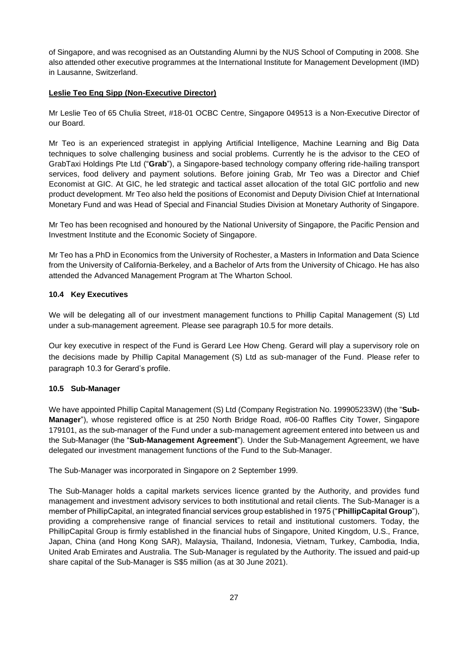of Singapore, and was recognised as an Outstanding Alumni by the NUS School of Computing in 2008. She also attended other executive programmes at the International Institute for Management Development (IMD) in Lausanne, Switzerland.

#### **Leslie Teo Eng Sipp (Non-Executive Director)**

Mr Leslie Teo of 65 Chulia Street, #18-01 OCBC Centre, Singapore 049513 is a Non-Executive Director of our Board.

Mr Teo is an experienced strategist in applying Artificial Intelligence, Machine Learning and Big Data techniques to solve challenging business and social problems. Currently he is the advisor to the CEO of GrabTaxi Holdings Pte Ltd ("**Grab**"), a Singapore-based technology company offering ride-hailing transport services, food delivery and payment solutions. Before joining Grab, Mr Teo was a Director and Chief Economist at GIC. At GIC, he led strategic and tactical asset allocation of the total GIC portfolio and new product development. Mr Teo also held the positions of Economist and Deputy Division Chief at International Monetary Fund and was Head of Special and Financial Studies Division at Monetary Authority of Singapore.

Mr Teo has been recognised and honoured by the National University of Singapore, the Pacific Pension and Investment Institute and the Economic Society of Singapore.

Mr Teo has a PhD in Economics from the University of Rochester, a Masters in Information and Data Science from the University of California-Berkeley, and a Bachelor of Arts from the University of Chicago. He has also attended the Advanced Management Program at The Wharton School.

#### **10.4 Key Executives**

We will be delegating all of our investment management functions to Phillip Capital Management (S) Ltd under a sub-management agreement. Please see paragraph 10.5 for more details.

Our key executive in respect of the Fund is Gerard Lee How Cheng. Gerard will play a supervisory role on the decisions made by Phillip Capital Management (S) Ltd as sub-manager of the Fund. Please refer to paragraph 10.3 for Gerard's profile.

## **10.5 Sub-Manager**

We have appointed Phillip Capital Management (S) Ltd (Company Registration No. 199905233W) (the "**Sub-Manager**"), whose registered office is at 250 North Bridge Road, #06-00 Raffles City Tower, Singapore 179101, as the sub-manager of the Fund under a sub-management agreement entered into between us and the Sub-Manager (the "**Sub-Management Agreement**"). Under the Sub-Management Agreement, we have delegated our investment management functions of the Fund to the Sub-Manager.

The Sub-Manager was incorporated in Singapore on 2 September 1999.

The Sub-Manager holds a capital markets services licence granted by the Authority, and provides fund management and investment advisory services to both institutional and retail clients. The Sub-Manager is a member of PhillipCapital, an integrated financial services group established in 1975 ("**PhillipCapital Group**"), providing a comprehensive range of financial services to retail and institutional customers. Today, the PhillipCapital Group is firmly established in the financial hubs of Singapore, United Kingdom, U.S., France, Japan, China (and Hong Kong SAR), Malaysia, Thailand, Indonesia, Vietnam, Turkey, Cambodia, India, United Arab Emirates and Australia. The Sub-Manager is regulated by the Authority. The issued and paid-up share capital of the Sub-Manager is S\$5 million (as at 30 June 2021).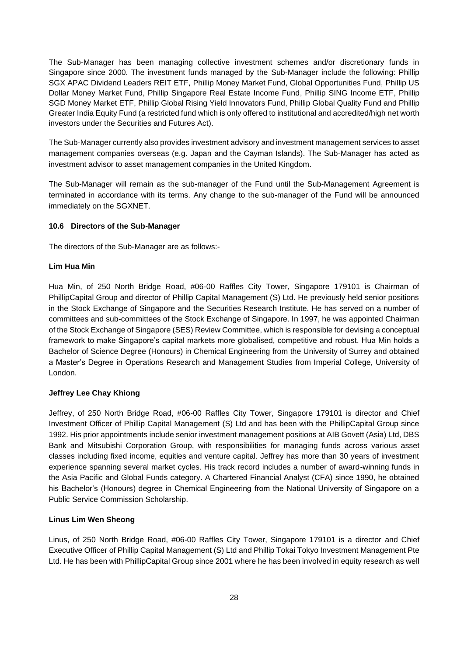The Sub-Manager has been managing collective investment schemes and/or discretionary funds in Singapore since 2000. The investment funds managed by the Sub-Manager include the following: Phillip SGX APAC Dividend Leaders REIT ETF, Phillip Money Market Fund, Global Opportunities Fund, Phillip US Dollar Money Market Fund, Phillip Singapore Real Estate Income Fund, Phillip SING Income ETF, Phillip SGD Money Market ETF, Phillip Global Rising Yield Innovators Fund, Phillip Global Quality Fund and Phillip Greater India Equity Fund (a restricted fund which is only offered to institutional and accredited/high net worth investors under the Securities and Futures Act).

The Sub-Manager currently also provides investment advisory and investment management services to asset management companies overseas (e.g. Japan and the Cayman Islands). The Sub-Manager has acted as investment advisor to asset management companies in the United Kingdom.

The Sub-Manager will remain as the sub-manager of the Fund until the Sub-Management Agreement is terminated in accordance with its terms. Any change to the sub-manager of the Fund will be announced immediately on the SGXNET.

#### **10.6 Directors of the Sub-Manager**

The directors of the Sub-Manager are as follows:-

#### **Lim Hua Min**

Hua Min, of 250 North Bridge Road, #06-00 Raffles City Tower, Singapore 179101 is Chairman of PhillipCapital Group and director of Phillip Capital Management (S) Ltd. He previously held senior positions in the Stock Exchange of Singapore and the Securities Research Institute. He has served on a number of committees and sub-committees of the Stock Exchange of Singapore. In 1997, he was appointed Chairman of the Stock Exchange of Singapore (SES) Review Committee, which is responsible for devising a conceptual framework to make Singapore's capital markets more globalised, competitive and robust. Hua Min holds a Bachelor of Science Degree (Honours) in Chemical Engineering from the University of Surrey and obtained a Master's Degree in Operations Research and Management Studies from Imperial College, University of London.

## **Jeffrey Lee Chay Khiong**

Jeffrey, of 250 North Bridge Road, #06-00 Raffles City Tower, Singapore 179101 is director and Chief Investment Officer of Phillip Capital Management (S) Ltd and has been with the PhillipCapital Group since 1992. His prior appointments include senior investment management positions at AIB Govett (Asia) Ltd, DBS Bank and Mitsubishi Corporation Group, with responsibilities for managing funds across various asset classes including fixed income, equities and venture capital. Jeffrey has more than 30 years of investment experience spanning several market cycles. His track record includes a number of award-winning funds in the Asia Pacific and Global Funds category. A Chartered Financial Analyst (CFA) since 1990, he obtained his Bachelor's (Honours) degree in Chemical Engineering from the National University of Singapore on a Public Service Commission Scholarship.

## **Linus Lim Wen Sheong**

Linus, of 250 North Bridge Road, #06-00 Raffles City Tower, Singapore 179101 is a director and Chief Executive Officer of Phillip Capital Management (S) Ltd and Phillip Tokai Tokyo Investment Management Pte Ltd. He has been with PhillipCapital Group since 2001 where he has been involved in equity research as well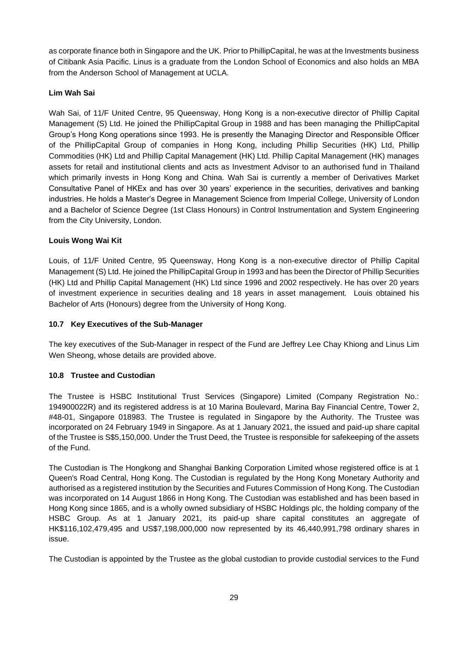as corporate finance both in Singapore and the UK. Prior to PhillipCapital, he was at the Investments business of Citibank Asia Pacific. Linus is a graduate from the London School of Economics and also holds an MBA from the Anderson School of Management at UCLA.

## **Lim Wah Sai**

Wah Sai, of 11/F United Centre, 95 Queensway, Hong Kong is a non-executive director of Phillip Capital Management (S) Ltd. He joined the PhillipCapital Group in 1988 and has been managing the PhillipCapital Group's Hong Kong operations since 1993. He is presently the Managing Director and Responsible Officer of the PhillipCapital Group of companies in Hong Kong, including Phillip Securities (HK) Ltd, Phillip Commodities (HK) Ltd and Phillip Capital Management (HK) Ltd. Phillip Capital Management (HK) manages assets for retail and institutional clients and acts as Investment Advisor to an authorised fund in Thailand which primarily invests in Hong Kong and China. Wah Sai is currently a member of Derivatives Market Consultative Panel of HKEx and has over 30 years' experience in the securities, derivatives and banking industries. He holds a Master's Degree in Management Science from Imperial College, University of London and a Bachelor of Science Degree (1st Class Honours) in Control Instrumentation and System Engineering from the City University, London.

## **Louis Wong Wai Kit**

Louis, of 11/F United Centre, 95 Queensway, Hong Kong is a non-executive director of Phillip Capital Management (S) Ltd. He joined the PhillipCapital Group in 1993 and has been the Director of Phillip Securities (HK) Ltd and Phillip Capital Management (HK) Ltd since 1996 and 2002 respectively. He has over 20 years of investment experience in securities dealing and 18 years in asset management. Louis obtained his Bachelor of Arts (Honours) degree from the University of Hong Kong.

#### **10.7 Key Executives of the Sub-Manager**

The key executives of the Sub-Manager in respect of the Fund are Jeffrey Lee Chay Khiong and Linus Lim Wen Sheong, whose details are provided above.

## **10.8 Trustee and Custodian**

The Trustee is HSBC Institutional Trust Services (Singapore) Limited (Company Registration No.: 194900022R) and its registered address is at 10 Marina Boulevard, Marina Bay Financial Centre, Tower 2, #48-01, Singapore 018983. The Trustee is regulated in Singapore by the Authority. The Trustee was incorporated on 24 February 1949 in Singapore. As at 1 January 2021, the issued and paid-up share capital of the Trustee is S\$5,150,000. Under the Trust Deed, the Trustee is responsible for safekeeping of the assets of the Fund.

The Custodian is The Hongkong and Shanghai Banking Corporation Limited whose registered office is at 1 Queen's Road Central, Hong Kong. The Custodian is regulated by the Hong Kong Monetary Authority and authorised as a registered institution by the Securities and Futures Commission of Hong Kong. The Custodian was incorporated on 14 August 1866 in Hong Kong. The Custodian was established and has been based in Hong Kong since 1865, and is a wholly owned subsidiary of HSBC Holdings plc, the holding company of the HSBC Group. As at 1 January 2021, its paid-up share capital constitutes an aggregate of HK\$116,102,479,495 and US\$7,198,000,000 now represented by its 46,440,991,798 ordinary shares in issue.

The Custodian is appointed by the Trustee as the global custodian to provide custodial services to the Fund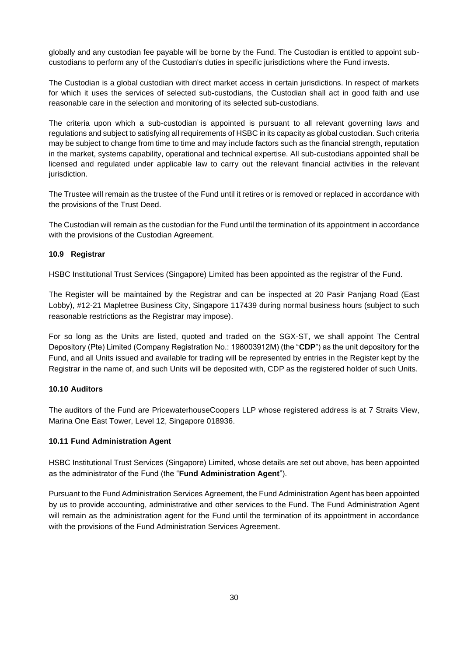globally and any custodian fee payable will be borne by the Fund. The Custodian is entitled to appoint subcustodians to perform any of the Custodian's duties in specific jurisdictions where the Fund invests.

The Custodian is a global custodian with direct market access in certain jurisdictions. In respect of markets for which it uses the services of selected sub-custodians, the Custodian shall act in good faith and use reasonable care in the selection and monitoring of its selected sub-custodians.

The criteria upon which a sub-custodian is appointed is pursuant to all relevant governing laws and regulations and subject to satisfying all requirements of HSBC in its capacity as global custodian. Such criteria may be subject to change from time to time and may include factors such as the financial strength, reputation in the market, systems capability, operational and technical expertise. All sub-custodians appointed shall be licensed and regulated under applicable law to carry out the relevant financial activities in the relevant jurisdiction.

The Trustee will remain as the trustee of the Fund until it retires or is removed or replaced in accordance with the provisions of the Trust Deed.

The Custodian will remain as the custodian for the Fund until the termination of its appointment in accordance with the provisions of the Custodian Agreement.

#### **10.9 Registrar**

HSBC Institutional Trust Services (Singapore) Limited has been appointed as the registrar of the Fund.

The Register will be maintained by the Registrar and can be inspected at 20 Pasir Panjang Road (East Lobby), #12-21 Mapletree Business City, Singapore 117439 during normal business hours (subject to such reasonable restrictions as the Registrar may impose).

For so long as the Units are listed, quoted and traded on the SGX-ST, we shall appoint The Central Depository (Pte) Limited (Company Registration No.: 198003912M) (the "**CDP**") as the unit depository for the Fund, and all Units issued and available for trading will be represented by entries in the Register kept by the Registrar in the name of, and such Units will be deposited with, CDP as the registered holder of such Units.

## **10.10 Auditors**

The auditors of the Fund are PricewaterhouseCoopers LLP whose registered address is at 7 Straits View, Marina One East Tower, Level 12, Singapore 018936.

#### **10.11 Fund Administration Agent**

HSBC Institutional Trust Services (Singapore) Limited, whose details are set out above, has been appointed as the administrator of the Fund (the "**Fund Administration Agent**").

Pursuant to the Fund Administration Services Agreement, the Fund Administration Agent has been appointed by us to provide accounting, administrative and other services to the Fund. The Fund Administration Agent will remain as the administration agent for the Fund until the termination of its appointment in accordance with the provisions of the Fund Administration Services Agreement.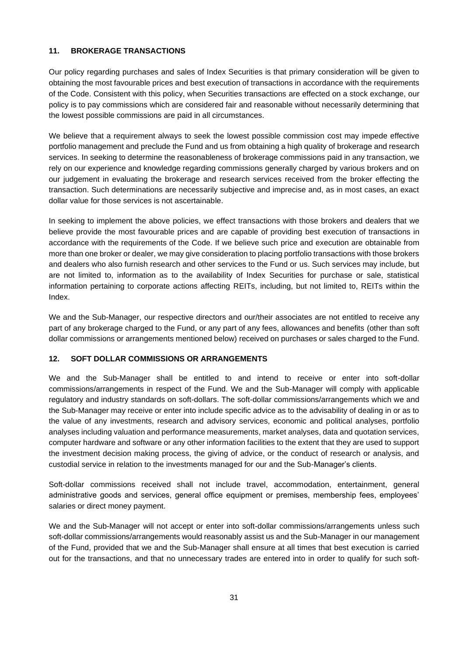## <span id="page-34-0"></span>**11. BROKERAGE TRANSACTIONS**

Our policy regarding purchases and sales of Index Securities is that primary consideration will be given to obtaining the most favourable prices and best execution of transactions in accordance with the requirements of the Code. Consistent with this policy, when Securities transactions are effected on a stock exchange, our policy is to pay commissions which are considered fair and reasonable without necessarily determining that the lowest possible commissions are paid in all circumstances.

We believe that a requirement always to seek the lowest possible commission cost may impede effective portfolio management and preclude the Fund and us from obtaining a high quality of brokerage and research services. In seeking to determine the reasonableness of brokerage commissions paid in any transaction, we rely on our experience and knowledge regarding commissions generally charged by various brokers and on our judgement in evaluating the brokerage and research services received from the broker effecting the transaction. Such determinations are necessarily subjective and imprecise and, as in most cases, an exact dollar value for those services is not ascertainable.

In seeking to implement the above policies, we effect transactions with those brokers and dealers that we believe provide the most favourable prices and are capable of providing best execution of transactions in accordance with the requirements of the Code. If we believe such price and execution are obtainable from more than one broker or dealer, we may give consideration to placing portfolio transactions with those brokers and dealers who also furnish research and other services to the Fund or us. Such services may include, but are not limited to, information as to the availability of Index Securities for purchase or sale, statistical information pertaining to corporate actions affecting REITs, including, but not limited to, REITs within the Index.

We and the Sub-Manager, our respective directors and our/their associates are not entitled to receive any part of any brokerage charged to the Fund, or any part of any fees, allowances and benefits (other than soft dollar commissions or arrangements mentioned below) received on purchases or sales charged to the Fund.

## <span id="page-34-1"></span>**12. SOFT DOLLAR COMMISSIONS OR ARRANGEMENTS**

We and the Sub-Manager shall be entitled to and intend to receive or enter into soft-dollar commissions/arrangements in respect of the Fund. We and the Sub-Manager will comply with applicable regulatory and industry standards on soft-dollars. The soft-dollar commissions/arrangements which we and the Sub-Manager may receive or enter into include specific advice as to the advisability of dealing in or as to the value of any investments, research and advisory services, economic and political analyses, portfolio analyses including valuation and performance measurements, market analyses, data and quotation services, computer hardware and software or any other information facilities to the extent that they are used to support the investment decision making process, the giving of advice, or the conduct of research or analysis, and custodial service in relation to the investments managed for our and the Sub-Manager's clients.

Soft-dollar commissions received shall not include travel, accommodation, entertainment, general administrative goods and services, general office equipment or premises, membership fees, employees' salaries or direct money payment.

We and the Sub-Manager will not accept or enter into soft-dollar commissions/arrangements unless such soft-dollar commissions/arrangements would reasonably assist us and the Sub-Manager in our management of the Fund, provided that we and the Sub-Manager shall ensure at all times that best execution is carried out for the transactions, and that no unnecessary trades are entered into in order to qualify for such soft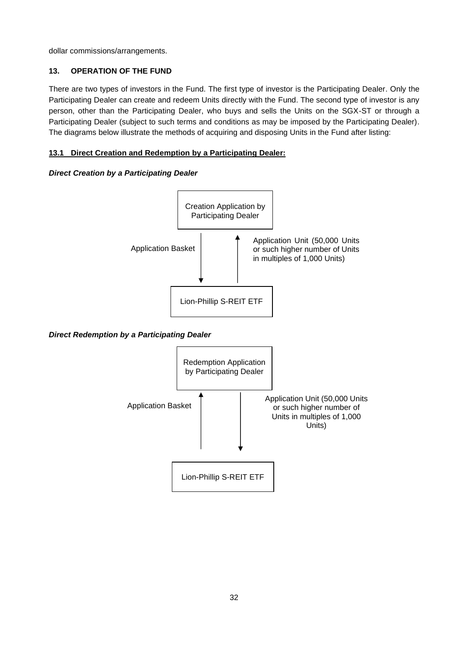dollar commissions/arrangements.

# <span id="page-35-0"></span>**13. OPERATION OF THE FUND**

There are two types of investors in the Fund. The first type of investor is the Participating Dealer. Only the Participating Dealer can create and redeem Units directly with the Fund. The second type of investor is any person, other than the Participating Dealer, who buys and sells the Units on the SGX-ST or through a Participating Dealer (subject to such terms and conditions as may be imposed by the Participating Dealer). The diagrams below illustrate the methods of acquiring and disposing Units in the Fund after listing:

# **13.1 Direct Creation and Redemption by a Participating Dealer:**

## *Direct Creation by a Participating Dealer*



## *Direct Redemption by a Participating Dealer*

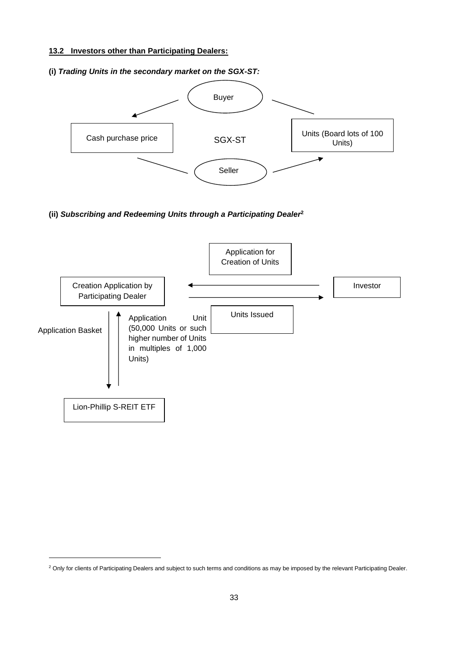# **13.2 Investors other than Participating Dealers:**

# **(i)** *Trading Units in the secondary market on the SGX-ST:* Buyer Seller SGX-ST Cash purchase price <br>
SGX-ST Units (Board lots of 100 Units)

**(ii)** *Subscribing and Redeeming Units through a Participating Dealer***<sup>2</sup>**



<sup>&</sup>lt;sup>2</sup> Only for clients of Participating Dealers and subject to such terms and conditions as may be imposed by the relevant Participating Dealer.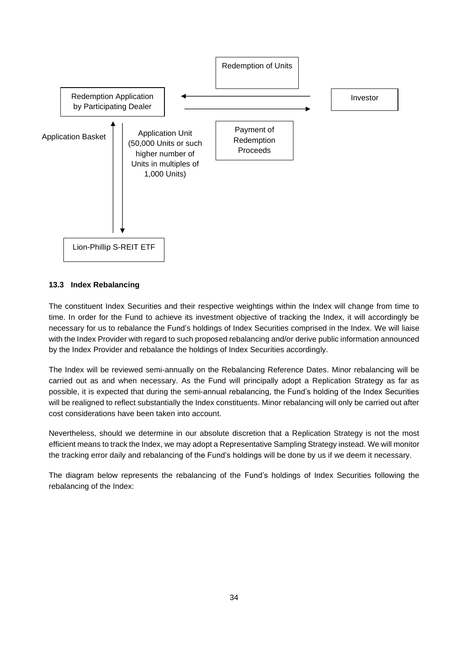

# **13.3 Index Rebalancing**

The constituent Index Securities and their respective weightings within the Index will change from time to time. In order for the Fund to achieve its investment objective of tracking the Index, it will accordingly be necessary for us to rebalance the Fund's holdings of Index Securities comprised in the Index. We will liaise with the Index Provider with regard to such proposed rebalancing and/or derive public information announced by the Index Provider and rebalance the holdings of Index Securities accordingly.

The Index will be reviewed semi-annually on the Rebalancing Reference Dates. Minor rebalancing will be carried out as and when necessary. As the Fund will principally adopt a Replication Strategy as far as possible, it is expected that during the semi-annual rebalancing, the Fund's holding of the Index Securities will be realigned to reflect substantially the Index constituents. Minor rebalancing will only be carried out after cost considerations have been taken into account.

Nevertheless, should we determine in our absolute discretion that a Replication Strategy is not the most efficient means to track the Index, we may adopt a Representative Sampling Strategy instead. We will monitor the tracking error daily and rebalancing of the Fund's holdings will be done by us if we deem it necessary.

The diagram below represents the rebalancing of the Fund's holdings of Index Securities following the rebalancing of the Index: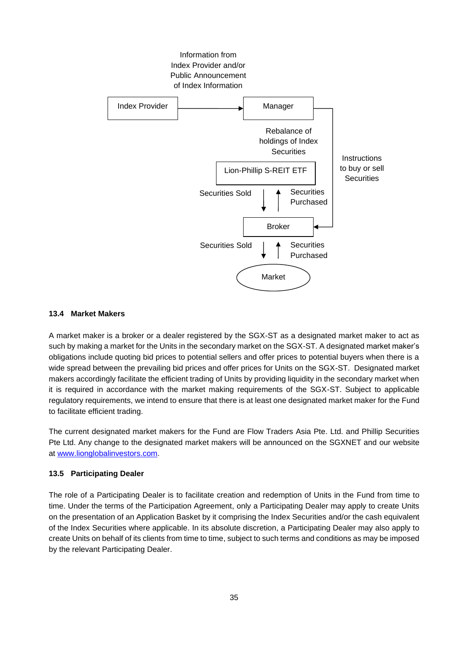

#### **13.4 Market Makers**

A market maker is a broker or a dealer registered by the SGX-ST as a designated market maker to act as such by making a market for the Units in the secondary market on the SGX-ST. A designated market maker's obligations include quoting bid prices to potential sellers and offer prices to potential buyers when there is a wide spread between the prevailing bid prices and offer prices for Units on the SGX-ST. Designated market makers accordingly facilitate the efficient trading of Units by providing liquidity in the secondary market when it is required in accordance with the market making requirements of the SGX-ST. Subject to applicable regulatory requirements, we intend to ensure that there is at least one designated market maker for the Fund to facilitate efficient trading.

The current designated market makers for the Fund are Flow Traders Asia Pte. Ltd. and Phillip Securities Pte Ltd. Any change to the designated market makers will be announced on the SGXNET and our website at [www.lionglobalinvestors.com.](http://www.lionglobalinvestors.com/)

#### **13.5 Participating Dealer**

The role of a Participating Dealer is to facilitate creation and redemption of Units in the Fund from time to time. Under the terms of the Participation Agreement, only a Participating Dealer may apply to create Units on the presentation of an Application Basket by it comprising the Index Securities and/or the cash equivalent of the Index Securities where applicable. In its absolute discretion, a Participating Dealer may also apply to create Units on behalf of its clients from time to time, subject to such terms and conditions as may be imposed by the relevant Participating Dealer.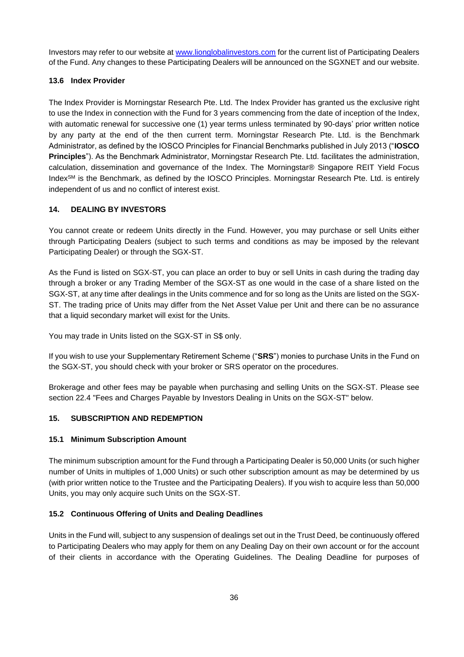Investors may refer to our website at [www.lionglobalinvestors.com](http://www.lionglobalinvestors.com/) for the current list of Participating Dealers of the Fund. Any changes to these Participating Dealers will be announced on the SGXNET and our website.

# **13.6 Index Provider**

The Index Provider is Morningstar Research Pte. Ltd. The Index Provider has granted us the exclusive right to use the Index in connection with the Fund for 3 years commencing from the date of inception of the Index, with automatic renewal for successive one (1) year terms unless terminated by 90-days' prior written notice by any party at the end of the then current term. Morningstar Research Pte. Ltd. is the Benchmark Administrator, as defined by the IOSCO Principles for Financial Benchmarks published in July 2013 ("**IOSCO Principles**"). As the Benchmark Administrator, Morningstar Research Pte. Ltd. facilitates the administration, calculation, dissemination and governance of the Index. The Morningstar® Singapore REIT Yield Focus IndexSM is the Benchmark, as defined by the IOSCO Principles. Morningstar Research Pte. Ltd. is entirely independent of us and no conflict of interest exist.

# **14. DEALING BY INVESTORS**

You cannot create or redeem Units directly in the Fund. However, you may purchase or sell Units either through Participating Dealers (subject to such terms and conditions as may be imposed by the relevant Participating Dealer) or through the SGX-ST.

As the Fund is listed on SGX-ST, you can place an order to buy or sell Units in cash during the trading day through a broker or any Trading Member of the SGX-ST as one would in the case of a share listed on the SGX-ST, at any time after dealings in the Units commence and for so long as the Units are listed on the SGX-ST. The trading price of Units may differ from the Net Asset Value per Unit and there can be no assurance that a liquid secondary market will exist for the Units.

You may trade in Units listed on the SGX-ST in S\$ only.

If you wish to use your Supplementary Retirement Scheme ("**SRS**") monies to purchase Units in the Fund on the SGX-ST, you should check with your broker or SRS operator on the procedures.

Brokerage and other fees may be payable when purchasing and selling Units on the SGX-ST. Please see section 22.4 "Fees and Charges Payable by Investors Dealing in Units on the SGX-ST" below.

# **15. SUBSCRIPTION AND REDEMPTION**

# **15.1 Minimum Subscription Amount**

The minimum subscription amount for the Fund through a Participating Dealer is 50,000 Units (or such higher number of Units in multiples of 1,000 Units) or such other subscription amount as may be determined by us (with prior written notice to the Trustee and the Participating Dealers). If you wish to acquire less than 50,000 Units, you may only acquire such Units on the SGX-ST.

# **15.2 Continuous Offering of Units and Dealing Deadlines**

Units in the Fund will, subject to any suspension of dealings set out in the Trust Deed, be continuously offered to Participating Dealers who may apply for them on any Dealing Day on their own account or for the account of their clients in accordance with the Operating Guidelines. The Dealing Deadline for purposes of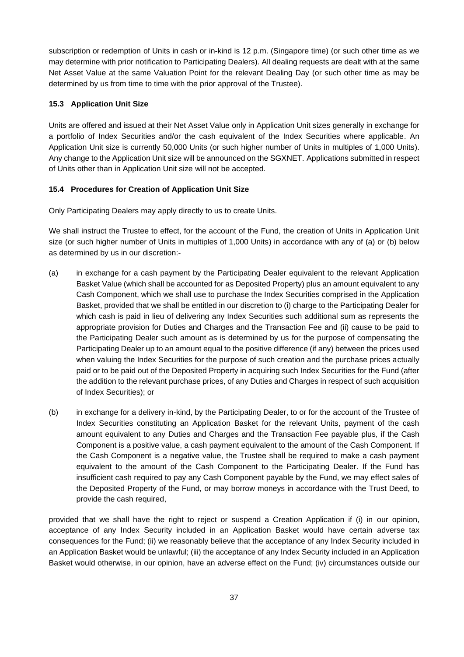subscription or redemption of Units in cash or in-kind is 12 p.m. (Singapore time) (or such other time as we may determine with prior notification to Participating Dealers). All dealing requests are dealt with at the same Net Asset Value at the same Valuation Point for the relevant Dealing Day (or such other time as may be determined by us from time to time with the prior approval of the Trustee).

## **15.3 Application Unit Size**

Units are offered and issued at their Net Asset Value only in Application Unit sizes generally in exchange for a portfolio of Index Securities and/or the cash equivalent of the Index Securities where applicable. An Application Unit size is currently 50,000 Units (or such higher number of Units in multiples of 1,000 Units). Any change to the Application Unit size will be announced on the SGXNET. Applications submitted in respect of Units other than in Application Unit size will not be accepted.

## **15.4 Procedures for Creation of Application Unit Size**

Only Participating Dealers may apply directly to us to create Units.

We shall instruct the Trustee to effect, for the account of the Fund, the creation of Units in Application Unit size (or such higher number of Units in multiples of 1,000 Units) in accordance with any of (a) or (b) below as determined by us in our discretion:-

- (a) in exchange for a cash payment by the Participating Dealer equivalent to the relevant Application Basket Value (which shall be accounted for as Deposited Property) plus an amount equivalent to any Cash Component, which we shall use to purchase the Index Securities comprised in the Application Basket, provided that we shall be entitled in our discretion to (i) charge to the Participating Dealer for which cash is paid in lieu of delivering any Index Securities such additional sum as represents the appropriate provision for Duties and Charges and the Transaction Fee and (ii) cause to be paid to the Participating Dealer such amount as is determined by us for the purpose of compensating the Participating Dealer up to an amount equal to the positive difference (if any) between the prices used when valuing the Index Securities for the purpose of such creation and the purchase prices actually paid or to be paid out of the Deposited Property in acquiring such Index Securities for the Fund (after the addition to the relevant purchase prices, of any Duties and Charges in respect of such acquisition of Index Securities); or
- (b) in exchange for a delivery in-kind, by the Participating Dealer, to or for the account of the Trustee of Index Securities constituting an Application Basket for the relevant Units, payment of the cash amount equivalent to any Duties and Charges and the Transaction Fee payable plus, if the Cash Component is a positive value, a cash payment equivalent to the amount of the Cash Component. If the Cash Component is a negative value, the Trustee shall be required to make a cash payment equivalent to the amount of the Cash Component to the Participating Dealer. If the Fund has insufficient cash required to pay any Cash Component payable by the Fund, we may effect sales of the Deposited Property of the Fund, or may borrow moneys in accordance with the Trust Deed, to provide the cash required,

provided that we shall have the right to reject or suspend a Creation Application if (i) in our opinion, acceptance of any Index Security included in an Application Basket would have certain adverse tax consequences for the Fund; (ii) we reasonably believe that the acceptance of any Index Security included in an Application Basket would be unlawful; (iii) the acceptance of any Index Security included in an Application Basket would otherwise, in our opinion, have an adverse effect on the Fund; (iv) circumstances outside our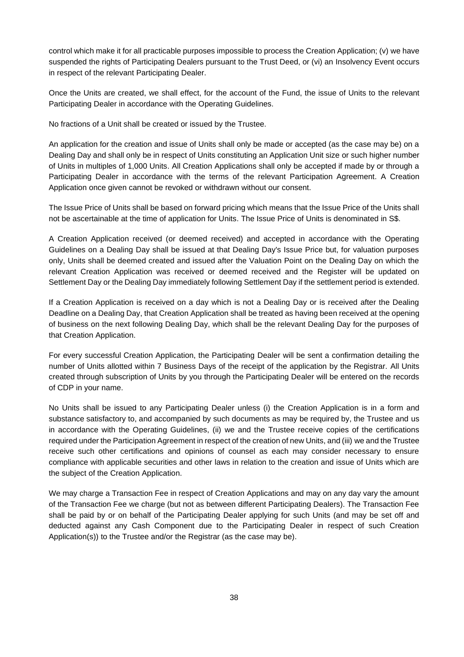control which make it for all practicable purposes impossible to process the Creation Application; (v) we have suspended the rights of Participating Dealers pursuant to the Trust Deed, or (vi) an Insolvency Event occurs in respect of the relevant Participating Dealer.

Once the Units are created, we shall effect, for the account of the Fund, the issue of Units to the relevant Participating Dealer in accordance with the Operating Guidelines.

No fractions of a Unit shall be created or issued by the Trustee.

An application for the creation and issue of Units shall only be made or accepted (as the case may be) on a Dealing Day and shall only be in respect of Units constituting an Application Unit size or such higher number of Units in multiples of 1,000 Units. All Creation Applications shall only be accepted if made by or through a Participating Dealer in accordance with the terms of the relevant Participation Agreement. A Creation Application once given cannot be revoked or withdrawn without our consent.

The Issue Price of Units shall be based on forward pricing which means that the Issue Price of the Units shall not be ascertainable at the time of application for Units. The Issue Price of Units is denominated in S\$.

A Creation Application received (or deemed received) and accepted in accordance with the Operating Guidelines on a Dealing Day shall be issued at that Dealing Day's Issue Price but, for valuation purposes only, Units shall be deemed created and issued after the Valuation Point on the Dealing Day on which the relevant Creation Application was received or deemed received and the Register will be updated on Settlement Day or the Dealing Day immediately following Settlement Day if the settlement period is extended.

If a Creation Application is received on a day which is not a Dealing Day or is received after the Dealing Deadline on a Dealing Day, that Creation Application shall be treated as having been received at the opening of business on the next following Dealing Day, which shall be the relevant Dealing Day for the purposes of that Creation Application.

For every successful Creation Application, the Participating Dealer will be sent a confirmation detailing the number of Units allotted within 7 Business Days of the receipt of the application by the Registrar. All Units created through subscription of Units by you through the Participating Dealer will be entered on the records of CDP in your name.

No Units shall be issued to any Participating Dealer unless (i) the Creation Application is in a form and substance satisfactory to, and accompanied by such documents as may be required by, the Trustee and us in accordance with the Operating Guidelines, (ii) we and the Trustee receive copies of the certifications required under the Participation Agreement in respect of the creation of new Units, and (iii) we and the Trustee receive such other certifications and opinions of counsel as each may consider necessary to ensure compliance with applicable securities and other laws in relation to the creation and issue of Units which are the subject of the Creation Application.

We may charge a Transaction Fee in respect of Creation Applications and may on any day vary the amount of the Transaction Fee we charge (but not as between different Participating Dealers). The Transaction Fee shall be paid by or on behalf of the Participating Dealer applying for such Units (and may be set off and deducted against any Cash Component due to the Participating Dealer in respect of such Creation Application(s)) to the Trustee and/or the Registrar (as the case may be).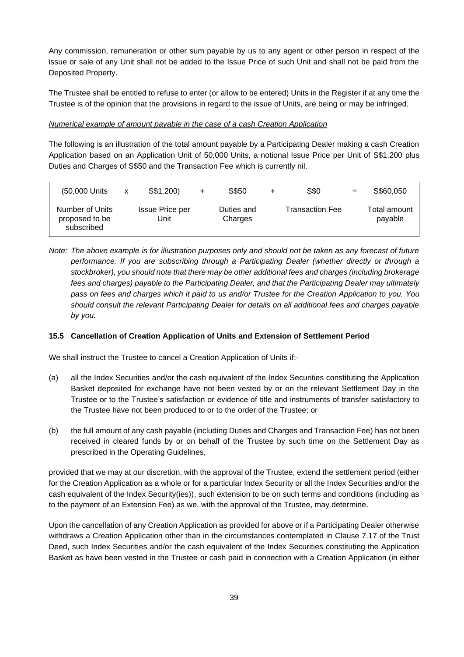Any commission, remuneration or other sum payable by us to any agent or other person in respect of the issue or sale of any Unit shall not be added to the Issue Price of such Unit and shall not be paid from the Deposited Property.

The Trustee shall be entitled to refuse to enter (or allow to be entered) Units in the Register if at any time the Trustee is of the opinion that the provisions in regard to the issue of Units, are being or may be infringed.

#### *Numerical example of amount payable in the case of a cash Creation Application*

The following is an illustration of the total amount payable by a Participating Dealer making a cash Creation Application based on an Application Unit of 50,000 Units, a notional Issue Price per Unit of S\$1.200 plus Duties and Charges of S\$50 and the Transaction Fee which is currently nil.

| (50,000 Units                                   | X | S\$1.200)                      | $\ddot{}$ | S\$50                 | S\$0                   | $=$ | S\$60,050               |
|-------------------------------------------------|---|--------------------------------|-----------|-----------------------|------------------------|-----|-------------------------|
| Number of Units<br>proposed to be<br>subscribed |   | <b>Issue Price per</b><br>Unit |           | Duties and<br>Charges | <b>Transaction Fee</b> |     | Total amount<br>payable |

*Note: The above example is for illustration purposes only and should not be taken as any forecast of future performance. If you are subscribing through a Participating Dealer (whether directly or through a stockbroker), you should note that there may be other additional fees and charges (including brokerage*  fees and charges) payable to the Participating Dealer, and that the Participating Dealer may ultimately *pass on fees and charges which it paid to us and/or Trustee for the Creation Application to you. You should consult the relevant Participating Dealer for details on all additional fees and charges payable by you.*

# **15.5 Cancellation of Creation Application of Units and Extension of Settlement Period**

We shall instruct the Trustee to cancel a Creation Application of Units if:-

- (a) all the Index Securities and/or the cash equivalent of the Index Securities constituting the Application Basket deposited for exchange have not been vested by or on the relevant Settlement Day in the Trustee or to the Trustee's satisfaction or evidence of title and instruments of transfer satisfactory to the Trustee have not been produced to or to the order of the Trustee; or
- (b) the full amount of any cash payable (including Duties and Charges and Transaction Fee) has not been received in cleared funds by or on behalf of the Trustee by such time on the Settlement Day as prescribed in the Operating Guidelines,

provided that we may at our discretion, with the approval of the Trustee, extend the settlement period (either for the Creation Application as a whole or for a particular Index Security or all the Index Securities and/or the cash equivalent of the Index Security(ies)), such extension to be on such terms and conditions (including as to the payment of an Extension Fee) as we, with the approval of the Trustee, may determine.

Upon the cancellation of any Creation Application as provided for above or if a Participating Dealer otherwise withdraws a Creation Application other than in the circumstances contemplated in Clause 7.17 of the Trust Deed, such Index Securities and/or the cash equivalent of the Index Securities constituting the Application Basket as have been vested in the Trustee or cash paid in connection with a Creation Application (in either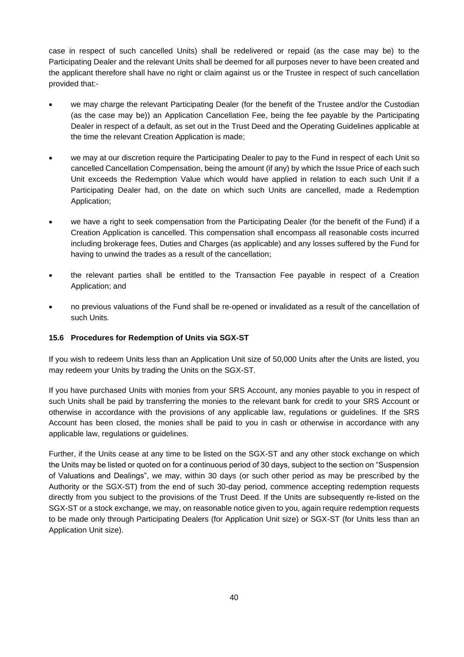case in respect of such cancelled Units) shall be redelivered or repaid (as the case may be) to the Participating Dealer and the relevant Units shall be deemed for all purposes never to have been created and the applicant therefore shall have no right or claim against us or the Trustee in respect of such cancellation provided that:-

- we may charge the relevant Participating Dealer (for the benefit of the Trustee and/or the Custodian (as the case may be)) an Application Cancellation Fee, being the fee payable by the Participating Dealer in respect of a default, as set out in the Trust Deed and the Operating Guidelines applicable at the time the relevant Creation Application is made;
- we may at our discretion require the Participating Dealer to pay to the Fund in respect of each Unit so cancelled Cancellation Compensation, being the amount (if any) by which the Issue Price of each such Unit exceeds the Redemption Value which would have applied in relation to each such Unit if a Participating Dealer had, on the date on which such Units are cancelled, made a Redemption Application;
- we have a right to seek compensation from the Participating Dealer (for the benefit of the Fund) if a Creation Application is cancelled. This compensation shall encompass all reasonable costs incurred including brokerage fees, Duties and Charges (as applicable) and any losses suffered by the Fund for having to unwind the trades as a result of the cancellation;
- the relevant parties shall be entitled to the Transaction Fee payable in respect of a Creation Application; and
- no previous valuations of the Fund shall be re-opened or invalidated as a result of the cancellation of such Units.

# **15.6 Procedures for Redemption of Units via SGX-ST**

If you wish to redeem Units less than an Application Unit size of 50,000 Units after the Units are listed, you may redeem your Units by trading the Units on the SGX-ST.

If you have purchased Units with monies from your SRS Account, any monies payable to you in respect of such Units shall be paid by transferring the monies to the relevant bank for credit to your SRS Account or otherwise in accordance with the provisions of any applicable law, regulations or guidelines. If the SRS Account has been closed, the monies shall be paid to you in cash or otherwise in accordance with any applicable law, regulations or guidelines.

Further, if the Units cease at any time to be listed on the SGX-ST and any other stock exchange on which the Units may be listed or quoted on for a continuous period of 30 days, subject to the section on "Suspension of Valuations and Dealings", we may, within 30 days (or such other period as may be prescribed by the Authority or the SGX-ST) from the end of such 30-day period, commence accepting redemption requests directly from you subject to the provisions of the Trust Deed. If the Units are subsequently re-listed on the SGX-ST or a stock exchange, we may, on reasonable notice given to you, again require redemption requests to be made only through Participating Dealers (for Application Unit size) or SGX-ST (for Units less than an Application Unit size).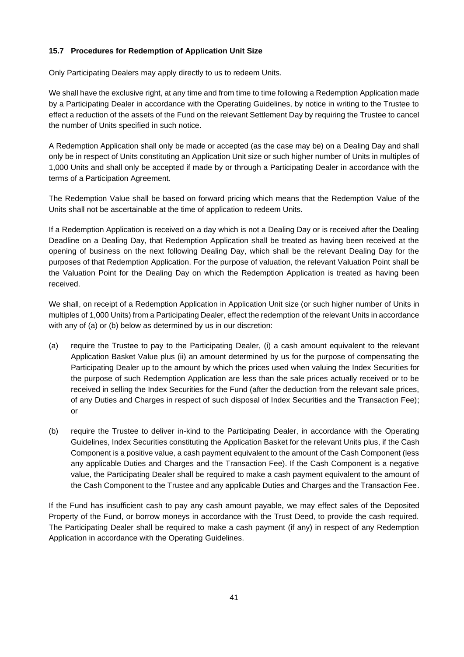# **15.7 Procedures for Redemption of Application Unit Size**

Only Participating Dealers may apply directly to us to redeem Units.

We shall have the exclusive right, at any time and from time to time following a Redemption Application made by a Participating Dealer in accordance with the Operating Guidelines, by notice in writing to the Trustee to effect a reduction of the assets of the Fund on the relevant Settlement Day by requiring the Trustee to cancel the number of Units specified in such notice.

A Redemption Application shall only be made or accepted (as the case may be) on a Dealing Day and shall only be in respect of Units constituting an Application Unit size or such higher number of Units in multiples of 1,000 Units and shall only be accepted if made by or through a Participating Dealer in accordance with the terms of a Participation Agreement.

The Redemption Value shall be based on forward pricing which means that the Redemption Value of the Units shall not be ascertainable at the time of application to redeem Units.

If a Redemption Application is received on a day which is not a Dealing Day or is received after the Dealing Deadline on a Dealing Day, that Redemption Application shall be treated as having been received at the opening of business on the next following Dealing Day, which shall be the relevant Dealing Day for the purposes of that Redemption Application. For the purpose of valuation, the relevant Valuation Point shall be the Valuation Point for the Dealing Day on which the Redemption Application is treated as having been received.

We shall, on receipt of a Redemption Application in Application Unit size (or such higher number of Units in multiples of 1,000 Units) from a Participating Dealer, effect the redemption of the relevant Units in accordance with any of (a) or (b) below as determined by us in our discretion:

- (a) require the Trustee to pay to the Participating Dealer, (i) a cash amount equivalent to the relevant Application Basket Value plus (ii) an amount determined by us for the purpose of compensating the Participating Dealer up to the amount by which the prices used when valuing the Index Securities for the purpose of such Redemption Application are less than the sale prices actually received or to be received in selling the Index Securities for the Fund (after the deduction from the relevant sale prices, of any Duties and Charges in respect of such disposal of Index Securities and the Transaction Fee); or
- (b) require the Trustee to deliver in-kind to the Participating Dealer, in accordance with the Operating Guidelines, Index Securities constituting the Application Basket for the relevant Units plus, if the Cash Component is a positive value, a cash payment equivalent to the amount of the Cash Component (less any applicable Duties and Charges and the Transaction Fee). If the Cash Component is a negative value, the Participating Dealer shall be required to make a cash payment equivalent to the amount of the Cash Component to the Trustee and any applicable Duties and Charges and the Transaction Fee.

If the Fund has insufficient cash to pay any cash amount payable, we may effect sales of the Deposited Property of the Fund, or borrow moneys in accordance with the Trust Deed, to provide the cash required. The Participating Dealer shall be required to make a cash payment (if any) in respect of any Redemption Application in accordance with the Operating Guidelines.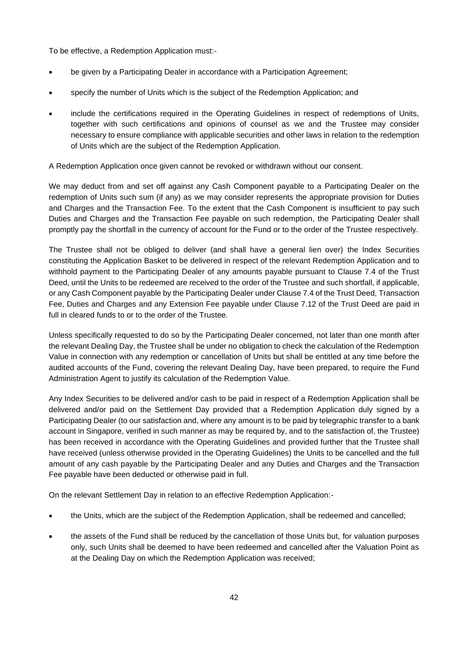To be effective, a Redemption Application must:-

- be given by a Participating Dealer in accordance with a Participation Agreement;
- specify the number of Units which is the subject of the Redemption Application; and
- include the certifications required in the Operating Guidelines in respect of redemptions of Units, together with such certifications and opinions of counsel as we and the Trustee may consider necessary to ensure compliance with applicable securities and other laws in relation to the redemption of Units which are the subject of the Redemption Application.

A Redemption Application once given cannot be revoked or withdrawn without our consent.

We may deduct from and set off against any Cash Component payable to a Participating Dealer on the redemption of Units such sum (if any) as we may consider represents the appropriate provision for Duties and Charges and the Transaction Fee. To the extent that the Cash Component is insufficient to pay such Duties and Charges and the Transaction Fee payable on such redemption, the Participating Dealer shall promptly pay the shortfall in the currency of account for the Fund or to the order of the Trustee respectively.

The Trustee shall not be obliged to deliver (and shall have a general lien over) the Index Securities constituting the Application Basket to be delivered in respect of the relevant Redemption Application and to withhold payment to the Participating Dealer of any amounts payable pursuant to Clause 7.4 of the Trust Deed, until the Units to be redeemed are received to the order of the Trustee and such shortfall, if applicable, or any Cash Component payable by the Participating Dealer under Clause 7.4 of the Trust Deed, Transaction Fee, Duties and Charges and any Extension Fee payable under Clause 7.12 of the Trust Deed are paid in full in cleared funds to or to the order of the Trustee.

Unless specifically requested to do so by the Participating Dealer concerned, not later than one month after the relevant Dealing Day, the Trustee shall be under no obligation to check the calculation of the Redemption Value in connection with any redemption or cancellation of Units but shall be entitled at any time before the audited accounts of the Fund, covering the relevant Dealing Day, have been prepared, to require the Fund Administration Agent to justify its calculation of the Redemption Value.

Any Index Securities to be delivered and/or cash to be paid in respect of a Redemption Application shall be delivered and/or paid on the Settlement Day provided that a Redemption Application duly signed by a Participating Dealer (to our satisfaction and, where any amount is to be paid by telegraphic transfer to a bank account in Singapore, verified in such manner as may be required by, and to the satisfaction of, the Trustee) has been received in accordance with the Operating Guidelines and provided further that the Trustee shall have received (unless otherwise provided in the Operating Guidelines) the Units to be cancelled and the full amount of any cash payable by the Participating Dealer and any Duties and Charges and the Transaction Fee payable have been deducted or otherwise paid in full.

On the relevant Settlement Day in relation to an effective Redemption Application:-

- the Units, which are the subject of the Redemption Application, shall be redeemed and cancelled;
- the assets of the Fund shall be reduced by the cancellation of those Units but, for valuation purposes only, such Units shall be deemed to have been redeemed and cancelled after the Valuation Point as at the Dealing Day on which the Redemption Application was received;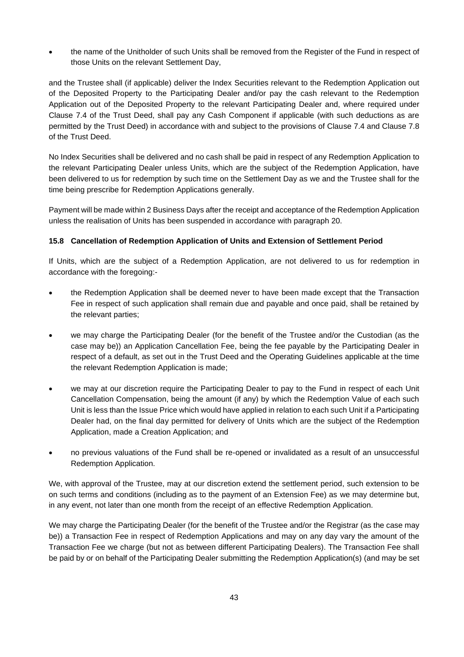• the name of the Unitholder of such Units shall be removed from the Register of the Fund in respect of those Units on the relevant Settlement Day,

and the Trustee shall (if applicable) deliver the Index Securities relevant to the Redemption Application out of the Deposited Property to the Participating Dealer and/or pay the cash relevant to the Redemption Application out of the Deposited Property to the relevant Participating Dealer and, where required under Clause 7.4 of the Trust Deed, shall pay any Cash Component if applicable (with such deductions as are permitted by the Trust Deed) in accordance with and subject to the provisions of Clause 7.4 and Clause 7.8 of the Trust Deed.

No Index Securities shall be delivered and no cash shall be paid in respect of any Redemption Application to the relevant Participating Dealer unless Units, which are the subject of the Redemption Application, have been delivered to us for redemption by such time on the Settlement Day as we and the Trustee shall for the time being prescribe for Redemption Applications generally.

Payment will be made within 2 Business Days after the receipt and acceptance of the Redemption Application unless the realisation of Units has been suspended in accordance with paragraph 20.

# **15.8 Cancellation of Redemption Application of Units and Extension of Settlement Period**

If Units, which are the subject of a Redemption Application, are not delivered to us for redemption in accordance with the foregoing:-

- the Redemption Application shall be deemed never to have been made except that the Transaction Fee in respect of such application shall remain due and payable and once paid, shall be retained by the relevant parties;
- we may charge the Participating Dealer (for the benefit of the Trustee and/or the Custodian (as the case may be)) an Application Cancellation Fee, being the fee payable by the Participating Dealer in respect of a default, as set out in the Trust Deed and the Operating Guidelines applicable at the time the relevant Redemption Application is made;
- we may at our discretion require the Participating Dealer to pay to the Fund in respect of each Unit Cancellation Compensation, being the amount (if any) by which the Redemption Value of each such Unit is less than the Issue Price which would have applied in relation to each such Unit if a Participating Dealer had, on the final day permitted for delivery of Units which are the subject of the Redemption Application, made a Creation Application; and
- no previous valuations of the Fund shall be re-opened or invalidated as a result of an unsuccessful Redemption Application.

We, with approval of the Trustee, may at our discretion extend the settlement period, such extension to be on such terms and conditions (including as to the payment of an Extension Fee) as we may determine but, in any event, not later than one month from the receipt of an effective Redemption Application.

We may charge the Participating Dealer (for the benefit of the Trustee and/or the Registrar (as the case may be)) a Transaction Fee in respect of Redemption Applications and may on any day vary the amount of the Transaction Fee we charge (but not as between different Participating Dealers). The Transaction Fee shall be paid by or on behalf of the Participating Dealer submitting the Redemption Application(s) (and may be set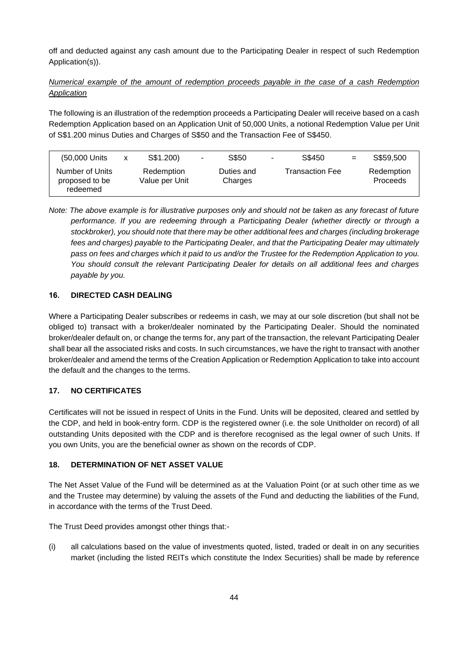off and deducted against any cash amount due to the Participating Dealer in respect of such Redemption Application(s)).

# *Numerical example of the amount of redemption proceeds payable in the case of a cash Redemption Application*

The following is an illustration of the redemption proceeds a Participating Dealer will receive based on a cash Redemption Application based on an Application Unit of 50,000 Units, a notional Redemption Value per Unit of S\$1.200 minus Duties and Charges of S\$50 and the Transaction Fee of S\$450.

| (50,000 Units                                 | X | S\$1.200)                    | $\sim$ | S\$50                 | $\sim$ | S\$450          | $=$ | S\$59,500              |
|-----------------------------------------------|---|------------------------------|--------|-----------------------|--------|-----------------|-----|------------------------|
| Number of Units<br>proposed to be<br>redeemed |   | Redemption<br>Value per Unit |        | Duties and<br>Charges |        | Transaction Fee |     | Redemption<br>Proceeds |

*Note: The above example is for illustrative purposes only and should not be taken as any forecast of future performance. If you are redeeming through a Participating Dealer (whether directly or through a stockbroker), you should note that there may be other additional fees and charges (including brokerage fees and charges) payable to the Participating Dealer, and that the Participating Dealer may ultimately pass on fees and charges which it paid to us and/or the Trustee for the Redemption Application to you. You should consult the relevant Participating Dealer for details on all additional fees and charges payable by you.*

# **16. DIRECTED CASH DEALING**

Where a Participating Dealer subscribes or redeems in cash, we may at our sole discretion (but shall not be obliged to) transact with a broker/dealer nominated by the Participating Dealer. Should the nominated broker/dealer default on, or change the terms for, any part of the transaction, the relevant Participating Dealer shall bear all the associated risks and costs. In such circumstances, we have the right to transact with another broker/dealer and amend the terms of the Creation Application or Redemption Application to take into account the default and the changes to the terms.

# **17. NO CERTIFICATES**

Certificates will not be issued in respect of Units in the Fund. Units will be deposited, cleared and settled by the CDP, and held in book-entry form. CDP is the registered owner (i.e. the sole Unitholder on record) of all outstanding Units deposited with the CDP and is therefore recognised as the legal owner of such Units. If you own Units, you are the beneficial owner as shown on the records of CDP.

# **18. DETERMINATION OF NET ASSET VALUE**

The Net Asset Value of the Fund will be determined as at the Valuation Point (or at such other time as we and the Trustee may determine) by valuing the assets of the Fund and deducting the liabilities of the Fund, in accordance with the terms of the Trust Deed.

The Trust Deed provides amongst other things that:-

(i) all calculations based on the value of investments quoted, listed, traded or dealt in on any securities market (including the listed REITs which constitute the Index Securities) shall be made by reference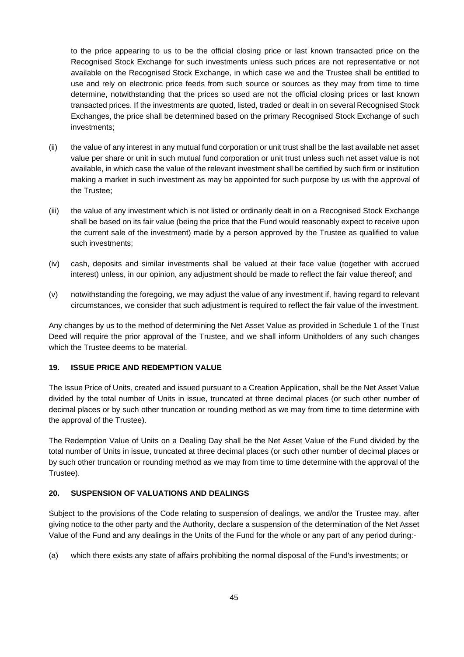to the price appearing to us to be the official closing price or last known transacted price on the Recognised Stock Exchange for such investments unless such prices are not representative or not available on the Recognised Stock Exchange, in which case we and the Trustee shall be entitled to use and rely on electronic price feeds from such source or sources as they may from time to time determine, notwithstanding that the prices so used are not the official closing prices or last known transacted prices. If the investments are quoted, listed, traded or dealt in on several Recognised Stock Exchanges, the price shall be determined based on the primary Recognised Stock Exchange of such investments;

- (ii) the value of any interest in any mutual fund corporation or unit trust shall be the last available net asset value per share or unit in such mutual fund corporation or unit trust unless such net asset value is not available, in which case the value of the relevant investment shall be certified by such firm or institution making a market in such investment as may be appointed for such purpose by us with the approval of the Trustee;
- (iii) the value of any investment which is not listed or ordinarily dealt in on a Recognised Stock Exchange shall be based on its fair value (being the price that the Fund would reasonably expect to receive upon the current sale of the investment) made by a person approved by the Trustee as qualified to value such investments;
- (iv) cash, deposits and similar investments shall be valued at their face value (together with accrued interest) unless, in our opinion, any adjustment should be made to reflect the fair value thereof; and
- (v) notwithstanding the foregoing, we may adjust the value of any investment if, having regard to relevant circumstances, we consider that such adjustment is required to reflect the fair value of the investment.

Any changes by us to the method of determining the Net Asset Value as provided in Schedule 1 of the Trust Deed will require the prior approval of the Trustee, and we shall inform Unitholders of any such changes which the Trustee deems to be material.

#### **19. ISSUE PRICE AND REDEMPTION VALUE**

The Issue Price of Units, created and issued pursuant to a Creation Application, shall be the Net Asset Value divided by the total number of Units in issue, truncated at three decimal places (or such other number of decimal places or by such other truncation or rounding method as we may from time to time determine with the approval of the Trustee).

The Redemption Value of Units on a Dealing Day shall be the Net Asset Value of the Fund divided by the total number of Units in issue, truncated at three decimal places (or such other number of decimal places or by such other truncation or rounding method as we may from time to time determine with the approval of the Trustee).

# **20. SUSPENSION OF VALUATIONS AND DEALINGS**

Subject to the provisions of the Code relating to suspension of dealings, we and/or the Trustee may, after giving notice to the other party and the Authority, declare a suspension of the determination of the Net Asset Value of the Fund and any dealings in the Units of the Fund for the whole or any part of any period during:-

(a) which there exists any state of affairs prohibiting the normal disposal of the Fund's investments; or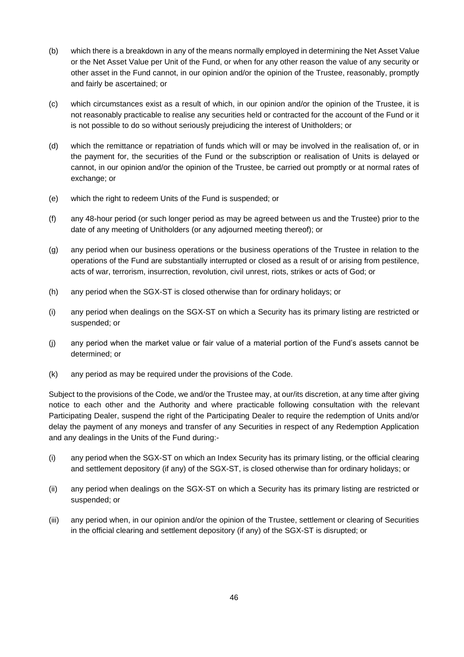- (b) which there is a breakdown in any of the means normally employed in determining the Net Asset Value or the Net Asset Value per Unit of the Fund, or when for any other reason the value of any security or other asset in the Fund cannot, in our opinion and/or the opinion of the Trustee, reasonably, promptly and fairly be ascertained; or
- (c) which circumstances exist as a result of which, in our opinion and/or the opinion of the Trustee, it is not reasonably practicable to realise any securities held or contracted for the account of the Fund or it is not possible to do so without seriously prejudicing the interest of Unitholders; or
- (d) which the remittance or repatriation of funds which will or may be involved in the realisation of, or in the payment for, the securities of the Fund or the subscription or realisation of Units is delayed or cannot, in our opinion and/or the opinion of the Trustee, be carried out promptly or at normal rates of exchange; or
- (e) which the right to redeem Units of the Fund is suspended; or
- (f) any 48-hour period (or such longer period as may be agreed between us and the Trustee) prior to the date of any meeting of Unitholders (or any adjourned meeting thereof); or
- (g) any period when our business operations or the business operations of the Trustee in relation to the operations of the Fund are substantially interrupted or closed as a result of or arising from pestilence, acts of war, terrorism, insurrection, revolution, civil unrest, riots, strikes or acts of God; or
- (h) any period when the SGX-ST is closed otherwise than for ordinary holidays; or
- (i) any period when dealings on the SGX-ST on which a Security has its primary listing are restricted or suspended; or
- (j) any period when the market value or fair value of a material portion of the Fund's assets cannot be determined; or
- (k) any period as may be required under the provisions of the Code.

Subject to the provisions of the Code, we and/or the Trustee may, at our/its discretion, at any time after giving notice to each other and the Authority and where practicable following consultation with the relevant Participating Dealer, suspend the right of the Participating Dealer to require the redemption of Units and/or delay the payment of any moneys and transfer of any Securities in respect of any Redemption Application and any dealings in the Units of the Fund during:-

- (i) any period when the SGX-ST on which an Index Security has its primary listing, or the official clearing and settlement depository (if any) of the SGX-ST, is closed otherwise than for ordinary holidays; or
- (ii) any period when dealings on the SGX-ST on which a Security has its primary listing are restricted or suspended; or
- (iii) any period when, in our opinion and/or the opinion of the Trustee, settlement or clearing of Securities in the official clearing and settlement depository (if any) of the SGX-ST is disrupted; or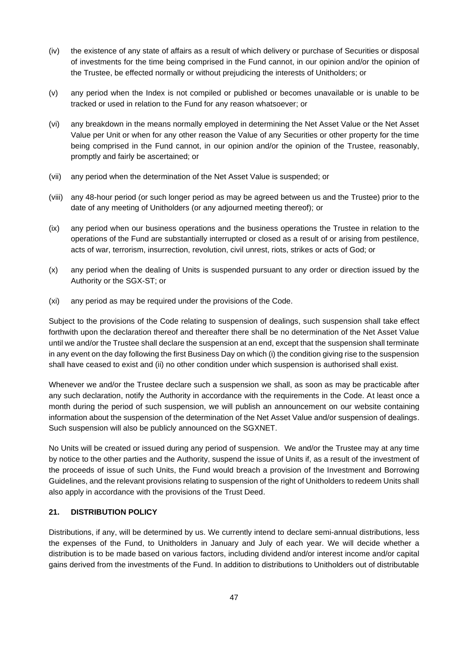- (iv) the existence of any state of affairs as a result of which delivery or purchase of Securities or disposal of investments for the time being comprised in the Fund cannot, in our opinion and/or the opinion of the Trustee, be effected normally or without prejudicing the interests of Unitholders; or
- (v) any period when the Index is not compiled or published or becomes unavailable or is unable to be tracked or used in relation to the Fund for any reason whatsoever; or
- (vi) any breakdown in the means normally employed in determining the Net Asset Value or the Net Asset Value per Unit or when for any other reason the Value of any Securities or other property for the time being comprised in the Fund cannot, in our opinion and/or the opinion of the Trustee, reasonably, promptly and fairly be ascertained; or
- (vii) any period when the determination of the Net Asset Value is suspended; or
- (viii) any 48-hour period (or such longer period as may be agreed between us and the Trustee) prior to the date of any meeting of Unitholders (or any adjourned meeting thereof); or
- (ix) any period when our business operations and the business operations the Trustee in relation to the operations of the Fund are substantially interrupted or closed as a result of or arising from pestilence, acts of war, terrorism, insurrection, revolution, civil unrest, riots, strikes or acts of God; or
- (x) any period when the dealing of Units is suspended pursuant to any order or direction issued by the Authority or the SGX-ST; or
- (xi) any period as may be required under the provisions of the Code.

Subject to the provisions of the Code relating to suspension of dealings, such suspension shall take effect forthwith upon the declaration thereof and thereafter there shall be no determination of the Net Asset Value until we and/or the Trustee shall declare the suspension at an end, except that the suspension shall terminate in any event on the day following the first Business Day on which (i) the condition giving rise to the suspension shall have ceased to exist and (ii) no other condition under which suspension is authorised shall exist.

Whenever we and/or the Trustee declare such a suspension we shall, as soon as may be practicable after any such declaration, notify the Authority in accordance with the requirements in the Code. At least once a month during the period of such suspension, we will publish an announcement on our website containing information about the suspension of the determination of the Net Asset Value and/or suspension of dealings. Such suspension will also be publicly announced on the SGXNET.

No Units will be created or issued during any period of suspension. We and/or the Trustee may at any time by notice to the other parties and the Authority, suspend the issue of Units if, as a result of the investment of the proceeds of issue of such Units, the Fund would breach a provision of the Investment and Borrowing Guidelines, and the relevant provisions relating to suspension of the right of Unitholders to redeem Units shall also apply in accordance with the provisions of the Trust Deed.

# **21. DISTRIBUTION POLICY**

Distributions, if any, will be determined by us. We currently intend to declare semi-annual distributions, less the expenses of the Fund, to Unitholders in January and July of each year. We will decide whether a distribution is to be made based on various factors, including dividend and/or interest income and/or capital gains derived from the investments of the Fund. In addition to distributions to Unitholders out of distributable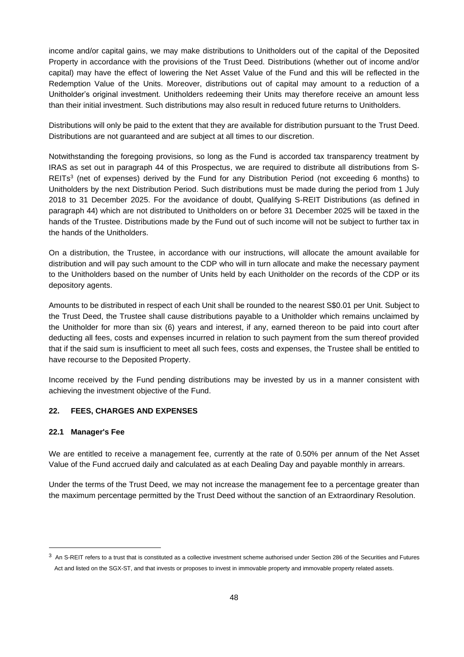income and/or capital gains, we may make distributions to Unitholders out of the capital of the Deposited Property in accordance with the provisions of the Trust Deed. Distributions (whether out of income and/or capital) may have the effect of lowering the Net Asset Value of the Fund and this will be reflected in the Redemption Value of the Units. Moreover, distributions out of capital may amount to a reduction of a Unitholder's original investment. Unitholders redeeming their Units may therefore receive an amount less than their initial investment. Such distributions may also result in reduced future returns to Unitholders.

Distributions will only be paid to the extent that they are available for distribution pursuant to the Trust Deed. Distributions are not guaranteed and are subject at all times to our discretion.

Notwithstanding the foregoing provisions, so long as the Fund is accorded tax transparency treatment by IRAS as set out in paragraph 44 of this Prospectus, we are required to distribute all distributions from S-REITs<sup>3</sup> (net of expenses) derived by the Fund for any Distribution Period (not exceeding 6 months) to Unitholders by the next Distribution Period. Such distributions must be made during the period from 1 July 2018 to 31 December 2025. For the avoidance of doubt, Qualifying S-REIT Distributions (as defined in paragraph 44) which are not distributed to Unitholders on or before 31 December 2025 will be taxed in the hands of the Trustee. Distributions made by the Fund out of such income will not be subject to further tax in the hands of the Unitholders.

On a distribution, the Trustee, in accordance with our instructions, will allocate the amount available for distribution and will pay such amount to the CDP who will in turn allocate and make the necessary payment to the Unitholders based on the number of Units held by each Unitholder on the records of the CDP or its depository agents.

Amounts to be distributed in respect of each Unit shall be rounded to the nearest S\$0.01 per Unit. Subject to the Trust Deed, the Trustee shall cause distributions payable to a Unitholder which remains unclaimed by the Unitholder for more than six (6) years and interest, if any, earned thereon to be paid into court after deducting all fees, costs and expenses incurred in relation to such payment from the sum thereof provided that if the said sum is insufficient to meet all such fees, costs and expenses, the Trustee shall be entitled to have recourse to the Deposited Property.

Income received by the Fund pending distributions may be invested by us in a manner consistent with achieving the investment objective of the Fund.

#### **22. FEES, CHARGES AND EXPENSES**

#### **22.1 Manager's Fee**

We are entitled to receive a management fee, currently at the rate of 0.50% per annum of the Net Asset Value of the Fund accrued daily and calculated as at each Dealing Day and payable monthly in arrears.

Under the terms of the Trust Deed, we may not increase the management fee to a percentage greater than the maximum percentage permitted by the Trust Deed without the sanction of an Extraordinary Resolution.

 $3$  An S-REIT refers to a trust that is constituted as a collective investment scheme authorised under Section 286 of the Securities and Futures Act and listed on the SGX-ST, and that invests or proposes to invest in immovable property and immovable property related assets.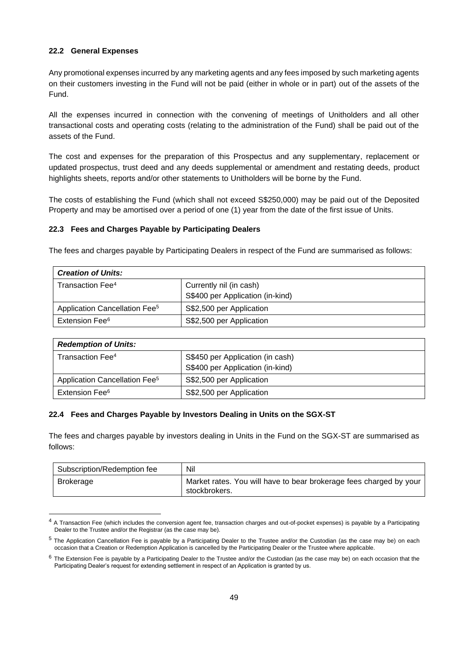#### **22.2 General Expenses**

Any promotional expenses incurred by any marketing agents and any fees imposed by such marketing agents on their customers investing in the Fund will not be paid (either in whole or in part) out of the assets of the Fund.

All the expenses incurred in connection with the convening of meetings of Unitholders and all other transactional costs and operating costs (relating to the administration of the Fund) shall be paid out of the assets of the Fund.

The cost and expenses for the preparation of this Prospectus and any supplementary, replacement or updated prospectus, trust deed and any deeds supplemental or amendment and restating deeds, product highlights sheets, reports and/or other statements to Unitholders will be borne by the Fund.

The costs of establishing the Fund (which shall not exceed S\$250,000) may be paid out of the Deposited Property and may be amortised over a period of one (1) year from the date of the first issue of Units.

## **22.3 Fees and Charges Payable by Participating Dealers**

The fees and charges payable by Participating Dealers in respect of the Fund are summarised as follows:

| <b>Creation of Units:</b>                 |                                  |  |  |  |
|-------------------------------------------|----------------------------------|--|--|--|
| Transaction Fee <sup>4</sup>              | Currently nil (in cash)          |  |  |  |
|                                           | S\$400 per Application (in-kind) |  |  |  |
| Application Cancellation Fee <sup>5</sup> | S\$2,500 per Application         |  |  |  |
| Extension Fee <sup>6</sup>                | S\$2,500 per Application         |  |  |  |

| <b>Redemption of Units:</b>               |                                  |  |  |  |  |
|-------------------------------------------|----------------------------------|--|--|--|--|
| Transaction Fee <sup>4</sup>              | S\$450 per Application (in cash) |  |  |  |  |
|                                           | S\$400 per Application (in-kind) |  |  |  |  |
| Application Cancellation Fee <sup>5</sup> | S\$2,500 per Application         |  |  |  |  |
| Extension Fee <sup>6</sup>                | S\$2,500 per Application         |  |  |  |  |

## **22.4 Fees and Charges Payable by Investors Dealing in Units on the SGX-ST**

The fees and charges payable by investors dealing in Units in the Fund on the SGX-ST are summarised as follows:

| Subscription/Redemption fee | Nil                                                                                 |  |  |  |
|-----------------------------|-------------------------------------------------------------------------------------|--|--|--|
| Brokerage                   | Market rates. You will have to bear brokerage fees charged by your<br>stockbrokers. |  |  |  |

<sup>&</sup>lt;sup>4</sup> A Transaction Fee (which includes the conversion agent fee, transaction charges and out-of-pocket expenses) is payable by a Participating Dealer to the Trustee and/or the Registrar (as the case may be).

<sup>5</sup> The Application Cancellation Fee is payable by a Participating Dealer to the Trustee and/or the Custodian (as the case may be) on each occasion that a Creation or Redemption Application is cancelled by the Participating Dealer or the Trustee where applicable.

 $6$  The Extension Fee is payable by a Participating Dealer to the Trustee and/or the Custodian (as the case may be) on each occasion that the Participating Dealer's request for extending settlement in respect of an Application is granted by us.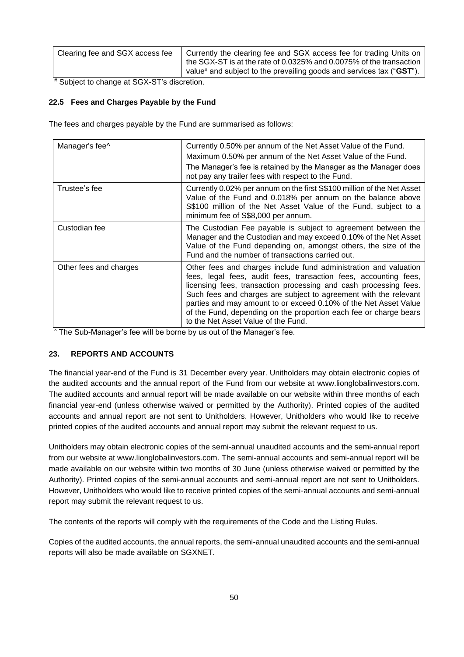| Clearing fee and SGX access fee | Currently the clearing fee and SGX access fee for trading Units on<br>the SGX-ST is at the rate of 0.0325% and 0.0075% of the transaction<br>value <sup>#</sup> and subject to the prevailing goods and services tax (" $\text{GST}$ "). |
|---------------------------------|------------------------------------------------------------------------------------------------------------------------------------------------------------------------------------------------------------------------------------------|
|                                 |                                                                                                                                                                                                                                          |

# Subject to change at SGX-ST's discretion.

# **22.5 Fees and Charges Payable by the Fund**

The fees and charges payable by the Fund are summarised as follows:

| Manager's fee^         | Currently 0.50% per annum of the Net Asset Value of the Fund.<br>Maximum 0.50% per annum of the Net Asset Value of the Fund.<br>The Manager's fee is retained by the Manager as the Manager does<br>not pay any trailer fees with respect to the Fund.                                                                                                                                                                                                       |
|------------------------|--------------------------------------------------------------------------------------------------------------------------------------------------------------------------------------------------------------------------------------------------------------------------------------------------------------------------------------------------------------------------------------------------------------------------------------------------------------|
| Trustee's fee          | Currently 0.02% per annum on the first S\$100 million of the Net Asset<br>Value of the Fund and 0.018% per annum on the balance above<br>S\$100 million of the Net Asset Value of the Fund, subject to a<br>minimum fee of S\$8,000 per annum.                                                                                                                                                                                                               |
| Custodian fee          | The Custodian Fee payable is subject to agreement between the<br>Manager and the Custodian and may exceed 0.10% of the Net Asset<br>Value of the Fund depending on, amongst others, the size of the<br>Fund and the number of transactions carried out.                                                                                                                                                                                                      |
| Other fees and charges | Other fees and charges include fund administration and valuation<br>fees, legal fees, audit fees, transaction fees, accounting fees,<br>licensing fees, transaction processing and cash processing fees.<br>Such fees and charges are subject to agreement with the relevant<br>parties and may amount to or exceed 0.10% of the Net Asset Value<br>of the Fund, depending on the proportion each fee or charge bears<br>to the Net Asset Value of the Fund. |

^ The Sub-Manager's fee will be borne by us out of the Manager's fee.

#### **23. REPORTS AND ACCOUNTS**

The financial year-end of the Fund is 31 December every year. Unitholders may obtain electronic copies of the audited accounts and the annual report of the Fund from our website at [www.lionglobalinvestors.com.](http://www.lionglobalinvestors.com/) The audited accounts and annual report will be made available on our website within three months of each financial year-end (unless otherwise waived or permitted by the Authority). Printed copies of the audited accounts and annual report are not sent to Unitholders. However, Unitholders who would like to receive printed copies of the audited accounts and annual report may submit the relevant request to us.

Unitholders may obtain electronic copies of the semi-annual unaudited accounts and the semi-annual report from our website at [www.lionglobalinvestors.com.](http://www.lionglobalinvestors.com/) The semi-annual accounts and semi-annual report will be made available on our website within two months of 30 June (unless otherwise waived or permitted by the Authority). Printed copies of the semi-annual accounts and semi-annual report are not sent to Unitholders. However, Unitholders who would like to receive printed copies of the semi-annual accounts and semi-annual report may submit the relevant request to us.

The contents of the reports will comply with the requirements of the Code and the Listing Rules.

Copies of the audited accounts, the annual reports, the semi-annual unaudited accounts and the semi-annual reports will also be made available on SGXNET.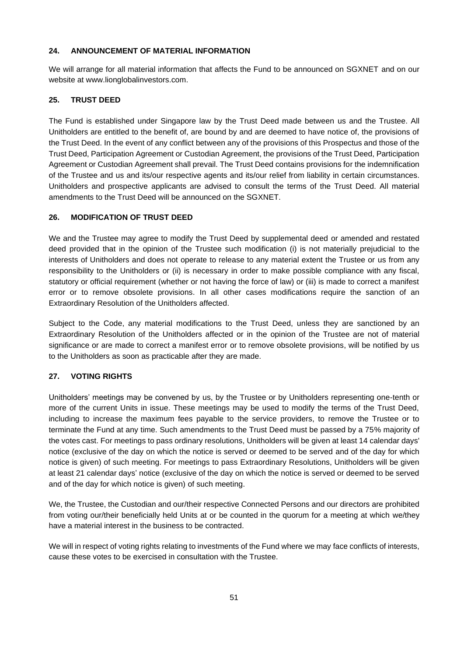## **24. ANNOUNCEMENT OF MATERIAL INFORMATION**

We will arrange for all material information that affects the Fund to be announced on SGXNET and on our website at www.lionglobalinvestors.com.

## **25. TRUST DEED**

The Fund is established under Singapore law by the Trust Deed made between us and the Trustee. All Unitholders are entitled to the benefit of, are bound by and are deemed to have notice of, the provisions of the Trust Deed. In the event of any conflict between any of the provisions of this Prospectus and those of the Trust Deed, Participation Agreement or Custodian Agreement, the provisions of the Trust Deed, Participation Agreement or Custodian Agreement shall prevail. The Trust Deed contains provisions for the indemnification of the Trustee and us and its/our respective agents and its/our relief from liability in certain circumstances. Unitholders and prospective applicants are advised to consult the terms of the Trust Deed. All material amendments to the Trust Deed will be announced on the SGXNET.

## **26. MODIFICATION OF TRUST DEED**

We and the Trustee may agree to modify the Trust Deed by supplemental deed or amended and restated deed provided that in the opinion of the Trustee such modification (i) is not materially prejudicial to the interests of Unitholders and does not operate to release to any material extent the Trustee or us from any responsibility to the Unitholders or (ii) is necessary in order to make possible compliance with any fiscal, statutory or official requirement (whether or not having the force of law) or (iii) is made to correct a manifest error or to remove obsolete provisions. In all other cases modifications require the sanction of an Extraordinary Resolution of the Unitholders affected.

Subject to the Code, any material modifications to the Trust Deed, unless they are sanctioned by an Extraordinary Resolution of the Unitholders affected or in the opinion of the Trustee are not of material significance or are made to correct a manifest error or to remove obsolete provisions, will be notified by us to the Unitholders as soon as practicable after they are made.

#### **27. VOTING RIGHTS**

Unitholders' meetings may be convened by us, by the Trustee or by Unitholders representing one-tenth or more of the current Units in issue. These meetings may be used to modify the terms of the Trust Deed, including to increase the maximum fees payable to the service providers, to remove the Trustee or to terminate the Fund at any time. Such amendments to the Trust Deed must be passed by a 75% majority of the votes cast. For meetings to pass ordinary resolutions, Unitholders will be given at least 14 calendar days' notice (exclusive of the day on which the notice is served or deemed to be served and of the day for which notice is given) of such meeting. For meetings to pass Extraordinary Resolutions, Unitholders will be given at least 21 calendar days' notice (exclusive of the day on which the notice is served or deemed to be served and of the day for which notice is given) of such meeting.

We, the Trustee, the Custodian and our/their respective Connected Persons and our directors are prohibited from voting our/their beneficially held Units at or be counted in the quorum for a meeting at which we/they have a material interest in the business to be contracted.

We will in respect of voting rights relating to investments of the Fund where we may face conflicts of interests, cause these votes to be exercised in consultation with the Trustee.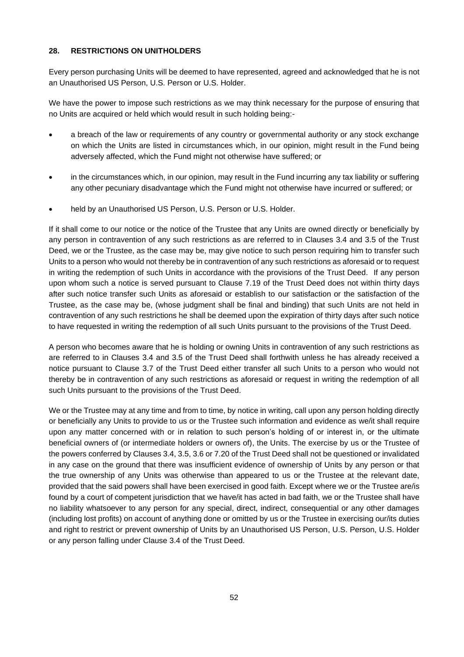## **28. RESTRICTIONS ON UNITHOLDERS**

Every person purchasing Units will be deemed to have represented, agreed and acknowledged that he is not an Unauthorised US Person, U.S. Person or U.S. Holder.

We have the power to impose such restrictions as we may think necessary for the purpose of ensuring that no Units are acquired or held which would result in such holding being:-

- a breach of the law or requirements of any country or governmental authority or any stock exchange on which the Units are listed in circumstances which, in our opinion, might result in the Fund being adversely affected, which the Fund might not otherwise have suffered; or
- in the circumstances which, in our opinion, may result in the Fund incurring any tax liability or suffering any other pecuniary disadvantage which the Fund might not otherwise have incurred or suffered; or
- held by an Unauthorised US Person, U.S. Person or U.S. Holder.

If it shall come to our notice or the notice of the Trustee that any Units are owned directly or beneficially by any person in contravention of any such restrictions as are referred to in Clauses 3.4 and 3.5 of the Trust Deed, we or the Trustee, as the case may be, may give notice to such person requiring him to transfer such Units to a person who would not thereby be in contravention of any such restrictions as aforesaid or to request in writing the redemption of such Units in accordance with the provisions of the Trust Deed. If any person upon whom such a notice is served pursuant to Clause 7.19 of the Trust Deed does not within thirty days after such notice transfer such Units as aforesaid or establish to our satisfaction or the satisfaction of the Trustee, as the case may be, (whose judgment shall be final and binding) that such Units are not held in contravention of any such restrictions he shall be deemed upon the expiration of thirty days after such notice to have requested in writing the redemption of all such Units pursuant to the provisions of the Trust Deed.

A person who becomes aware that he is holding or owning Units in contravention of any such restrictions as are referred to in Clauses 3.4 and 3.5 of the Trust Deed shall forthwith unless he has already received a notice pursuant to Clause 3.7 of the Trust Deed either transfer all such Units to a person who would not thereby be in contravention of any such restrictions as aforesaid or request in writing the redemption of all such Units pursuant to the provisions of the Trust Deed.

We or the Trustee may at any time and from to time, by notice in writing, call upon any person holding directly or beneficially any Units to provide to us or the Trustee such information and evidence as we/it shall require upon any matter concerned with or in relation to such person's holding of or interest in, or the ultimate beneficial owners of (or intermediate holders or owners of), the Units. The exercise by us or the Trustee of the powers conferred by Clauses 3.4, 3.5, 3.6 or 7.20 of the Trust Deed shall not be questioned or invalidated in any case on the ground that there was insufficient evidence of ownership of Units by any person or that the true ownership of any Units was otherwise than appeared to us or the Trustee at the relevant date, provided that the said powers shall have been exercised in good faith. Except where we or the Trustee are/is found by a court of competent jurisdiction that we have/it has acted in bad faith, we or the Trustee shall have no liability whatsoever to any person for any special, direct, indirect, consequential or any other damages (including lost profits) on account of anything done or omitted by us or the Trustee in exercising our/its duties and right to restrict or prevent ownership of Units by an Unauthorised US Person, U.S. Person, U.S. Holder or any person falling under Clause 3.4 of the Trust Deed.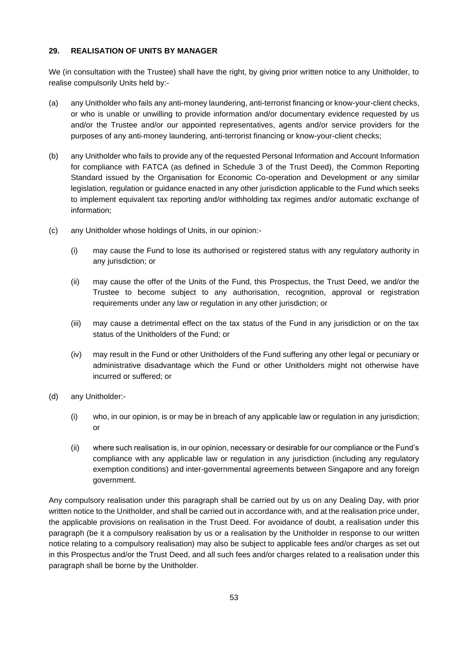# **29. REALISATION OF UNITS BY MANAGER**

We (in consultation with the Trustee) shall have the right, by giving prior written notice to any Unitholder, to realise compulsorily Units held by:-

- (a) any Unitholder who fails any anti-money laundering, anti-terrorist financing or know-your-client checks, or who is unable or unwilling to provide information and/or documentary evidence requested by us and/or the Trustee and/or our appointed representatives, agents and/or service providers for the purposes of any anti-money laundering, anti-terrorist financing or know-your-client checks;
- (b) any Unitholder who fails to provide any of the requested Personal Information and Account Information for compliance with FATCA (as defined in Schedule 3 of the Trust Deed), the Common Reporting Standard issued by the Organisation for Economic Co-operation and Development or any similar legislation, regulation or guidance enacted in any other jurisdiction applicable to the Fund which seeks to implement equivalent tax reporting and/or withholding tax regimes and/or automatic exchange of information;
- (c) any Unitholder whose holdings of Units, in our opinion:-
	- (i) may cause the Fund to lose its authorised or registered status with any regulatory authority in any jurisdiction; or
	- (ii) may cause the offer of the Units of the Fund, this Prospectus, the Trust Deed, we and/or the Trustee to become subject to any authorisation, recognition, approval or registration requirements under any law or regulation in any other jurisdiction; or
	- (iii) may cause a detrimental effect on the tax status of the Fund in any jurisdiction or on the tax status of the Unitholders of the Fund; or
	- (iv) may result in the Fund or other Unitholders of the Fund suffering any other legal or pecuniary or administrative disadvantage which the Fund or other Unitholders might not otherwise have incurred or suffered; or
- (d) any Unitholder:-
	- (i) who, in our opinion, is or may be in breach of any applicable law or regulation in any jurisdiction; or
	- (ii) where such realisation is, in our opinion, necessary or desirable for our compliance or the Fund's compliance with any applicable law or regulation in any jurisdiction (including any regulatory exemption conditions) and inter-governmental agreements between Singapore and any foreign government.

Any compulsory realisation under this paragraph shall be carried out by us on any Dealing Day, with prior written notice to the Unitholder, and shall be carried out in accordance with, and at the realisation price under, the applicable provisions on realisation in the Trust Deed. For avoidance of doubt, a realisation under this paragraph (be it a compulsory realisation by us or a realisation by the Unitholder in response to our written notice relating to a compulsory realisation) may also be subject to applicable fees and/or charges as set out in this Prospectus and/or the Trust Deed, and all such fees and/or charges related to a realisation under this paragraph shall be borne by the Unitholder.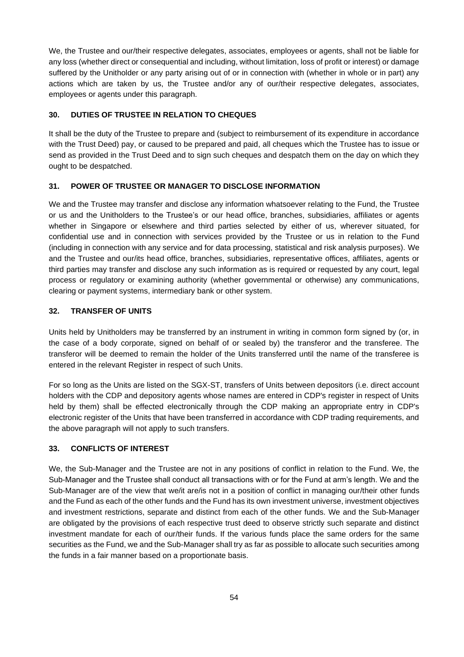We, the Trustee and our/their respective delegates, associates, employees or agents, shall not be liable for any loss (whether direct or consequential and including, without limitation, loss of profit or interest) or damage suffered by the Unitholder or any party arising out of or in connection with (whether in whole or in part) any actions which are taken by us, the Trustee and/or any of our/their respective delegates, associates, employees or agents under this paragraph.

## **30. DUTIES OF TRUSTEE IN RELATION TO CHEQUES**

It shall be the duty of the Trustee to prepare and (subject to reimbursement of its expenditure in accordance with the Trust Deed) pay, or caused to be prepared and paid, all cheques which the Trustee has to issue or send as provided in the Trust Deed and to sign such cheques and despatch them on the day on which they ought to be despatched.

## **31. POWER OF TRUSTEE OR MANAGER TO DISCLOSE INFORMATION**

We and the Trustee may transfer and disclose any information whatsoever relating to the Fund, the Trustee or us and the Unitholders to the Trustee's or our head office, branches, subsidiaries, affiliates or agents whether in Singapore or elsewhere and third parties selected by either of us, wherever situated, for confidential use and in connection with services provided by the Trustee or us in relation to the Fund (including in connection with any service and for data processing, statistical and risk analysis purposes). We and the Trustee and our/its head office, branches, subsidiaries, representative offices, affiliates, agents or third parties may transfer and disclose any such information as is required or requested by any court, legal process or regulatory or examining authority (whether governmental or otherwise) any communications, clearing or payment systems, intermediary bank or other system.

## **32. TRANSFER OF UNITS**

Units held by Unitholders may be transferred by an instrument in writing in common form signed by (or, in the case of a body corporate, signed on behalf of or sealed by) the transferor and the transferee. The transferor will be deemed to remain the holder of the Units transferred until the name of the transferee is entered in the relevant Register in respect of such Units.

For so long as the Units are listed on the SGX-ST, transfers of Units between depositors (i.e. direct account holders with the CDP and depository agents whose names are entered in CDP's register in respect of Units held by them) shall be effected electronically through the CDP making an appropriate entry in CDP's electronic register of the Units that have been transferred in accordance with CDP trading requirements, and the above paragraph will not apply to such transfers.

#### **33. CONFLICTS OF INTEREST**

We, the Sub-Manager and the Trustee are not in any positions of conflict in relation to the Fund. We, the Sub-Manager and the Trustee shall conduct all transactions with or for the Fund at arm's length. We and the Sub-Manager are of the view that we/it are/is not in a position of conflict in managing our/their other funds and the Fund as each of the other funds and the Fund has its own investment universe, investment objectives and investment restrictions, separate and distinct from each of the other funds. We and the Sub-Manager are obligated by the provisions of each respective trust deed to observe strictly such separate and distinct investment mandate for each of our/their funds. If the various funds place the same orders for the same securities as the Fund, we and the Sub-Manager shall try as far as possible to allocate such securities among the funds in a fair manner based on a proportionate basis.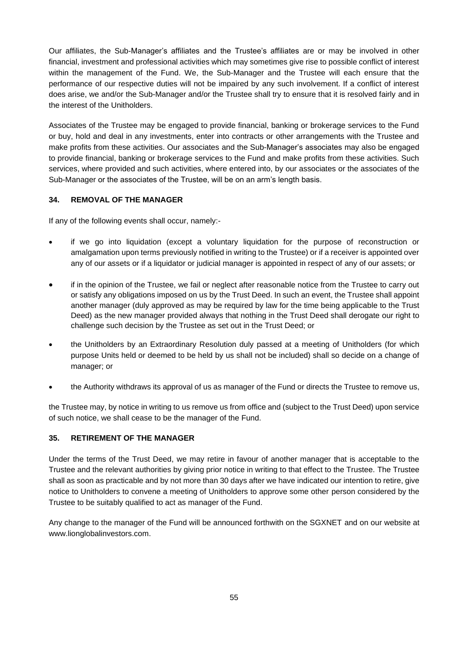Our affiliates, the Sub-Manager's affiliates and the Trustee's affiliates are or may be involved in other financial, investment and professional activities which may sometimes give rise to possible conflict of interest within the management of the Fund. We, the Sub-Manager and the Trustee will each ensure that the performance of our respective duties will not be impaired by any such involvement. If a conflict of interest does arise, we and/or the Sub-Manager and/or the Trustee shall try to ensure that it is resolved fairly and in the interest of the Unitholders.

Associates of the Trustee may be engaged to provide financial, banking or brokerage services to the Fund or buy, hold and deal in any investments, enter into contracts or other arrangements with the Trustee and make profits from these activities. Our associates and the Sub-Manager's associates may also be engaged to provide financial, banking or brokerage services to the Fund and make profits from these activities. Such services, where provided and such activities, where entered into, by our associates or the associates of the Sub-Manager or the associates of the Trustee, will be on an arm's length basis.

# **34. REMOVAL OF THE MANAGER**

If any of the following events shall occur, namely:-

- if we go into liquidation (except a voluntary liquidation for the purpose of reconstruction or amalgamation upon terms previously notified in writing to the Trustee) or if a receiver is appointed over any of our assets or if a liquidator or judicial manager is appointed in respect of any of our assets; or
- if in the opinion of the Trustee, we fail or neglect after reasonable notice from the Trustee to carry out or satisfy any obligations imposed on us by the Trust Deed. In such an event, the Trustee shall appoint another manager (duly approved as may be required by law for the time being applicable to the Trust Deed) as the new manager provided always that nothing in the Trust Deed shall derogate our right to challenge such decision by the Trustee as set out in the Trust Deed; or
- the Unitholders by an Extraordinary Resolution duly passed at a meeting of Unitholders (for which purpose Units held or deemed to be held by us shall not be included) shall so decide on a change of manager; or
- the Authority withdraws its approval of us as manager of the Fund or directs the Trustee to remove us,

the Trustee may, by notice in writing to us remove us from office and (subject to the Trust Deed) upon service of such notice, we shall cease to be the manager of the Fund.

# **35. RETIREMENT OF THE MANAGER**

Under the terms of the Trust Deed, we may retire in favour of another manager that is acceptable to the Trustee and the relevant authorities by giving prior notice in writing to that effect to the Trustee. The Trustee shall as soon as practicable and by not more than 30 days after we have indicated our intention to retire, give notice to Unitholders to convene a meeting of Unitholders to approve some other person considered by the Trustee to be suitably qualified to act as manager of the Fund.

Any change to the manager of the Fund will be announced forthwith on the SGXNET and on our website at www.lionglobalinvestors.com.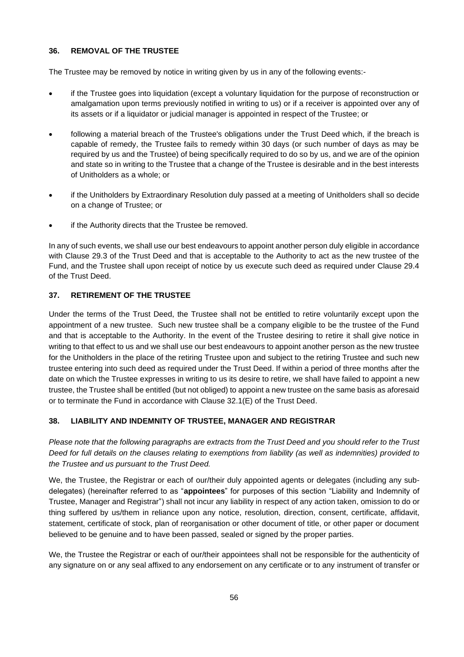# **36. REMOVAL OF THE TRUSTEE**

The Trustee may be removed by notice in writing given by us in any of the following events:-

- if the Trustee goes into liquidation (except a voluntary liquidation for the purpose of reconstruction or amalgamation upon terms previously notified in writing to us) or if a receiver is appointed over any of its assets or if a liquidator or judicial manager is appointed in respect of the Trustee; or
- following a material breach of the Trustee's obligations under the Trust Deed which, if the breach is capable of remedy, the Trustee fails to remedy within 30 days (or such number of days as may be required by us and the Trustee) of being specifically required to do so by us, and we are of the opinion and state so in writing to the Trustee that a change of the Trustee is desirable and in the best interests of Unitholders as a whole; or
- if the Unitholders by Extraordinary Resolution duly passed at a meeting of Unitholders shall so decide on a change of Trustee; or
- if the Authority directs that the Trustee be removed.

In any of such events, we shall use our best endeavours to appoint another person duly eligible in accordance with Clause 29.3 of the Trust Deed and that is acceptable to the Authority to act as the new trustee of the Fund, and the Trustee shall upon receipt of notice by us execute such deed as required under Clause 29.4 of the Trust Deed.

# **37. RETIREMENT OF THE TRUSTEE**

Under the terms of the Trust Deed, the Trustee shall not be entitled to retire voluntarily except upon the appointment of a new trustee. Such new trustee shall be a company eligible to be the trustee of the Fund and that is acceptable to the Authority. In the event of the Trustee desiring to retire it shall give notice in writing to that effect to us and we shall use our best endeavours to appoint another person as the new trustee for the Unitholders in the place of the retiring Trustee upon and subject to the retiring Trustee and such new trustee entering into such deed as required under the Trust Deed. If within a period of three months after the date on which the Trustee expresses in writing to us its desire to retire, we shall have failed to appoint a new trustee, the Trustee shall be entitled (but not obliged) to appoint a new trustee on the same basis as aforesaid or to terminate the Fund in accordance with Clause 32.1(E) of the Trust Deed.

# **38. LIABILITY AND INDEMNITY OF TRUSTEE, MANAGER AND REGISTRAR**

*Please note that the following paragraphs are extracts from the Trust Deed and you should refer to the Trust Deed for full details on the clauses relating to exemptions from liability (as well as indemnities) provided to the Trustee and us pursuant to the Trust Deed.*

We, the Trustee, the Registrar or each of our/their duly appointed agents or delegates (including any subdelegates) (hereinafter referred to as "**appointees**" for purposes of this section "Liability and Indemnity of Trustee, Manager and Registrar") shall not incur any liability in respect of any action taken, omission to do or thing suffered by us/them in reliance upon any notice, resolution, direction, consent, certificate, affidavit, statement, certificate of stock, plan of reorganisation or other document of title, or other paper or document believed to be genuine and to have been passed, sealed or signed by the proper parties.

We, the Trustee the Registrar or each of our/their appointees shall not be responsible for the authenticity of any signature on or any seal affixed to any endorsement on any certificate or to any instrument of transfer or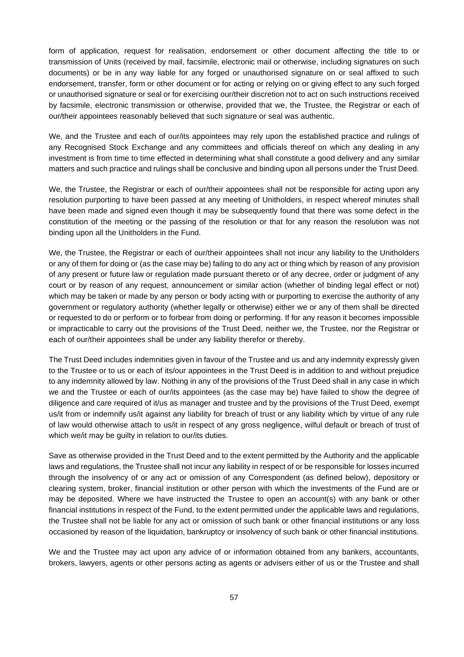form of application, request for realisation, endorsement or other document affecting the title to or transmission of Units (received by mail, facsimile, electronic mail or otherwise, including signatures on such documents) or be in any way liable for any forged or unauthorised signature on or seal affixed to such endorsement, transfer, form or other document or for acting or relying on or giving effect to any such forged or unauthorised signature or seal or for exercising our/their discretion not to act on such instructions received by facsimile, electronic transmission or otherwise, provided that we, the Trustee, the Registrar or each of our/their appointees reasonably believed that such signature or seal was authentic.

We, and the Trustee and each of our/its appointees may rely upon the established practice and rulings of any Recognised Stock Exchange and any committees and officials thereof on which any dealing in any investment is from time to time effected in determining what shall constitute a good delivery and any similar matters and such practice and rulings shall be conclusive and binding upon all persons under the Trust Deed.

We, the Trustee, the Registrar or each of our/their appointees shall not be responsible for acting upon any resolution purporting to have been passed at any meeting of Unitholders, in respect whereof minutes shall have been made and signed even though it may be subsequently found that there was some defect in the constitution of the meeting or the passing of the resolution or that for any reason the resolution was not binding upon all the Unitholders in the Fund.

We, the Trustee, the Registrar or each of our/their appointees shall not incur any liability to the Unitholders or any of them for doing or (as the case may be) failing to do any act or thing which by reason of any provision of any present or future law or regulation made pursuant thereto or of any decree, order or judgment of any court or by reason of any request, announcement or similar action (whether of binding legal effect or not) which may be taken or made by any person or body acting with or purporting to exercise the authority of any government or regulatory authority (whether legally or otherwise) either we or any of them shall be directed or requested to do or perform or to forbear from doing or performing. If for any reason it becomes impossible or impracticable to carry out the provisions of the Trust Deed, neither we, the Trustee, nor the Registrar or each of our/their appointees shall be under any liability therefor or thereby.

The Trust Deed includes indemnities given in favour of the Trustee and us and any indemnity expressly given to the Trustee or to us or each of its/our appointees in the Trust Deed is in addition to and without prejudice to any indemnity allowed by law. Nothing in any of the provisions of the Trust Deed shall in any case in which we and the Trustee or each of our/its appointees (as the case may be) have failed to show the degree of diligence and care required of it/us as manager and trustee and by the provisions of the Trust Deed, exempt us/it from or indemnify us/it against any liability for breach of trust or any liability which by virtue of any rule of law would otherwise attach to us/it in respect of any gross negligence, wilful default or breach of trust of which we/it may be guilty in relation to our/its duties.

Save as otherwise provided in the Trust Deed and to the extent permitted by the Authority and the applicable laws and regulations, the Trustee shall not incur any liability in respect of or be responsible for losses incurred through the insolvency of or any act or omission of any Correspondent (as defined below), depository or clearing system, broker, financial institution or other person with which the investments of the Fund are or may be deposited. Where we have instructed the Trustee to open an account(s) with any bank or other financial institutions in respect of the Fund, to the extent permitted under the applicable laws and regulations, the Trustee shall not be liable for any act or omission of such bank or other financial institutions or any loss occasioned by reason of the liquidation, bankruptcy or insolvency of such bank or other financial institutions.

We and the Trustee may act upon any advice of or information obtained from any bankers, accountants, brokers, lawyers, agents or other persons acting as agents or advisers either of us or the Trustee and shall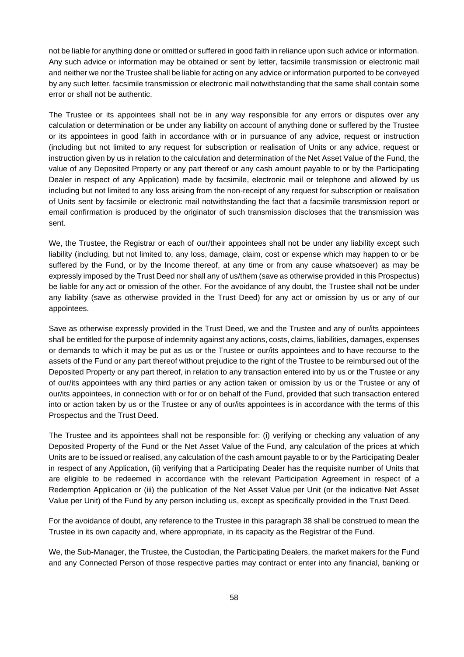not be liable for anything done or omitted or suffered in good faith in reliance upon such advice or information. Any such advice or information may be obtained or sent by letter, facsimile transmission or electronic mail and neither we nor the Trustee shall be liable for acting on any advice or information purported to be conveyed by any such letter, facsimile transmission or electronic mail notwithstanding that the same shall contain some error or shall not be authentic.

The Trustee or its appointees shall not be in any way responsible for any errors or disputes over any calculation or determination or be under any liability on account of anything done or suffered by the Trustee or its appointees in good faith in accordance with or in pursuance of any advice, request or instruction (including but not limited to any request for subscription or realisation of Units or any advice, request or instruction given by us in relation to the calculation and determination of the Net Asset Value of the Fund, the value of any Deposited Property or any part thereof or any cash amount payable to or by the Participating Dealer in respect of any Application) made by facsimile, electronic mail or telephone and allowed by us including but not limited to any loss arising from the non-receipt of any request for subscription or realisation of Units sent by facsimile or electronic mail notwithstanding the fact that a facsimile transmission report or email confirmation is produced by the originator of such transmission discloses that the transmission was sent.

We, the Trustee, the Registrar or each of our/their appointees shall not be under any liability except such liability (including, but not limited to, any loss, damage, claim, cost or expense which may happen to or be suffered by the Fund, or by the Income thereof, at any time or from any cause whatsoever) as may be expressly imposed by the Trust Deed nor shall any of us/them (save as otherwise provided in this Prospectus) be liable for any act or omission of the other. For the avoidance of any doubt, the Trustee shall not be under any liability (save as otherwise provided in the Trust Deed) for any act or omission by us or any of our appointees.

Save as otherwise expressly provided in the Trust Deed, we and the Trustee and any of our/its appointees shall be entitled for the purpose of indemnity against any actions, costs, claims, liabilities, damages, expenses or demands to which it may be put as us or the Trustee or our/its appointees and to have recourse to the assets of the Fund or any part thereof without prejudice to the right of the Trustee to be reimbursed out of the Deposited Property or any part thereof, in relation to any transaction entered into by us or the Trustee or any of our/its appointees with any third parties or any action taken or omission by us or the Trustee or any of our/its appointees, in connection with or for or on behalf of the Fund, provided that such transaction entered into or action taken by us or the Trustee or any of our/its appointees is in accordance with the terms of this Prospectus and the Trust Deed.

The Trustee and its appointees shall not be responsible for: (i) verifying or checking any valuation of any Deposited Property of the Fund or the Net Asset Value of the Fund, any calculation of the prices at which Units are to be issued or realised, any calculation of the cash amount payable to or by the Participating Dealer in respect of any Application, (ii) verifying that a Participating Dealer has the requisite number of Units that are eligible to be redeemed in accordance with the relevant Participation Agreement in respect of a Redemption Application or (iii) the publication of the Net Asset Value per Unit (or the indicative Net Asset Value per Unit) of the Fund by any person including us, except as specifically provided in the Trust Deed.

For the avoidance of doubt, any reference to the Trustee in this paragraph 38 shall be construed to mean the Trustee in its own capacity and, where appropriate, in its capacity as the Registrar of the Fund.

We, the Sub-Manager, the Trustee, the Custodian, the Participating Dealers, the market makers for the Fund and any Connected Person of those respective parties may contract or enter into any financial, banking or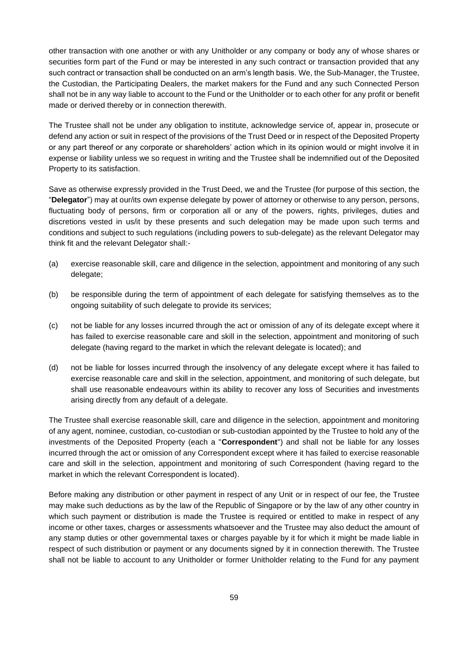other transaction with one another or with any Unitholder or any company or body any of whose shares or securities form part of the Fund or may be interested in any such contract or transaction provided that any such contract or transaction shall be conducted on an arm's length basis. We, the Sub-Manager, the Trustee, the Custodian, the Participating Dealers, the market makers for the Fund and any such Connected Person shall not be in any way liable to account to the Fund or the Unitholder or to each other for any profit or benefit made or derived thereby or in connection therewith.

The Trustee shall not be under any obligation to institute, acknowledge service of, appear in, prosecute or defend any action or suit in respect of the provisions of the Trust Deed or in respect of the Deposited Property or any part thereof or any corporate or shareholders' action which in its opinion would or might involve it in expense or liability unless we so request in writing and the Trustee shall be indemnified out of the Deposited Property to its satisfaction.

Save as otherwise expressly provided in the Trust Deed, we and the Trustee (for purpose of this section, the "**Delegator**") may at our/its own expense delegate by power of attorney or otherwise to any person, persons, fluctuating body of persons, firm or corporation all or any of the powers, rights, privileges, duties and discretions vested in us/it by these presents and such delegation may be made upon such terms and conditions and subject to such regulations (including powers to sub-delegate) as the relevant Delegator may think fit and the relevant Delegator shall:-

- (a) exercise reasonable skill, care and diligence in the selection, appointment and monitoring of any such delegate;
- (b) be responsible during the term of appointment of each delegate for satisfying themselves as to the ongoing suitability of such delegate to provide its services;
- (c) not be liable for any losses incurred through the act or omission of any of its delegate except where it has failed to exercise reasonable care and skill in the selection, appointment and monitoring of such delegate (having regard to the market in which the relevant delegate is located); and
- (d) not be liable for losses incurred through the insolvency of any delegate except where it has failed to exercise reasonable care and skill in the selection, appointment, and monitoring of such delegate, but shall use reasonable endeavours within its ability to recover any loss of Securities and investments arising directly from any default of a delegate.

The Trustee shall exercise reasonable skill, care and diligence in the selection, appointment and monitoring of any agent, nominee, custodian, co-custodian or sub-custodian appointed by the Trustee to hold any of the investments of the Deposited Property (each a "**Correspondent**") and shall not be liable for any losses incurred through the act or omission of any Correspondent except where it has failed to exercise reasonable care and skill in the selection, appointment and monitoring of such Correspondent (having regard to the market in which the relevant Correspondent is located).

Before making any distribution or other payment in respect of any Unit or in respect of our fee, the Trustee may make such deductions as by the law of the Republic of Singapore or by the law of any other country in which such payment or distribution is made the Trustee is required or entitled to make in respect of any income or other taxes, charges or assessments whatsoever and the Trustee may also deduct the amount of any stamp duties or other governmental taxes or charges payable by it for which it might be made liable in respect of such distribution or payment or any documents signed by it in connection therewith. The Trustee shall not be liable to account to any Unitholder or former Unitholder relating to the Fund for any payment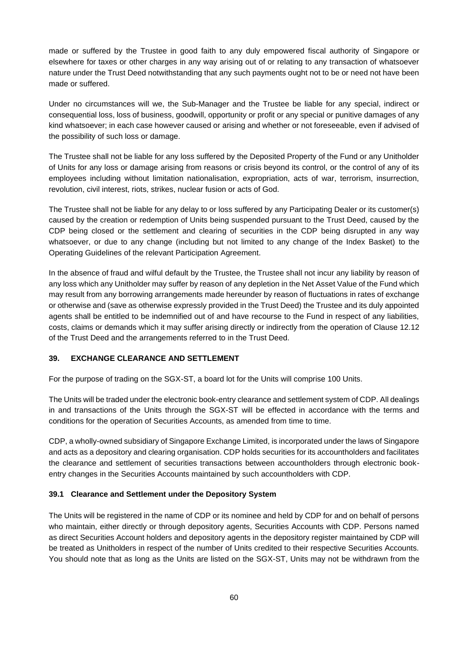made or suffered by the Trustee in good faith to any duly empowered fiscal authority of Singapore or elsewhere for taxes or other charges in any way arising out of or relating to any transaction of whatsoever nature under the Trust Deed notwithstanding that any such payments ought not to be or need not have been made or suffered.

Under no circumstances will we, the Sub-Manager and the Trustee be liable for any special, indirect or consequential loss, loss of business, goodwill, opportunity or profit or any special or punitive damages of any kind whatsoever; in each case however caused or arising and whether or not foreseeable, even if advised of the possibility of such loss or damage.

The Trustee shall not be liable for any loss suffered by the Deposited Property of the Fund or any Unitholder of Units for any loss or damage arising from reasons or crisis beyond its control, or the control of any of its employees including without limitation nationalisation, expropriation, acts of war, terrorism, insurrection, revolution, civil interest, riots, strikes, nuclear fusion or acts of God.

The Trustee shall not be liable for any delay to or loss suffered by any Participating Dealer or its customer(s) caused by the creation or redemption of Units being suspended pursuant to the Trust Deed, caused by the CDP being closed or the settlement and clearing of securities in the CDP being disrupted in any way whatsoever, or due to any change (including but not limited to any change of the Index Basket) to the Operating Guidelines of the relevant Participation Agreement.

In the absence of fraud and wilful default by the Trustee, the Trustee shall not incur any liability by reason of any loss which any Unitholder may suffer by reason of any depletion in the Net Asset Value of the Fund which may result from any borrowing arrangements made hereunder by reason of fluctuations in rates of exchange or otherwise and (save as otherwise expressly provided in the Trust Deed) the Trustee and its duly appointed agents shall be entitled to be indemnified out of and have recourse to the Fund in respect of any liabilities, costs, claims or demands which it may suffer arising directly or indirectly from the operation of Clause 12.12 of the Trust Deed and the arrangements referred to in the Trust Deed.

#### **39. EXCHANGE CLEARANCE AND SETTLEMENT**

For the purpose of trading on the SGX-ST, a board lot for the Units will comprise 100 Units.

The Units will be traded under the electronic book-entry clearance and settlement system of CDP. All dealings in and transactions of the Units through the SGX-ST will be effected in accordance with the terms and conditions for the operation of Securities Accounts, as amended from time to time.

CDP, a wholly-owned subsidiary of Singapore Exchange Limited, is incorporated under the laws of Singapore and acts as a depository and clearing organisation. CDP holds securities for its accountholders and facilitates the clearance and settlement of securities transactions between accountholders through electronic bookentry changes in the Securities Accounts maintained by such accountholders with CDP.

#### **39.1 Clearance and Settlement under the Depository System**

The Units will be registered in the name of CDP or its nominee and held by CDP for and on behalf of persons who maintain, either directly or through depository agents, Securities Accounts with CDP. Persons named as direct Securities Account holders and depository agents in the depository register maintained by CDP will be treated as Unitholders in respect of the number of Units credited to their respective Securities Accounts. You should note that as long as the Units are listed on the SGX-ST, Units may not be withdrawn from the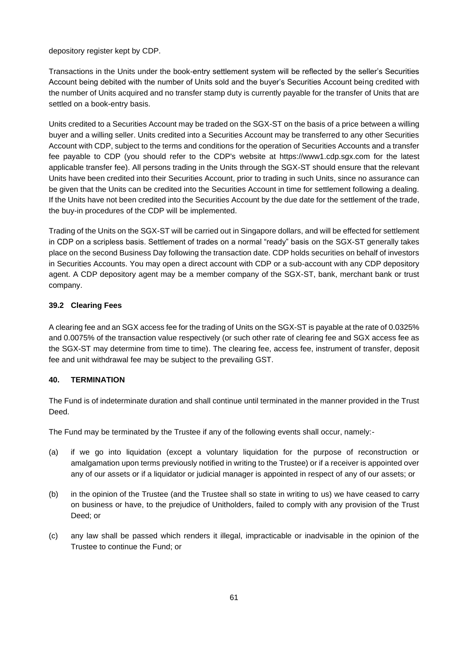depository register kept by CDP.

Transactions in the Units under the book-entry settlement system will be reflected by the seller's Securities Account being debited with the number of Units sold and the buyer's Securities Account being credited with the number of Units acquired and no transfer stamp duty is currently payable for the transfer of Units that are settled on a book-entry basis.

Units credited to a Securities Account may be traded on the SGX-ST on the basis of a price between a willing buyer and a willing seller. Units credited into a Securities Account may be transferred to any other Securities Account with CDP, subject to the terms and conditions for the operation of Securities Accounts and a transfer fee payable to CDP (you should refer to the CDP's website at https://www1.cdp.sgx.com for the latest applicable transfer fee). All persons trading in the Units through the SGX-ST should ensure that the relevant Units have been credited into their Securities Account, prior to trading in such Units, since no assurance can be given that the Units can be credited into the Securities Account in time for settlement following a dealing. If the Units have not been credited into the Securities Account by the due date for the settlement of the trade, the buy-in procedures of the CDP will be implemented.

Trading of the Units on the SGX-ST will be carried out in Singapore dollars, and will be effected for settlement in CDP on a scripless basis. Settlement of trades on a normal "ready" basis on the SGX-ST generally takes place on the second Business Day following the transaction date. CDP holds securities on behalf of investors in Securities Accounts. You may open a direct account with CDP or a sub-account with any CDP depository agent. A CDP depository agent may be a member company of the SGX-ST, bank, merchant bank or trust company.

# **39.2 Clearing Fees**

A clearing fee and an SGX access fee for the trading of Units on the SGX-ST is payable at the rate of 0.0325% and 0.0075% of the transaction value respectively (or such other rate of clearing fee and SGX access fee as the SGX-ST may determine from time to time). The clearing fee, access fee, instrument of transfer, deposit fee and unit withdrawal fee may be subject to the prevailing GST.

## **40. TERMINATION**

The Fund is of indeterminate duration and shall continue until terminated in the manner provided in the Trust Deed.

The Fund may be terminated by the Trustee if any of the following events shall occur, namely:-

- (a) if we go into liquidation (except a voluntary liquidation for the purpose of reconstruction or amalgamation upon terms previously notified in writing to the Trustee) or if a receiver is appointed over any of our assets or if a liquidator or judicial manager is appointed in respect of any of our assets; or
- (b) in the opinion of the Trustee (and the Trustee shall so state in writing to us) we have ceased to carry on business or have, to the prejudice of Unitholders, failed to comply with any provision of the Trust Deed; or
- (c) any law shall be passed which renders it illegal, impracticable or inadvisable in the opinion of the Trustee to continue the Fund; or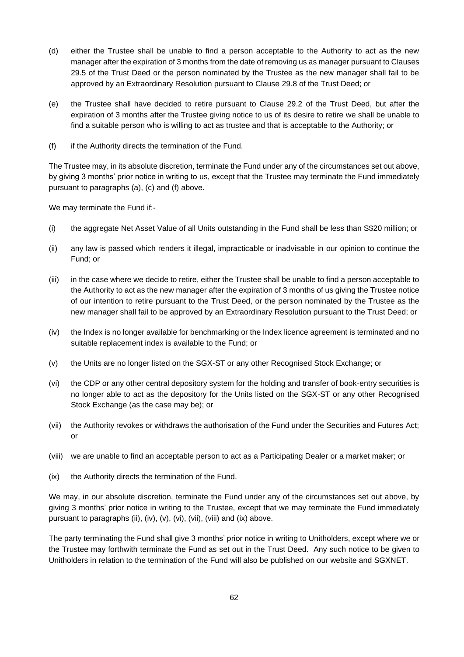- (d) either the Trustee shall be unable to find a person acceptable to the Authority to act as the new manager after the expiration of 3 months from the date of removing us as manager pursuant to Clauses 29.5 of the Trust Deed or the person nominated by the Trustee as the new manager shall fail to be approved by an Extraordinary Resolution pursuant to Clause 29.8 of the Trust Deed; or
- (e) the Trustee shall have decided to retire pursuant to Clause 29.2 of the Trust Deed, but after the expiration of 3 months after the Trustee giving notice to us of its desire to retire we shall be unable to find a suitable person who is willing to act as trustee and that is acceptable to the Authority; or
- (f) if the Authority directs the termination of the Fund.

The Trustee may, in its absolute discretion, terminate the Fund under any of the circumstances set out above, by giving 3 months' prior notice in writing to us, except that the Trustee may terminate the Fund immediately pursuant to paragraphs (a), (c) and (f) above.

We may terminate the Fund if:-

- (i) the aggregate Net Asset Value of all Units outstanding in the Fund shall be less than S\$20 million; or
- (ii) any law is passed which renders it illegal, impracticable or inadvisable in our opinion to continue the Fund; or
- (iii) in the case where we decide to retire, either the Trustee shall be unable to find a person acceptable to the Authority to act as the new manager after the expiration of 3 months of us giving the Trustee notice of our intention to retire pursuant to the Trust Deed, or the person nominated by the Trustee as the new manager shall fail to be approved by an Extraordinary Resolution pursuant to the Trust Deed; or
- (iv) the Index is no longer available for benchmarking or the Index licence agreement is terminated and no suitable replacement index is available to the Fund; or
- (v) the Units are no longer listed on the SGX-ST or any other Recognised Stock Exchange; or
- (vi) the CDP or any other central depository system for the holding and transfer of book-entry securities is no longer able to act as the depository for the Units listed on the SGX-ST or any other Recognised Stock Exchange (as the case may be); or
- (vii) the Authority revokes or withdraws the authorisation of the Fund under the Securities and Futures Act; or
- (viii) we are unable to find an acceptable person to act as a Participating Dealer or a market maker; or
- (ix) the Authority directs the termination of the Fund.

We may, in our absolute discretion, terminate the Fund under any of the circumstances set out above, by giving 3 months' prior notice in writing to the Trustee, except that we may terminate the Fund immediately pursuant to paragraphs (ii), (iv), (v), (vi), (vii), (viii) and (ix) above.

The party terminating the Fund shall give 3 months' prior notice in writing to Unitholders, except where we or the Trustee may forthwith terminate the Fund as set out in the Trust Deed. Any such notice to be given to Unitholders in relation to the termination of the Fund will also be published on our website and SGXNET.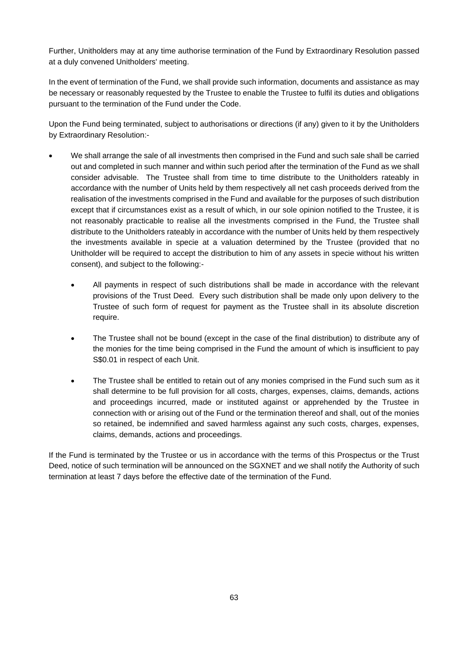Further, Unitholders may at any time authorise termination of the Fund by Extraordinary Resolution passed at a duly convened Unitholders' meeting.

In the event of termination of the Fund, we shall provide such information, documents and assistance as may be necessary or reasonably requested by the Trustee to enable the Trustee to fulfil its duties and obligations pursuant to the termination of the Fund under the Code.

Upon the Fund being terminated, subject to authorisations or directions (if any) given to it by the Unitholders by Extraordinary Resolution:-

- We shall arrange the sale of all investments then comprised in the Fund and such sale shall be carried out and completed in such manner and within such period after the termination of the Fund as we shall consider advisable. The Trustee shall from time to time distribute to the Unitholders rateably in accordance with the number of Units held by them respectively all net cash proceeds derived from the realisation of the investments comprised in the Fund and available for the purposes of such distribution except that if circumstances exist as a result of which, in our sole opinion notified to the Trustee, it is not reasonably practicable to realise all the investments comprised in the Fund, the Trustee shall distribute to the Unitholders rateably in accordance with the number of Units held by them respectively the investments available in specie at a valuation determined by the Trustee (provided that no Unitholder will be required to accept the distribution to him of any assets in specie without his written consent), and subject to the following:-
	- All payments in respect of such distributions shall be made in accordance with the relevant provisions of the Trust Deed. Every such distribution shall be made only upon delivery to the Trustee of such form of request for payment as the Trustee shall in its absolute discretion require.
	- The Trustee shall not be bound (except in the case of the final distribution) to distribute any of the monies for the time being comprised in the Fund the amount of which is insufficient to pay S\$0.01 in respect of each Unit.
	- The Trustee shall be entitled to retain out of any monies comprised in the Fund such sum as it shall determine to be full provision for all costs, charges, expenses, claims, demands, actions and proceedings incurred, made or instituted against or apprehended by the Trustee in connection with or arising out of the Fund or the termination thereof and shall, out of the monies so retained, be indemnified and saved harmless against any such costs, charges, expenses, claims, demands, actions and proceedings.

If the Fund is terminated by the Trustee or us in accordance with the terms of this Prospectus or the Trust Deed, notice of such termination will be announced on the SGXNET and we shall notify the Authority of such termination at least 7 days before the effective date of the termination of the Fund.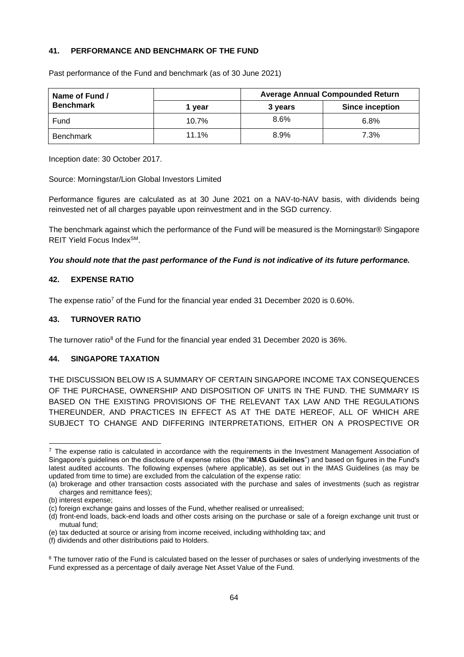## **41. PERFORMANCE AND BENCHMARK OF THE FUND**

| Name of Fund /   |        |         | <b>Average Annual Compounded Return</b> |  |  |
|------------------|--------|---------|-----------------------------------------|--|--|
| <b>Benchmark</b> | 1 vear | 3 years | <b>Since inception</b>                  |  |  |
| Fund             | 10.7%  | $8.6\%$ | 6.8%                                    |  |  |
| <b>Benchmark</b> | 11.1%  | 8.9%    | 7.3%                                    |  |  |

Past performance of the Fund and benchmark (as of 30 June 2021)

Inception date: 30 October 2017.

Source: Morningstar/Lion Global Investors Limited

Performance figures are calculated as at 30 June 2021 on a NAV-to-NAV basis, with dividends being reinvested net of all charges payable upon reinvestment and in the SGD currency.

The benchmark against which the performance of the Fund will be measured is the Morningstar® Singapore REIT Yield Focus Index<sup>SM</sup>.

*You should note that the past performance of the Fund is not indicative of its future performance.*

#### **42. EXPENSE RATIO**

The expense ratio<sup>7</sup> of the Fund for the financial year ended 31 December 2020 is 0.60%.

#### **43. TURNOVER RATIO**

The turnover ratio<sup>8</sup> of the Fund for the financial year ended 31 December 2020 is 36%.

# **44. SINGAPORE TAXATION**

THE DISCUSSION BELOW IS A SUMMARY OF CERTAIN SINGAPORE INCOME TAX CONSEQUENCES OF THE PURCHASE, OWNERSHIP AND DISPOSITION OF UNITS IN THE FUND. THE SUMMARY IS BASED ON THE EXISTING PROVISIONS OF THE RELEVANT TAX LAW AND THE REGULATIONS THEREUNDER, AND PRACTICES IN EFFECT AS AT THE DATE HEREOF, ALL OF WHICH ARE SUBJECT TO CHANGE AND DIFFERING INTERPRETATIONS, EITHER ON A PROSPECTIVE OR

 $<sup>7</sup>$  The expense ratio is calculated in accordance with the requirements in the Investment Management Association of</sup> Singapore's guidelines on the disclosure of expense ratios (the "**IMAS Guidelines**") and based on figures in the Fund's latest audited accounts. The following expenses (where applicable), as set out in the IMAS Guidelines (as may be updated from time to time) are excluded from the calculation of the expense ratio:

<sup>(</sup>a) brokerage and other transaction costs associated with the purchase and sales of investments (such as registrar charges and remittance fees);

<sup>(</sup>b) interest expense;

<sup>(</sup>c) foreign exchange gains and losses of the Fund, whether realised or unrealised;

<sup>(</sup>d) front-end loads, back-end loads and other costs arising on the purchase or sale of a foreign exchange unit trust or mutual fund;

<sup>(</sup>e) tax deducted at source or arising from income received, including withholding tax; and

<sup>(</sup>f) dividends and other distributions paid to Holders.

<sup>&</sup>lt;sup>8</sup> The turnover ratio of the Fund is calculated based on the lesser of purchases or sales of underlying investments of the Fund expressed as a percentage of daily average Net Asset Value of the Fund.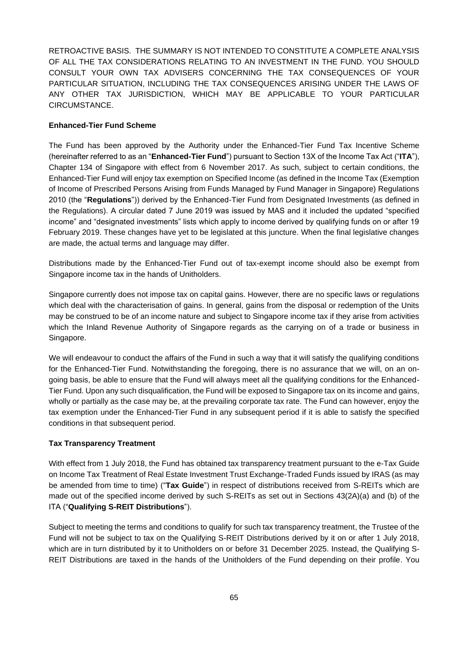RETROACTIVE BASIS. THE SUMMARY IS NOT INTENDED TO CONSTITUTE A COMPLETE ANALYSIS OF ALL THE TAX CONSIDERATIONS RELATING TO AN INVESTMENT IN THE FUND. YOU SHOULD CONSULT YOUR OWN TAX ADVISERS CONCERNING THE TAX CONSEQUENCES OF YOUR PARTICULAR SITUATION, INCLUDING THE TAX CONSEQUENCES ARISING UNDER THE LAWS OF ANY OTHER TAX JURISDICTION, WHICH MAY BE APPLICABLE TO YOUR PARTICULAR CIRCUMSTANCE.

## **Enhanced-Tier Fund Scheme**

The Fund has been approved by the Authority under the Enhanced-Tier Fund Tax Incentive Scheme (hereinafter referred to as an "**Enhanced-Tier Fund**") pursuant to Section 13X of the Income Tax Act ("**ITA**"), Chapter 134 of Singapore with effect from 6 November 2017. As such, subject to certain conditions, the Enhanced-Tier Fund will enjoy tax exemption on Specified Income (as defined in the Income Tax (Exemption of Income of Prescribed Persons Arising from Funds Managed by Fund Manager in Singapore) Regulations 2010 (the "**Regulations**")) derived by the Enhanced-Tier Fund from Designated Investments (as defined in the Regulations). A circular dated 7 June 2019 was issued by MAS and it included the updated "specified income" and "designated investments" lists which apply to income derived by qualifying funds on or after 19 February 2019. These changes have yet to be legislated at this juncture. When the final legislative changes are made, the actual terms and language may differ.

Distributions made by the Enhanced-Tier Fund out of tax-exempt income should also be exempt from Singapore income tax in the hands of Unitholders.

Singapore currently does not impose tax on capital gains. However, there are no specific laws or regulations which deal with the characterisation of gains. In general, gains from the disposal or redemption of the Units may be construed to be of an income nature and subject to Singapore income tax if they arise from activities which the Inland Revenue Authority of Singapore regards as the carrying on of a trade or business in Singapore.

We will endeavour to conduct the affairs of the Fund in such a way that it will satisfy the qualifying conditions for the Enhanced-Tier Fund. Notwithstanding the foregoing, there is no assurance that we will, on an ongoing basis, be able to ensure that the Fund will always meet all the qualifying conditions for the Enhanced-Tier Fund. Upon any such disqualification, the Fund will be exposed to Singapore tax on its income and gains, wholly or partially as the case may be, at the prevailing corporate tax rate. The Fund can however, enjoy the tax exemption under the Enhanced-Tier Fund in any subsequent period if it is able to satisfy the specified conditions in that subsequent period.

# **Tax Transparency Treatment**

With effect from 1 July 2018, the Fund has obtained tax transparency treatment pursuant to the e-Tax Guide on Income Tax Treatment of Real Estate Investment Trust Exchange-Traded Funds issued by IRAS (as may be amended from time to time) ("**Tax Guide**") in respect of distributions received from S-REITs which are made out of the specified income derived by such S-REITs as set out in Sections 43(2A)(a) and (b) of the ITA ("**Qualifying S-REIT Distributions**").

Subject to meeting the terms and conditions to qualify for such tax transparency treatment, the Trustee of the Fund will not be subject to tax on the Qualifying S-REIT Distributions derived by it on or after 1 July 2018, which are in turn distributed by it to Unitholders on or before 31 December 2025. Instead, the Qualifying S-REIT Distributions are taxed in the hands of the Unitholders of the Fund depending on their profile. You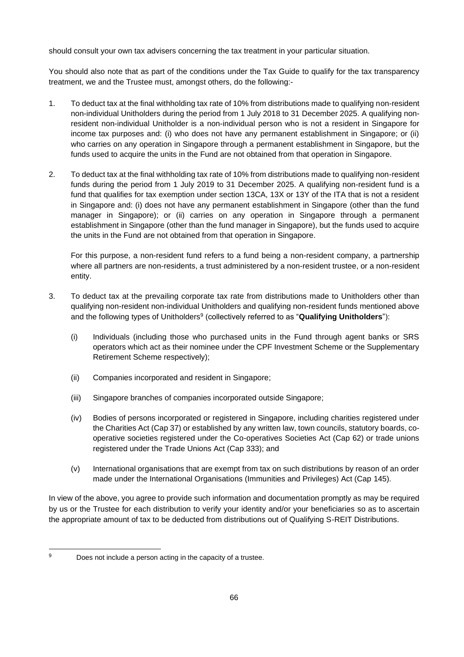should consult your own tax advisers concerning the tax treatment in your particular situation.

You should also note that as part of the conditions under the Tax Guide to qualify for the tax transparency treatment, we and the Trustee must, amongst others, do the following:-

- 1. To deduct tax at the final withholding tax rate of 10% from distributions made to qualifying non-resident non-individual Unitholders during the period from 1 July 2018 to 31 December 2025. A qualifying nonresident non-individual Unitholder is a non-individual person who is not a resident in Singapore for income tax purposes and: (i) who does not have any permanent establishment in Singapore; or (ii) who carries on any operation in Singapore through a permanent establishment in Singapore, but the funds used to acquire the units in the Fund are not obtained from that operation in Singapore.
- 2. To deduct tax at the final withholding tax rate of 10% from distributions made to qualifying non-resident funds during the period from 1 July 2019 to 31 December 2025. A qualifying non-resident fund is a fund that qualifies for tax exemption under section 13CA, 13X or 13Y of the ITA that is not a resident in Singapore and: (i) does not have any permanent establishment in Singapore (other than the fund manager in Singapore); or (ii) carries on any operation in Singapore through a permanent establishment in Singapore (other than the fund manager in Singapore), but the funds used to acquire the units in the Fund are not obtained from that operation in Singapore.

For this purpose, a non-resident fund refers to a fund being a non-resident company, a partnership where all partners are non-residents, a trust administered by a non-resident trustee, or a non-resident entity.

- 3. To deduct tax at the prevailing corporate tax rate from distributions made to Unitholders other than qualifying non-resident non-individual Unitholders and qualifying non-resident funds mentioned above and the following types of Unitholders<sup>9</sup> (collectively referred to as "Qualifying Unitholders"):
	- (i) Individuals (including those who purchased units in the Fund through agent banks or SRS operators which act as their nominee under the CPF Investment Scheme or the Supplementary Retirement Scheme respectively);
	- (ii) Companies incorporated and resident in Singapore;
	- (iii) Singapore branches of companies incorporated outside Singapore;
	- (iv) Bodies of persons incorporated or registered in Singapore, including charities registered under the Charities Act (Cap 37) or established by any written law, town councils, statutory boards, cooperative societies registered under the Co-operatives Societies Act (Cap 62) or trade unions registered under the Trade Unions Act (Cap 333); and
	- (v) International organisations that are exempt from tax on such distributions by reason of an order made under the International Organisations (Immunities and Privileges) Act (Cap 145).

In view of the above, you agree to provide such information and documentation promptly as may be required by us or the Trustee for each distribution to verify your identity and/or your beneficiaries so as to ascertain the appropriate amount of tax to be deducted from distributions out of Qualifying S-REIT Distributions.

<sup>9</sup> Does not include a person acting in the capacity of a trustee.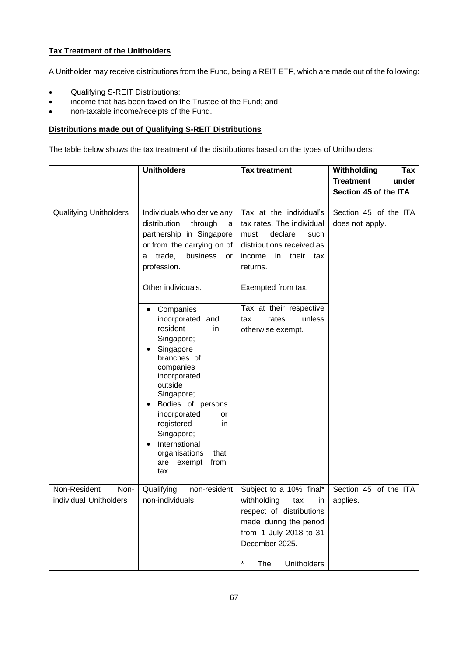# **Tax Treatment of the Unitholders**

A Unitholder may receive distributions from the Fund, being a REIT ETF, which are made out of the following:

- Qualifying S-REIT Distributions;
- income that has been taxed on the Trustee of the Fund; and
- non-taxable income/receipts of the Fund.

# **Distributions made out of Qualifying S-REIT Distributions**

The table below shows the tax treatment of the distributions based on the types of Unitholders:

|                                                | <b>Unitholders</b>                                                                                                                                                                                                                                                                                                                                                                                                                                                                                           | <b>Tax treatment</b>                                                                                                                                                                                                                                   | Withholding<br>Tax                       |
|------------------------------------------------|--------------------------------------------------------------------------------------------------------------------------------------------------------------------------------------------------------------------------------------------------------------------------------------------------------------------------------------------------------------------------------------------------------------------------------------------------------------------------------------------------------------|--------------------------------------------------------------------------------------------------------------------------------------------------------------------------------------------------------------------------------------------------------|------------------------------------------|
|                                                |                                                                                                                                                                                                                                                                                                                                                                                                                                                                                                              |                                                                                                                                                                                                                                                        | <b>Treatment</b><br>under                |
|                                                |                                                                                                                                                                                                                                                                                                                                                                                                                                                                                                              |                                                                                                                                                                                                                                                        | Section 45 of the ITA                    |
| <b>Qualifying Unitholders</b>                  | Individuals who derive any<br>distribution<br>through<br>a<br>partnership in Singapore<br>or from the carrying on of<br>trade,<br>business<br><b>or</b><br>a<br>profession.<br>Other individuals.<br>Companies<br>incorporated and<br>resident<br>in<br>Singapore;<br>Singapore<br>branches of<br>companies<br>incorporated<br>outside<br>Singapore;<br>Bodies of persons<br>incorporated<br>or<br>registered<br>in<br>Singapore;<br>International<br>organisations<br>that<br>from<br>are<br>exempt<br>tax. | Tax at the individual's<br>tax rates. The individual<br>declare<br>must<br>such<br>distributions received as<br>their tax<br>income<br>in.<br>returns.<br>Exempted from tax.<br>Tax at their respective<br>unless<br>tax<br>rates<br>otherwise exempt. | Section 45 of the ITA<br>does not apply. |
| Non-Resident<br>Non-<br>individual Unitholders | Qualifying<br>non-resident<br>non-individuals.                                                                                                                                                                                                                                                                                                                                                                                                                                                               | Subject to a 10% final*<br>withholding<br>tax<br>in<br>respect of distributions<br>made during the period<br>from 1 July 2018 to 31<br>December 2025.<br>The<br><b>Unitholders</b>                                                                     | Section 45 of the ITA<br>applies.        |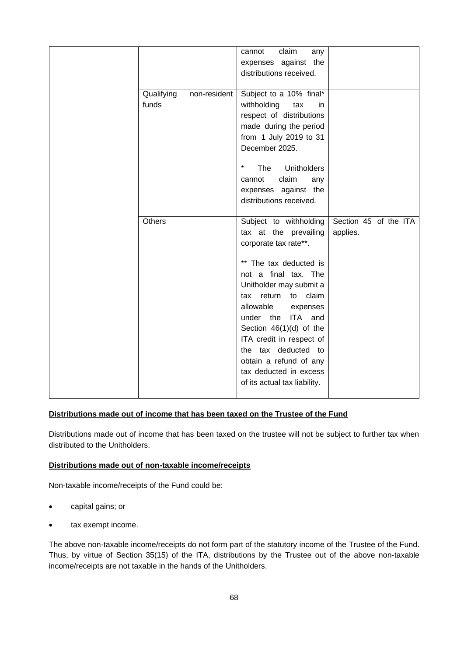|                                     | claim<br>any<br>cannot<br>expenses against the<br>distributions received.                                                                                                                                                                                                                                                                                                                            |                                   |
|-------------------------------------|------------------------------------------------------------------------------------------------------------------------------------------------------------------------------------------------------------------------------------------------------------------------------------------------------------------------------------------------------------------------------------------------------|-----------------------------------|
| Qualifying<br>non-resident<br>funds | Subject to a 10% final*<br>withholding<br>tax<br>in.<br>respect of distributions<br>made during the period<br>from 1 July 2019 to 31<br>December 2025.<br>$\ast$<br>The<br><b>Unitholders</b><br>claim<br>cannot<br>any<br>expenses against the<br>distributions received.                                                                                                                           |                                   |
| Others                              | Subject to withholding<br>tax at the prevailing<br>corporate tax rate**.<br>** The tax deducted is<br>not a final tax. The<br>Unitholder may submit a<br>claim<br>tax return<br>to<br>allowable<br>expenses<br>under the ITA and<br>Section $46(1)(d)$ of the<br>ITA credit in respect of<br>the tax deducted to<br>obtain a refund of any<br>tax deducted in excess<br>of its actual tax liability. | Section 45 of the ITA<br>applies. |

# **Distributions made out of income that has been taxed on the Trustee of the Fund**

Distributions made out of income that has been taxed on the trustee will not be subject to further tax when distributed to the Unitholders.

# **Distributions made out of non-taxable income/receipts**

Non-taxable income/receipts of the Fund could be:

- capital gains; or
- tax exempt income.

The above non-taxable income/receipts do not form part of the statutory income of the Trustee of the Fund. Thus, by virtue of Section 35(15) of the ITA, distributions by the Trustee out of the above non-taxable income/receipts are not taxable in the hands of the Unitholders.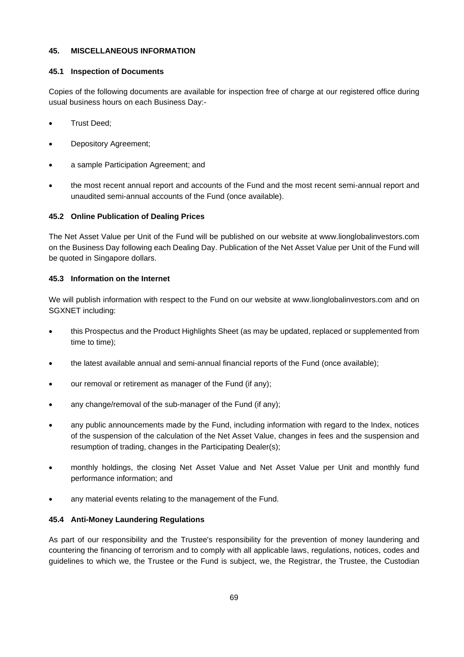#### **45. MISCELLANEOUS INFORMATION**

#### **45.1 Inspection of Documents**

Copies of the following documents are available for inspection free of charge at our registered office during usual business hours on each Business Day:-

- Trust Deed;
- Depository Agreement;
- a sample Participation Agreement; and
- the most recent annual report and accounts of the Fund and the most recent semi-annual report and unaudited semi-annual accounts of the Fund (once available).

# **45.2 Online Publication of Dealing Prices**

The Net Asset Value per Unit of the Fund will be published on our website at www.lionglobalinvestors.com on the Business Day following each Dealing Day. Publication of the Net Asset Value per Unit of the Fund will be quoted in Singapore dollars.

# **45.3 Information on the Internet**

We will publish information with respect to the Fund on our website at [www.lionglobalinvestors.com](http://www.lionglobalinvestors.com/) and on SGXNET including:

- this Prospectus and the Product Highlights Sheet (as may be updated, replaced or supplemented from time to time);
- the latest available annual and semi-annual financial reports of the Fund (once available);
- our removal or retirement as manager of the Fund (if any);
- any change/removal of the sub-manager of the Fund (if any);
- any public announcements made by the Fund, including information with regard to the Index, notices of the suspension of the calculation of the Net Asset Value, changes in fees and the suspension and resumption of trading, changes in the Participating Dealer(s);
- monthly holdings, the closing Net Asset Value and Net Asset Value per Unit and monthly fund performance information; and
- any material events relating to the management of the Fund.

# **45.4 Anti-Money Laundering Regulations**

As part of our responsibility and the Trustee's responsibility for the prevention of money laundering and countering the financing of terrorism and to comply with all applicable laws, regulations, notices, codes and guidelines to which we, the Trustee or the Fund is subject, we, the Registrar, the Trustee, the Custodian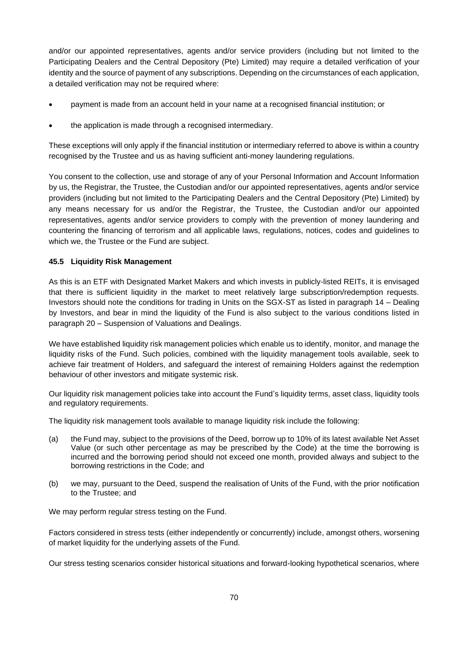and/or our appointed representatives, agents and/or service providers (including but not limited to the Participating Dealers and the Central Depository (Pte) Limited) may require a detailed verification of your identity and the source of payment of any subscriptions. Depending on the circumstances of each application, a detailed verification may not be required where:

- payment is made from an account held in your name at a recognised financial institution; or
- the application is made through a recognised intermediary.

These exceptions will only apply if the financial institution or intermediary referred to above is within a country recognised by the Trustee and us as having sufficient anti-money laundering regulations.

You consent to the collection, use and storage of any of your Personal Information and Account Information by us, the Registrar, the Trustee, the Custodian and/or our appointed representatives, agents and/or service providers (including but not limited to the Participating Dealers and the Central Depository (Pte) Limited) by any means necessary for us and/or the Registrar, the Trustee, the Custodian and/or our appointed representatives, agents and/or service providers to comply with the prevention of money laundering and countering the financing of terrorism and all applicable laws, regulations, notices, codes and guidelines to which we, the Trustee or the Fund are subject.

# **45.5 Liquidity Risk Management**

As this is an ETF with Designated Market Makers and which invests in publicly-listed REITs, it is envisaged that there is sufficient liquidity in the market to meet relatively large subscription/redemption requests. Investors should note the conditions for trading in Units on the SGX-ST as listed in paragraph 14 – Dealing by Investors, and bear in mind the liquidity of the Fund is also subject to the various conditions listed in paragraph 20 – Suspension of Valuations and Dealings.

We have established liquidity risk management policies which enable us to identify, monitor, and manage the liquidity risks of the Fund. Such policies, combined with the liquidity management tools available, seek to achieve fair treatment of Holders, and safeguard the interest of remaining Holders against the redemption behaviour of other investors and mitigate systemic risk.

Our liquidity risk management policies take into account the Fund's liquidity terms, asset class, liquidity tools and regulatory requirements.

The liquidity risk management tools available to manage liquidity risk include the following:

- (a) the Fund may, subject to the provisions of the Deed, borrow up to 10% of its latest available Net Asset Value (or such other percentage as may be prescribed by the Code) at the time the borrowing is incurred and the borrowing period should not exceed one month, provided always and subject to the borrowing restrictions in the Code; and
- (b) we may, pursuant to the Deed, suspend the realisation of Units of the Fund, with the prior notification to the Trustee; and

We may perform regular stress testing on the Fund.

Factors considered in stress tests (either independently or concurrently) include, amongst others, worsening of market liquidity for the underlying assets of the Fund.

Our stress testing scenarios consider historical situations and forward-looking hypothetical scenarios, where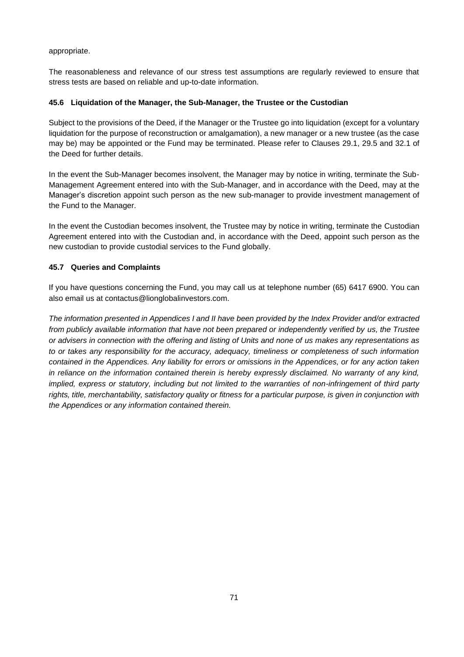appropriate.

The reasonableness and relevance of our stress test assumptions are regularly reviewed to ensure that stress tests are based on reliable and up-to-date information.

#### **45.6 Liquidation of the Manager, the Sub-Manager, the Trustee or the Custodian**

Subject to the provisions of the Deed, if the Manager or the Trustee go into liquidation (except for a voluntary liquidation for the purpose of reconstruction or amalgamation), a new manager or a new trustee (as the case may be) may be appointed or the Fund may be terminated. Please refer to Clauses 29.1, 29.5 and 32.1 of the Deed for further details.

In the event the Sub-Manager becomes insolvent, the Manager may by notice in writing, terminate the Sub-Management Agreement entered into with the Sub-Manager, and in accordance with the Deed, may at the Manager's discretion appoint such person as the new sub-manager to provide investment management of the Fund to the Manager.

In the event the Custodian becomes insolvent, the Trustee may by notice in writing, terminate the Custodian Agreement entered into with the Custodian and, in accordance with the Deed, appoint such person as the new custodian to provide custodial services to the Fund globally.

# **45.7 Queries and Complaints**

If you have questions concerning the Fund, you may call us at telephone number (65) 6417 6900. You can also email us at contactus@lionglobalinvestors.com.

*The information presented in Appendices I and II have been provided by the Index Provider and/or extracted from publicly available information that have not been prepared or independently verified by us, the Trustee or advisers in connection with the offering and listing of Units and none of us makes any representations as to or takes any responsibility for the accuracy, adequacy, timeliness or completeness of such information contained in the Appendices. Any liability for errors or omissions in the Appendices, or for any action taken in reliance on the information contained therein is hereby expressly disclaimed. No warranty of any kind, implied, express or statutory, including but not limited to the warranties of non-infringement of third party rights, title, merchantability, satisfactory quality or fitness for a particular purpose, is given in conjunction with the Appendices or any information contained therein.*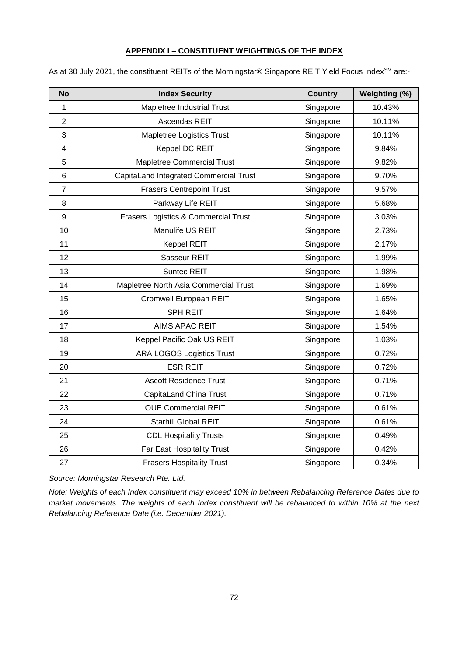# **APPENDIX I – CONSTITUENT WEIGHTINGS OF THE INDEX**

| <b>No</b>               | <b>Index Security</b>                  | <b>Country</b> | Weighting (%) |
|-------------------------|----------------------------------------|----------------|---------------|
| $\mathbf{1}$            | Mapletree Industrial Trust             | Singapore      | 10.43%        |
| $\overline{2}$          | Ascendas REIT                          | Singapore      | 10.11%        |
| 3                       | Mapletree Logistics Trust              | Singapore      | 10.11%        |
| $\overline{\mathbf{4}}$ | Keppel DC REIT                         | Singapore      | 9.84%         |
| 5                       | <b>Mapletree Commercial Trust</b>      | Singapore      | 9.82%         |
| $6\phantom{1}$          | CapitaLand Integrated Commercial Trust | Singapore      | 9.70%         |
| $\overline{7}$          | <b>Frasers Centrepoint Trust</b>       | Singapore      | 9.57%         |
| 8                       | Parkway Life REIT                      | Singapore      | 5.68%         |
| $\boldsymbol{9}$        | Frasers Logistics & Commercial Trust   | Singapore      | 3.03%         |
| 10                      | Manulife US REIT                       | Singapore      | 2.73%         |
| 11                      | <b>Keppel REIT</b>                     | Singapore      | 2.17%         |
| 12                      | Sasseur REIT                           | Singapore      | 1.99%         |
| 13                      | Suntec REIT                            | Singapore      | 1.98%         |
| 14                      | Mapletree North Asia Commercial Trust  | Singapore      | 1.69%         |
| 15                      | Cromwell European REIT                 | Singapore      | 1.65%         |
| 16                      | <b>SPH REIT</b>                        | Singapore      | 1.64%         |
| 17                      | <b>AIMS APAC REIT</b>                  | Singapore      | 1.54%         |
| 18                      | Keppel Pacific Oak US REIT             | Singapore      | 1.03%         |
| 19                      | <b>ARA LOGOS Logistics Trust</b>       | Singapore      | 0.72%         |
| 20                      | <b>ESR REIT</b>                        | Singapore      | 0.72%         |
| 21                      | <b>Ascott Residence Trust</b>          | Singapore      | 0.71%         |
| 22                      | CapitaLand China Trust                 | Singapore      | 0.71%         |
| 23                      | <b>OUE Commercial REIT</b>             | Singapore      | 0.61%         |
| 24                      | Starhill Global REIT                   | Singapore      | 0.61%         |
| 25                      | <b>CDL Hospitality Trusts</b>          | Singapore      | 0.49%         |
| 26                      | Far East Hospitality Trust             | Singapore      | 0.42%         |
| 27                      | <b>Frasers Hospitality Trust</b>       | Singapore      | 0.34%         |

As at 30 July 2021, the constituent REITs of the Morningstar® Singapore REIT Yield Focus Index<sup>SM</sup> are:-

*Source: Morningstar Research Pte. Ltd.*

*Note: Weights of each Index constituent may exceed 10% in between Rebalancing Reference Dates due to market movements. The weights of each Index constituent will be rebalanced to within 10% at the next Rebalancing Reference Date (i.e. December 2021).*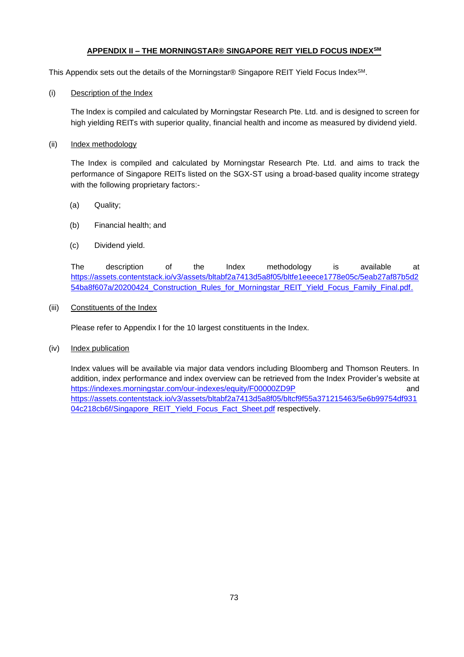# **APPENDIX II – THE MORNINGSTAR® SINGAPORE REIT YIELD FOCUS INDEXSM**

This Appendix sets out the details of the Morningstar® Singapore REIT Yield Focus Index<sup>SM</sup>.

(i) Description of the Index

The Index is compiled and calculated by Morningstar Research Pte. Ltd. and is designed to screen for high yielding REITs with superior quality, financial health and income as measured by dividend yield.

(ii) Index methodology

The Index is compiled and calculated by Morningstar Research Pte. Ltd. and aims to track the performance of Singapore REITs listed on the SGX-ST using a broad-based quality income strategy with the following proprietary factors:-

- (a) Quality;
- (b) Financial health; and
- (c) Dividend yield.

The description of the Index methodology is available at [https://assets.contentstack.io/v3/assets/bltabf2a7413d5a8f05/bltfe1eeece1778e05c/5eab27af87b5d2](https://assets.contentstack.io/v3/assets/bltabf2a7413d5a8f05/bltfe1eeece1778e05c/5eab27af87b5d254ba8f607a/20200424_Construction_Rules_for_Morningstar_REIT_Yield_Focus_Family_Final.pdf) 54ba8f607a/20200424 Construction Rules for Morningstar REIT Yield Focus Family Final.pdf.

#### (iii) Constituents of the Index

Please refer to Appendix I for the 10 largest constituents in the Index.

(iv) Index publication

Index values will be available via major data vendors including Bloomberg and Thomson Reuters. In addition, index performance and index overview can be retrieved from the Index Provider's website at <https://indexes.morningstar.com/our-indexes/equity/F00000ZD9P> and [https://assets.contentstack.io/v3/assets/bltabf2a7413d5a8f05/bltcf9f55a371215463/5e6b99754df931](https://assets.contentstack.io/v3/assets/bltabf2a7413d5a8f05/bltcf9f55a371215463/5e6b99754df93104c218cb6f/Singapore_REIT_Yield_Focus_Fact_Sheet.pdf) [04c218cb6f/Singapore\\_REIT\\_Yield\\_Focus\\_Fact\\_Sheet.pdf](https://assets.contentstack.io/v3/assets/bltabf2a7413d5a8f05/bltcf9f55a371215463/5e6b99754df93104c218cb6f/Singapore_REIT_Yield_Focus_Fact_Sheet.pdf) respectively.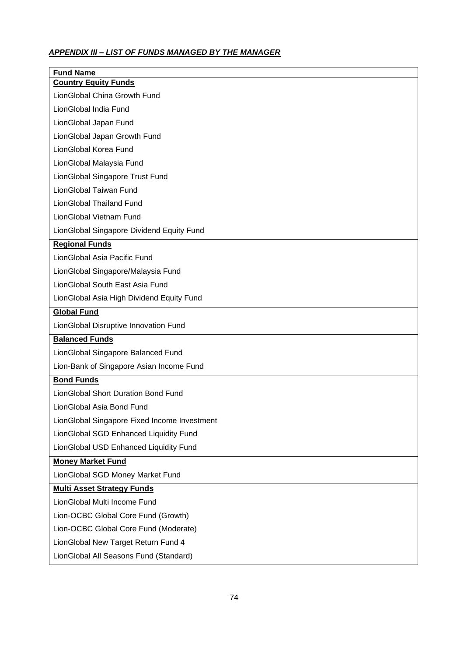# *APPENDIX III – LIST OF FUNDS MANAGED BY THE MANAGER*

| <b>Fund Name</b><br><b>Country Equity Funds</b> |  |  |  |  |
|-------------------------------------------------|--|--|--|--|
| LionGlobal China Growth Fund                    |  |  |  |  |
| LionGlobal India Fund                           |  |  |  |  |
| LionGlobal Japan Fund                           |  |  |  |  |
| LionGlobal Japan Growth Fund                    |  |  |  |  |
| LionGlobal Korea Fund                           |  |  |  |  |
| LionGlobal Malaysia Fund                        |  |  |  |  |
| LionGlobal Singapore Trust Fund                 |  |  |  |  |
| LionGlobal Taiwan Fund                          |  |  |  |  |
| LionGlobal Thailand Fund                        |  |  |  |  |
| LionGlobal Vietnam Fund                         |  |  |  |  |
| LionGlobal Singapore Dividend Equity Fund       |  |  |  |  |
| <b>Regional Funds</b>                           |  |  |  |  |
| LionGlobal Asia Pacific Fund                    |  |  |  |  |
| LionGlobal Singapore/Malaysia Fund              |  |  |  |  |
| LionGlobal South East Asia Fund                 |  |  |  |  |
| LionGlobal Asia High Dividend Equity Fund       |  |  |  |  |
| <b>Global Fund</b>                              |  |  |  |  |
| LionGlobal Disruptive Innovation Fund           |  |  |  |  |
| <b>Balanced Funds</b>                           |  |  |  |  |
| LionGlobal Singapore Balanced Fund              |  |  |  |  |
| Lion-Bank of Singapore Asian Income Fund        |  |  |  |  |
| <b>Bond Funds</b>                               |  |  |  |  |
| LionGlobal Short Duration Bond Fund             |  |  |  |  |
| LionGlobal Asia Bond Fund                       |  |  |  |  |
| LionGlobal Singapore Fixed Income Investment    |  |  |  |  |
| LionGlobal SGD Enhanced Liquidity Fund          |  |  |  |  |
| LionGlobal USD Enhanced Liquidity Fund          |  |  |  |  |
| <b>Money Market Fund</b>                        |  |  |  |  |
| LionGlobal SGD Money Market Fund                |  |  |  |  |
| <b>Multi Asset Strategy Funds</b>               |  |  |  |  |
| LionGlobal Multi Income Fund                    |  |  |  |  |
| Lion-OCBC Global Core Fund (Growth)             |  |  |  |  |
| Lion-OCBC Global Core Fund (Moderate)           |  |  |  |  |
| LionGlobal New Target Return Fund 4             |  |  |  |  |
| LionGlobal All Seasons Fund (Standard)          |  |  |  |  |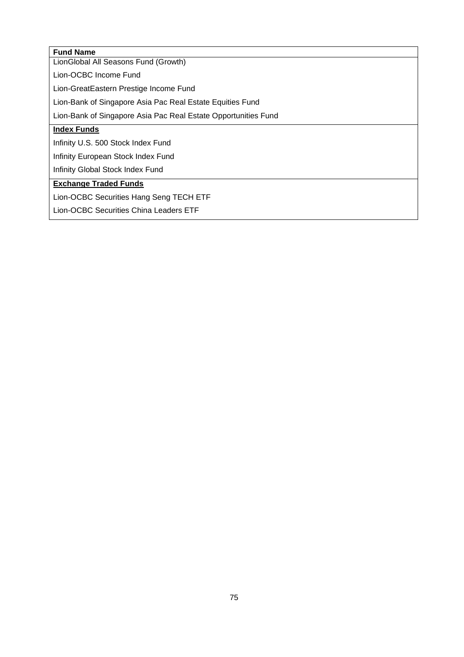| <b>Fund Name</b>                                               |  |  |  |  |
|----------------------------------------------------------------|--|--|--|--|
| LionGlobal All Seasons Fund (Growth)                           |  |  |  |  |
| Lion-OCBC Income Fund                                          |  |  |  |  |
| Lion-GreatEastern Prestige Income Fund                         |  |  |  |  |
| Lion-Bank of Singapore Asia Pac Real Estate Equities Fund      |  |  |  |  |
| Lion-Bank of Singapore Asia Pac Real Estate Opportunities Fund |  |  |  |  |
| <b>Index Funds</b>                                             |  |  |  |  |
| Infinity U.S. 500 Stock Index Fund                             |  |  |  |  |
| Infinity European Stock Index Fund                             |  |  |  |  |
| Infinity Global Stock Index Fund                               |  |  |  |  |
| <b>Exchange Traded Funds</b>                                   |  |  |  |  |
| Lion-OCBC Securities Hang Seng TECH ETF                        |  |  |  |  |
| Lion-OCBC Securities China Leaders ETF                         |  |  |  |  |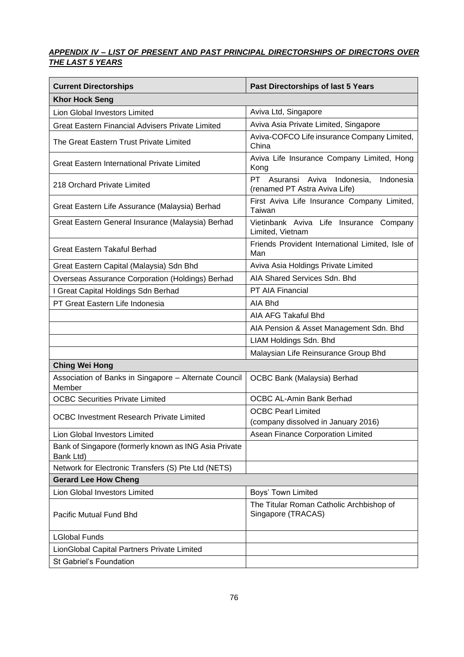# *APPENDIX IV – LIST OF PRESENT AND PAST PRINCIPAL DIRECTORSHIPS OF DIRECTORS OVER THE LAST 5 YEARS*

| <b>Current Directorships</b>                                       | <b>Past Directorships of last 5 Years</b>                                  |  |  |  |
|--------------------------------------------------------------------|----------------------------------------------------------------------------|--|--|--|
| <b>Khor Hock Seng</b>                                              |                                                                            |  |  |  |
| Lion Global Investors Limited                                      | Aviva Ltd, Singapore                                                       |  |  |  |
| <b>Great Eastern Financial Advisers Private Limited</b>            | Aviva Asia Private Limited, Singapore                                      |  |  |  |
| The Great Eastern Trust Private Limited                            | Aviva-COFCO Life insurance Company Limited,<br>China                       |  |  |  |
| <b>Great Eastern International Private Limited</b>                 | Aviva Life Insurance Company Limited, Hong<br>Kong                         |  |  |  |
| 218 Orchard Private Limited                                        | PT Asuransi Aviva Indonesia,<br>Indonesia<br>(renamed PT Astra Aviva Life) |  |  |  |
| Great Eastern Life Assurance (Malaysia) Berhad                     | First Aviva Life Insurance Company Limited,<br>Taiwan                      |  |  |  |
| Great Eastern General Insurance (Malaysia) Berhad                  | Vietinbank Aviva Life Insurance Company<br>Limited, Vietnam                |  |  |  |
| <b>Great Eastern Takaful Berhad</b>                                | Friends Provident International Limited, Isle of<br>Man                    |  |  |  |
| Great Eastern Capital (Malaysia) Sdn Bhd                           | Aviva Asia Holdings Private Limited                                        |  |  |  |
| Overseas Assurance Corporation (Holdings) Berhad                   | AIA Shared Services Sdn. Bhd                                               |  |  |  |
| I Great Capital Holdings Sdn Berhad                                | PT AIA Financial                                                           |  |  |  |
| PT Great Eastern Life Indonesia                                    | AIA Bhd                                                                    |  |  |  |
|                                                                    | AIA AFG Takaful Bhd                                                        |  |  |  |
|                                                                    | AIA Pension & Asset Management Sdn. Bhd                                    |  |  |  |
|                                                                    | LIAM Holdings Sdn. Bhd                                                     |  |  |  |
|                                                                    | Malaysian Life Reinsurance Group Bhd                                       |  |  |  |
| <b>Ching Wei Hong</b>                                              |                                                                            |  |  |  |
| Association of Banks in Singapore - Alternate Council<br>Member    | OCBC Bank (Malaysia) Berhad                                                |  |  |  |
| <b>OCBC Securities Private Limited</b>                             | <b>OCBC AL-Amin Bank Berhad</b>                                            |  |  |  |
| <b>OCBC Investment Research Private Limited</b>                    | <b>OCBC Pearl Limited</b><br>(company dissolved in January 2016)           |  |  |  |
| Lion Global Investors Limited                                      | Asean Finance Corporation Limited                                          |  |  |  |
| Bank of Singapore (formerly known as ING Asia Private<br>Bank Ltd) |                                                                            |  |  |  |
| Network for Electronic Transfers (S) Pte Ltd (NETS)                |                                                                            |  |  |  |
| <b>Gerard Lee How Cheng</b>                                        |                                                                            |  |  |  |
| Lion Global Investors Limited                                      | Boys' Town Limited                                                         |  |  |  |
| Pacific Mutual Fund Bhd                                            | The Titular Roman Catholic Archbishop of<br>Singapore (TRACAS)             |  |  |  |
| <b>LGlobal Funds</b>                                               |                                                                            |  |  |  |
| LionGlobal Capital Partners Private Limited                        |                                                                            |  |  |  |
| St Gabriel's Foundation                                            |                                                                            |  |  |  |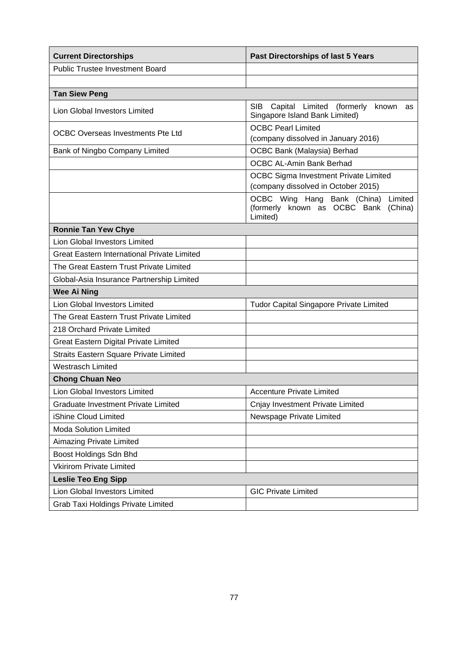| <b>Current Directorships</b>                       | <b>Past Directorships of last 5 Years</b>                                                     |  |  |  |
|----------------------------------------------------|-----------------------------------------------------------------------------------------------|--|--|--|
| <b>Public Trustee Investment Board</b>             |                                                                                               |  |  |  |
|                                                    |                                                                                               |  |  |  |
| <b>Tan Siew Peng</b>                               |                                                                                               |  |  |  |
| <b>Lion Global Investors Limited</b>               | <b>SIB</b><br>Capital Limited (formerly<br>known<br>as<br>Singapore Island Bank Limited)      |  |  |  |
| <b>OCBC Overseas Investments Pte Ltd</b>           | <b>OCBC Pearl Limited</b><br>(company dissolved in January 2016)                              |  |  |  |
| Bank of Ningbo Company Limited                     | OCBC Bank (Malaysia) Berhad                                                                   |  |  |  |
|                                                    | <b>OCBC AL-Amin Bank Berhad</b>                                                               |  |  |  |
|                                                    | OCBC Sigma Investment Private Limited<br>(company dissolved in October 2015)                  |  |  |  |
|                                                    | OCBC Wing Hang Bank (China)<br>Limited<br>(formerly known as OCBC Bank<br>(China)<br>Limited) |  |  |  |
| <b>Ronnie Tan Yew Chye</b>                         |                                                                                               |  |  |  |
| Lion Global Investors Limited                      |                                                                                               |  |  |  |
| <b>Great Eastern International Private Limited</b> |                                                                                               |  |  |  |
| The Great Eastern Trust Private Limited            |                                                                                               |  |  |  |
| Global-Asia Insurance Partnership Limited          |                                                                                               |  |  |  |
| <b>Wee Ai Ning</b>                                 |                                                                                               |  |  |  |
| <b>Lion Global Investors Limited</b>               | <b>Tudor Capital Singapore Private Limited</b>                                                |  |  |  |
| The Great Eastern Trust Private Limited            |                                                                                               |  |  |  |
| 218 Orchard Private Limited                        |                                                                                               |  |  |  |
| Great Eastern Digital Private Limited              |                                                                                               |  |  |  |
| Straits Eastern Square Private Limited             |                                                                                               |  |  |  |
| <b>Westrasch Limited</b>                           |                                                                                               |  |  |  |
| <b>Chong Chuan Neo</b>                             |                                                                                               |  |  |  |
| Lion Global Investors Limited                      | <b>Accenture Private Limited</b>                                                              |  |  |  |
| <b>Graduate Investment Private Limited</b>         | Cnjay Investment Private Limited                                                              |  |  |  |
| iShine Cloud Limited                               | Newspage Private Limited                                                                      |  |  |  |
| <b>Moda Solution Limited</b>                       |                                                                                               |  |  |  |
| Aimazing Private Limited                           |                                                                                               |  |  |  |
| Boost Holdings Sdn Bhd                             |                                                                                               |  |  |  |
| <b>Vkirirom Private Limited</b>                    |                                                                                               |  |  |  |
| <b>Leslie Teo Eng Sipp</b>                         |                                                                                               |  |  |  |
| <b>Lion Global Investors Limited</b>               | <b>GIC Private Limited</b>                                                                    |  |  |  |
| Grab Taxi Holdings Private Limited                 |                                                                                               |  |  |  |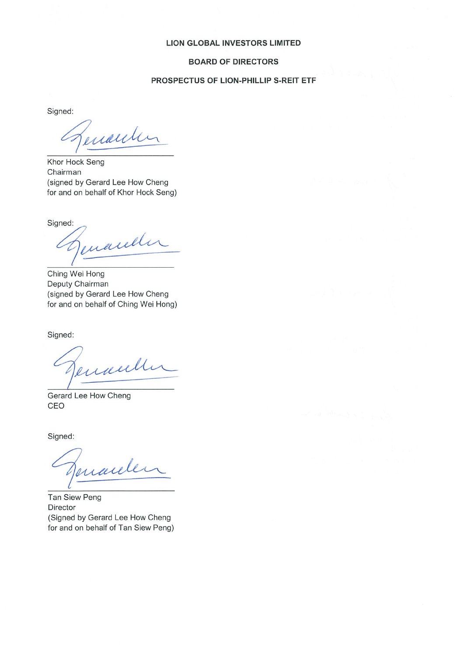#### **LION GLOBAL INVESTORS LIMITED**

#### **BOARD OF DIRECTORS**

# PROSPECTUS OF LION-PHILLIP S-REIT ETF

Signed:

enauter

Khor Hock Seng Chairman (signed by Gerard Lee How Cheng for and on behalf of Khor Hock Seng)

Signed:

enande

Ching Wei Hong Deputy Chairman (signed by Gerard Lee How Cheng for and on behalf of Ching Wei Hong)

Signed:

enaul

Gerard Lee How Cheng CEO

Signed:

Jenarde

**Tan Siew Peng** Director (Signed by Gerard Lee How Cheng for and on behalf of Tan Siew Peng)